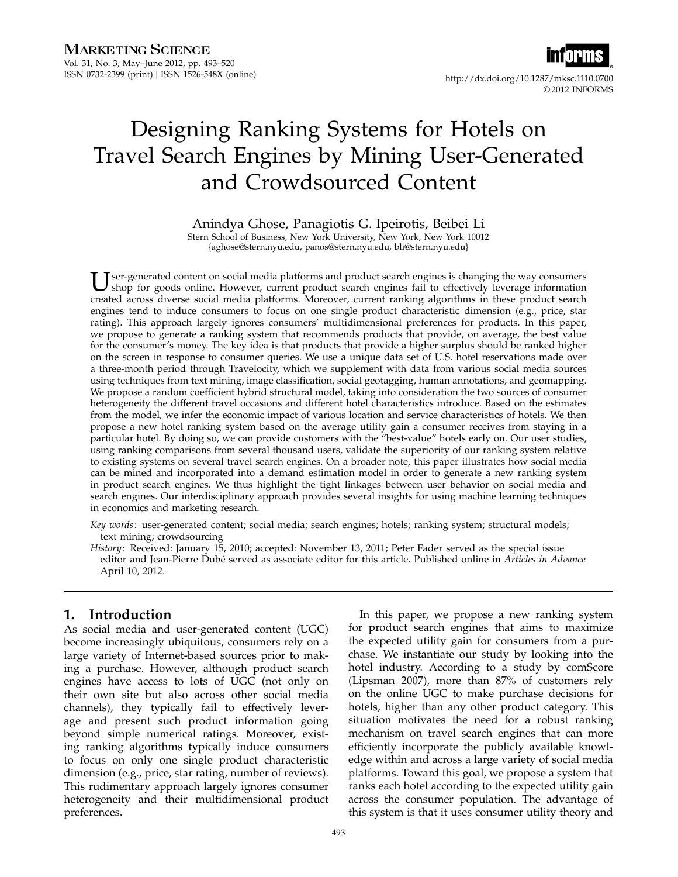

# Designing Ranking Systems for Hotels on Travel Search Engines by Mining User-Generated and Crowdsourced Content

## Anindya Ghose, Panagiotis G. Ipeirotis, Beibei Li

Stern School of Business, New York University, New York, New York 10012 {aghose@stern.nyu.edu, panos@stern.nyu.edu, bli@stern.nyu.edu}

U ser-generated content on social media platforms and product search engines is changing the way consumers<br>shop for goods online. However, current product search engines fail to effectively leverage information<br>and the sta shop for goods online. However, current product search engines fail to effectively leverage information created across diverse social media platforms. Moreover, current ranking algorithms in these product search engines tend to induce consumers to focus on one single product characteristic dimension (e.g., price, star rating). This approach largely ignores consumers' multidimensional preferences for products. In this paper, we propose to generate a ranking system that recommends products that provide, on average, the best value for the consumer's money. The key idea is that products that provide a higher surplus should be ranked higher on the screen in response to consumer queries. We use a unique data set of U.S. hotel reservations made over a three-month period through Travelocity, which we supplement with data from various social media sources using techniques from text mining, image classification, social geotagging, human annotations, and geomapping. We propose a random coefficient hybrid structural model, taking into consideration the two sources of consumer heterogeneity the different travel occasions and different hotel characteristics introduce. Based on the estimates from the model, we infer the economic impact of various location and service characteristics of hotels. We then propose a new hotel ranking system based on the average utility gain a consumer receives from staying in a particular hotel. By doing so, we can provide customers with the "best-value" hotels early on. Our user studies, using ranking comparisons from several thousand users, validate the superiority of our ranking system relative to existing systems on several travel search engines. On a broader note, this paper illustrates how social media can be mined and incorporated into a demand estimation model in order to generate a new ranking system in product search engines. We thus highlight the tight linkages between user behavior on social media and search engines. Our interdisciplinary approach provides several insights for using machine learning techniques in economics and marketing research.

Key words: user-generated content; social media; search engines; hotels; ranking system; structural models; text mining; crowdsourcing

History: Received: January 15, 2010; accepted: November 13, 2011; Peter Fader served as the special issue editor and Jean-Pierre Dubé served as associate editor for this article. Published online in Articles in Advance April 10, 2012.

# 1. Introduction

As social media and user-generated content (UGC) become increasingly ubiquitous, consumers rely on a large variety of Internet-based sources prior to making a purchase. However, although product search engines have access to lots of UGC (not only on their own site but also across other social media channels), they typically fail to effectively leverage and present such product information going beyond simple numerical ratings. Moreover, existing ranking algorithms typically induce consumers to focus on only one single product characteristic dimension (e.g., price, star rating, number of reviews). This rudimentary approach largely ignores consumer heterogeneity and their multidimensional product preferences.

In this paper, we propose a new ranking system for product search engines that aims to maximize the expected utility gain for consumers from a purchase. We instantiate our study by looking into the hotel industry. According to a study by comScore (Lipsman 2007), more than 87% of customers rely on the online UGC to make purchase decisions for hotels, higher than any other product category. This situation motivates the need for a robust ranking mechanism on travel search engines that can more efficiently incorporate the publicly available knowledge within and across a large variety of social media platforms. Toward this goal, we propose a system that ranks each hotel according to the expected utility gain across the consumer population. The advantage of this system is that it uses consumer utility theory and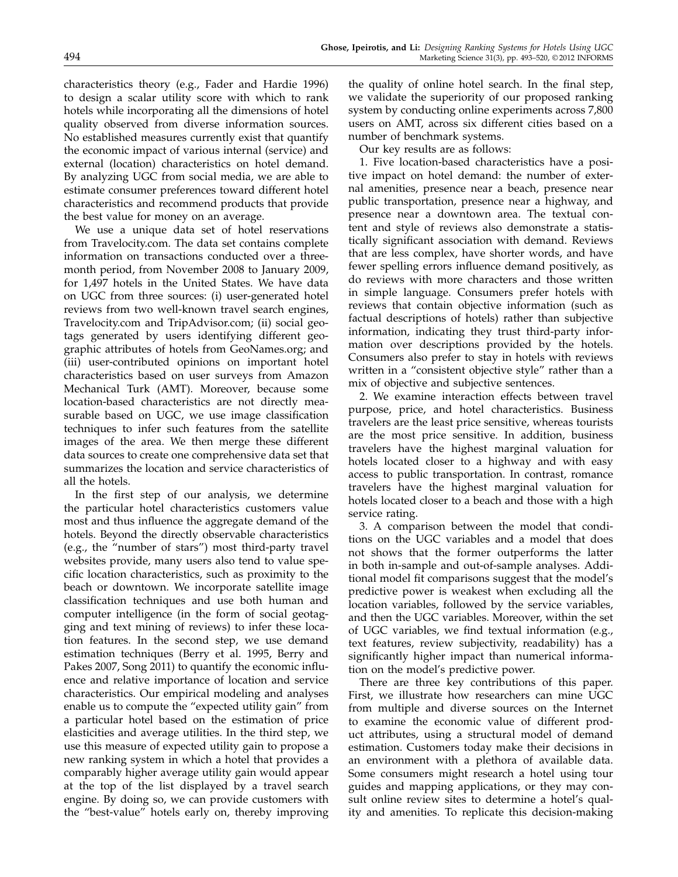characteristics theory (e.g., Fader and Hardie 1996) to design a scalar utility score with which to rank hotels while incorporating all the dimensions of hotel quality observed from diverse information sources. No established measures currently exist that quantify the economic impact of various internal (service) and external (location) characteristics on hotel demand. By analyzing UGC from social media, we are able to estimate consumer preferences toward different hotel characteristics and recommend products that provide the best value for money on an average.

We use a unique data set of hotel reservations from Travelocity.com. The data set contains complete information on transactions conducted over a threemonth period, from November 2008 to January 2009, for 1,497 hotels in the United States. We have data on UGC from three sources: (i) user-generated hotel reviews from two well-known travel search engines, Travelocity.com and TripAdvisor.com; (ii) social geotags generated by users identifying different geographic attributes of hotels from GeoNames.org; and (iii) user-contributed opinions on important hotel characteristics based on user surveys from Amazon Mechanical Turk (AMT). Moreover, because some location-based characteristics are not directly measurable based on UGC, we use image classification techniques to infer such features from the satellite images of the area. We then merge these different data sources to create one comprehensive data set that summarizes the location and service characteristics of all the hotels.

In the first step of our analysis, we determine the particular hotel characteristics customers value most and thus influence the aggregate demand of the hotels. Beyond the directly observable characteristics (e.g., the "number of stars") most third-party travel websites provide, many users also tend to value specific location characteristics, such as proximity to the beach or downtown. We incorporate satellite image classification techniques and use both human and computer intelligence (in the form of social geotagging and text mining of reviews) to infer these location features. In the second step, we use demand estimation techniques (Berry et al. 1995, Berry and Pakes 2007, Song 2011) to quantify the economic influence and relative importance of location and service characteristics. Our empirical modeling and analyses enable us to compute the "expected utility gain" from a particular hotel based on the estimation of price elasticities and average utilities. In the third step, we use this measure of expected utility gain to propose a new ranking system in which a hotel that provides a comparably higher average utility gain would appear at the top of the list displayed by a travel search engine. By doing so, we can provide customers with the "best-value" hotels early on, thereby improving

the quality of online hotel search. In the final step, we validate the superiority of our proposed ranking system by conducting online experiments across 7,800 users on AMT, across six different cities based on a number of benchmark systems.

Our key results are as follows:

1. Five location-based characteristics have a positive impact on hotel demand: the number of external amenities, presence near a beach, presence near public transportation, presence near a highway, and presence near a downtown area. The textual content and style of reviews also demonstrate a statistically significant association with demand. Reviews that are less complex, have shorter words, and have fewer spelling errors influence demand positively, as do reviews with more characters and those written in simple language. Consumers prefer hotels with reviews that contain objective information (such as factual descriptions of hotels) rather than subjective information, indicating they trust third-party information over descriptions provided by the hotels. Consumers also prefer to stay in hotels with reviews written in a "consistent objective style" rather than a mix of objective and subjective sentences.

2. We examine interaction effects between travel purpose, price, and hotel characteristics. Business travelers are the least price sensitive, whereas tourists are the most price sensitive. In addition, business travelers have the highest marginal valuation for hotels located closer to a highway and with easy access to public transportation. In contrast, romance travelers have the highest marginal valuation for hotels located closer to a beach and those with a high service rating.

3. A comparison between the model that conditions on the UGC variables and a model that does not shows that the former outperforms the latter in both in-sample and out-of-sample analyses. Additional model fit comparisons suggest that the model's predictive power is weakest when excluding all the location variables, followed by the service variables, and then the UGC variables. Moreover, within the set of UGC variables, we find textual information (e.g., text features, review subjectivity, readability) has a significantly higher impact than numerical information on the model's predictive power.

There are three key contributions of this paper. First, we illustrate how researchers can mine UGC from multiple and diverse sources on the Internet to examine the economic value of different product attributes, using a structural model of demand estimation. Customers today make their decisions in an environment with a plethora of available data. Some consumers might research a hotel using tour guides and mapping applications, or they may consult online review sites to determine a hotel's quality and amenities. To replicate this decision-making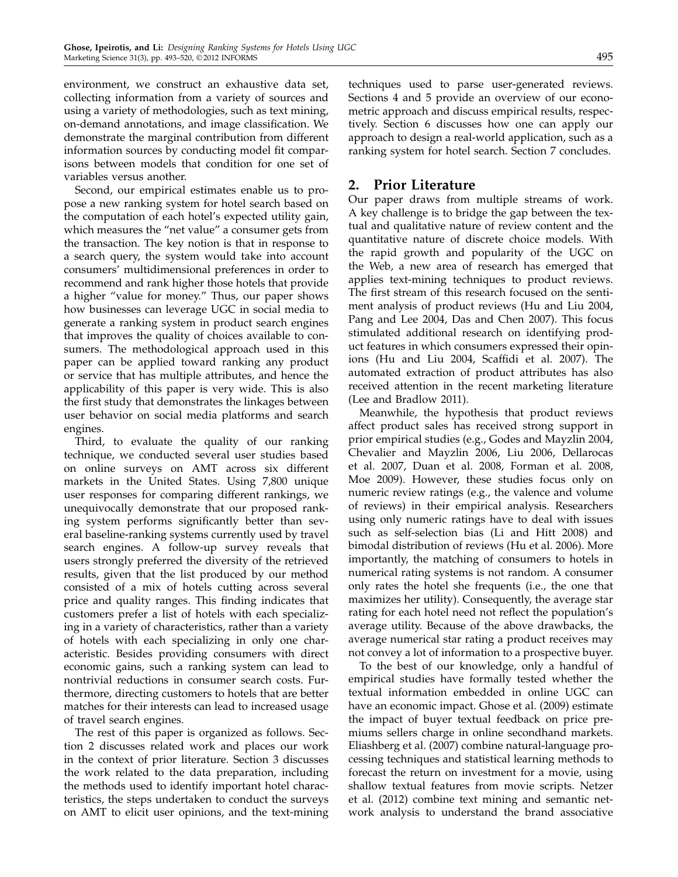environment, we construct an exhaustive data set, collecting information from a variety of sources and using a variety of methodologies, such as text mining, on-demand annotations, and image classification. We demonstrate the marginal contribution from different information sources by conducting model fit compar-

isons between models that condition for one set of

variables versus another. Second, our empirical estimates enable us to propose a new ranking system for hotel search based on the computation of each hotel's expected utility gain, which measures the "net value" a consumer gets from the transaction. The key notion is that in response to a search query, the system would take into account consumers' multidimensional preferences in order to recommend and rank higher those hotels that provide a higher "value for money." Thus, our paper shows how businesses can leverage UGC in social media to generate a ranking system in product search engines that improves the quality of choices available to consumers. The methodological approach used in this paper can be applied toward ranking any product or service that has multiple attributes, and hence the applicability of this paper is very wide. This is also the first study that demonstrates the linkages between user behavior on social media platforms and search engines.

Third, to evaluate the quality of our ranking technique, we conducted several user studies based on online surveys on AMT across six different markets in the United States. Using 7,800 unique user responses for comparing different rankings, we unequivocally demonstrate that our proposed ranking system performs significantly better than several baseline-ranking systems currently used by travel search engines. A follow-up survey reveals that users strongly preferred the diversity of the retrieved results, given that the list produced by our method consisted of a mix of hotels cutting across several price and quality ranges. This finding indicates that customers prefer a list of hotels with each specializing in a variety of characteristics, rather than a variety of hotels with each specializing in only one characteristic. Besides providing consumers with direct economic gains, such a ranking system can lead to nontrivial reductions in consumer search costs. Furthermore, directing customers to hotels that are better matches for their interests can lead to increased usage of travel search engines.

The rest of this paper is organized as follows. Section 2 discusses related work and places our work in the context of prior literature. Section 3 discusses the work related to the data preparation, including the methods used to identify important hotel characteristics, the steps undertaken to conduct the surveys on AMT to elicit user opinions, and the text-mining techniques used to parse user-generated reviews. Sections 4 and 5 provide an overview of our econometric approach and discuss empirical results, respectively. Section 6 discusses how one can apply our approach to design a real-world application, such as a ranking system for hotel search. Section 7 concludes.

# 2. Prior Literature

Our paper draws from multiple streams of work. A key challenge is to bridge the gap between the textual and qualitative nature of review content and the quantitative nature of discrete choice models. With the rapid growth and popularity of the UGC on the Web, a new area of research has emerged that applies text-mining techniques to product reviews. The first stream of this research focused on the sentiment analysis of product reviews (Hu and Liu 2004, Pang and Lee 2004, Das and Chen 2007). This focus stimulated additional research on identifying product features in which consumers expressed their opinions (Hu and Liu 2004, Scaffidi et al. 2007). The automated extraction of product attributes has also received attention in the recent marketing literature (Lee and Bradlow 2011).

Meanwhile, the hypothesis that product reviews affect product sales has received strong support in prior empirical studies (e.g., Godes and Mayzlin 2004, Chevalier and Mayzlin 2006, Liu 2006, Dellarocas et al. 2007, Duan et al. 2008, Forman et al. 2008, Moe 2009). However, these studies focus only on numeric review ratings (e.g., the valence and volume of reviews) in their empirical analysis. Researchers using only numeric ratings have to deal with issues such as self-selection bias (Li and Hitt 2008) and bimodal distribution of reviews (Hu et al. 2006). More importantly, the matching of consumers to hotels in numerical rating systems is not random. A consumer only rates the hotel she frequents (i.e., the one that maximizes her utility). Consequently, the average star rating for each hotel need not reflect the population's average utility. Because of the above drawbacks, the average numerical star rating a product receives may not convey a lot of information to a prospective buyer.

To the best of our knowledge, only a handful of empirical studies have formally tested whether the textual information embedded in online UGC can have an economic impact. Ghose et al. (2009) estimate the impact of buyer textual feedback on price premiums sellers charge in online secondhand markets. Eliashberg et al. (2007) combine natural-language processing techniques and statistical learning methods to forecast the return on investment for a movie, using shallow textual features from movie scripts. Netzer et al. (2012) combine text mining and semantic network analysis to understand the brand associative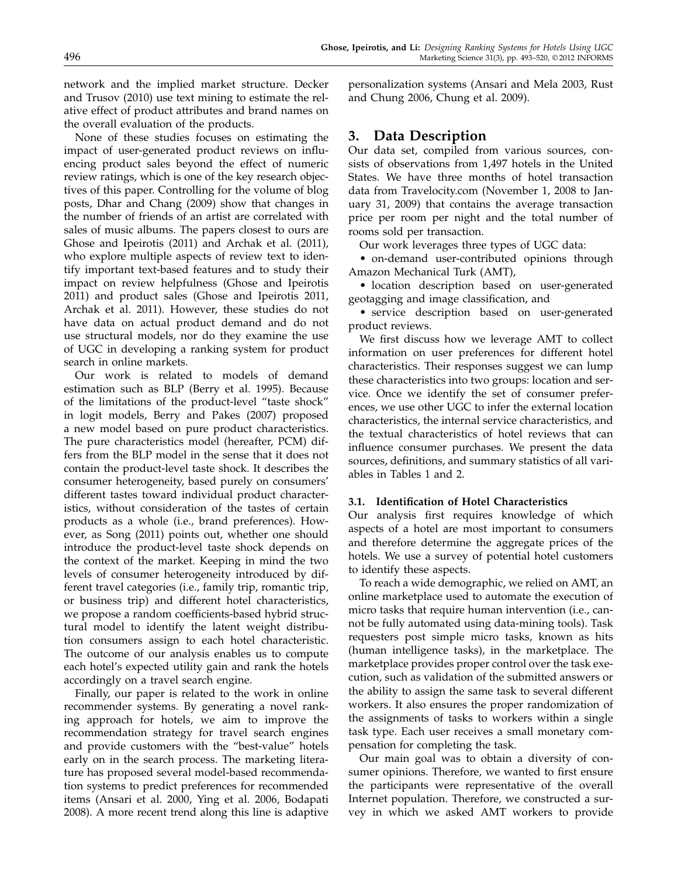network and the implied market structure. Decker and Trusov (2010) use text mining to estimate the relative effect of product attributes and brand names on the overall evaluation of the products.

None of these studies focuses on estimating the impact of user-generated product reviews on influencing product sales beyond the effect of numeric review ratings, which is one of the key research objectives of this paper. Controlling for the volume of blog posts, Dhar and Chang (2009) show that changes in the number of friends of an artist are correlated with sales of music albums. The papers closest to ours are Ghose and Ipeirotis (2011) and Archak et al. (2011), who explore multiple aspects of review text to identify important text-based features and to study their impact on review helpfulness (Ghose and Ipeirotis 2011) and product sales (Ghose and Ipeirotis 2011, Archak et al. 2011). However, these studies do not have data on actual product demand and do not use structural models, nor do they examine the use of UGC in developing a ranking system for product search in online markets.

Our work is related to models of demand estimation such as BLP (Berry et al. 1995). Because of the limitations of the product-level "taste shock" in logit models, Berry and Pakes (2007) proposed a new model based on pure product characteristics. The pure characteristics model (hereafter, PCM) differs from the BLP model in the sense that it does not contain the product-level taste shock. It describes the consumer heterogeneity, based purely on consumers' different tastes toward individual product characteristics, without consideration of the tastes of certain products as a whole (i.e., brand preferences). However, as Song (2011) points out, whether one should introduce the product-level taste shock depends on the context of the market. Keeping in mind the two levels of consumer heterogeneity introduced by different travel categories (i.e., family trip, romantic trip, or business trip) and different hotel characteristics, we propose a random coefficients-based hybrid structural model to identify the latent weight distribution consumers assign to each hotel characteristic. The outcome of our analysis enables us to compute each hotel's expected utility gain and rank the hotels accordingly on a travel search engine.

Finally, our paper is related to the work in online recommender systems. By generating a novel ranking approach for hotels, we aim to improve the recommendation strategy for travel search engines and provide customers with the "best-value" hotels early on in the search process. The marketing literature has proposed several model-based recommendation systems to predict preferences for recommended items (Ansari et al. 2000, Ying et al. 2006, Bodapati 2008). A more recent trend along this line is adaptive personalization systems (Ansari and Mela 2003, Rust and Chung 2006, Chung et al. 2009).

# 3. Data Description

Our data set, compiled from various sources, consists of observations from 1,497 hotels in the United States. We have three months of hotel transaction data from Travelocity.com (November 1, 2008 to January 31, 2009) that contains the average transaction price per room per night and the total number of rooms sold per transaction.

Our work leverages three types of UGC data:

• on-demand user-contributed opinions through Amazon Mechanical Turk (AMT),

• location description based on user-generated geotagging and image classification, and

• service description based on user-generated product reviews.

We first discuss how we leverage AMT to collect information on user preferences for different hotel characteristics. Their responses suggest we can lump these characteristics into two groups: location and service. Once we identify the set of consumer preferences, we use other UGC to infer the external location characteristics, the internal service characteristics, and the textual characteristics of hotel reviews that can influence consumer purchases. We present the data sources, definitions, and summary statistics of all variables in Tables 1 and 2.

### 3.1. Identification of Hotel Characteristics

Our analysis first requires knowledge of which aspects of a hotel are most important to consumers and therefore determine the aggregate prices of the hotels. We use a survey of potential hotel customers to identify these aspects.

To reach a wide demographic, we relied on AMT, an online marketplace used to automate the execution of micro tasks that require human intervention (i.e., cannot be fully automated using data-mining tools). Task requesters post simple micro tasks, known as hits (human intelligence tasks), in the marketplace. The marketplace provides proper control over the task execution, such as validation of the submitted answers or the ability to assign the same task to several different workers. It also ensures the proper randomization of the assignments of tasks to workers within a single task type. Each user receives a small monetary compensation for completing the task.

Our main goal was to obtain a diversity of consumer opinions. Therefore, we wanted to first ensure the participants were representative of the overall Internet population. Therefore, we constructed a survey in which we asked AMT workers to provide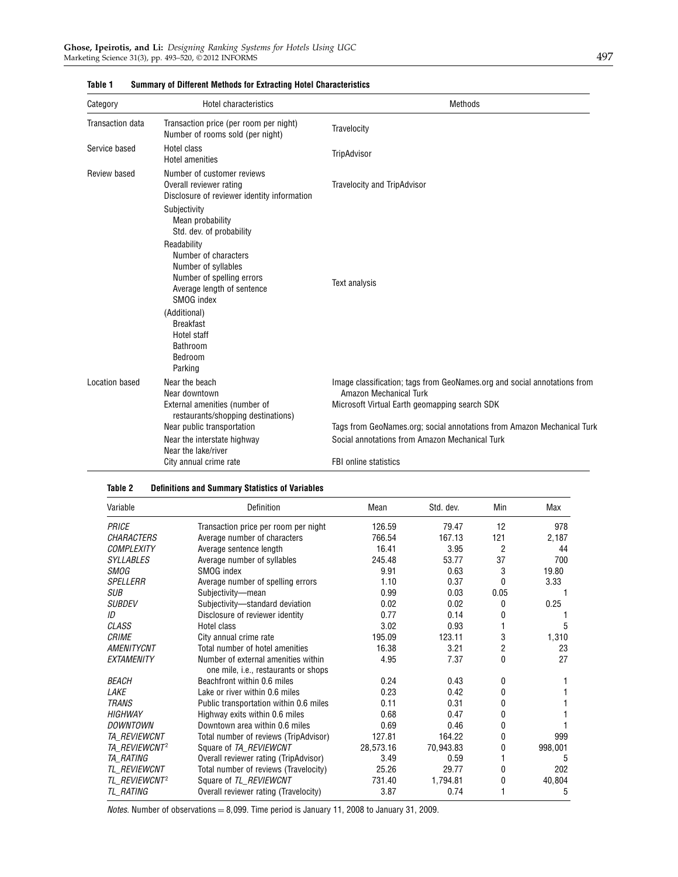| Category         | Hotel characteristics                                                                                                               | <b>Methods</b>                                                                                     |
|------------------|-------------------------------------------------------------------------------------------------------------------------------------|----------------------------------------------------------------------------------------------------|
| Transaction data | Transaction price (per room per night)<br>Number of rooms sold (per night)                                                          | Travelocity                                                                                        |
| Service based    | Hotel class<br>Hotel amenities                                                                                                      | TripAdvisor                                                                                        |
| Review based     | Number of customer reviews<br>Overall reviewer rating<br>Disclosure of reviewer identity information                                | Travelocity and TripAdvisor                                                                        |
|                  | Subjectivity<br>Mean probability<br>Std. dev. of probability                                                                        |                                                                                                    |
|                  | Readability<br>Number of characters<br>Number of syllables<br>Number of spelling errors<br>Average length of sentence<br>SMOG index | Text analysis                                                                                      |
|                  | (Additional)<br><b>Breakfast</b><br>Hotel staff<br><b>Bathroom</b><br>Bedroom<br>Parking                                            |                                                                                                    |
| Location based   | Near the beach<br>Near downtown                                                                                                     | Image classification; tags from GeoNames.org and social annotations from<br>Amazon Mechanical Turk |
|                  | External amenities (number of<br>restaurants/shopping destinations)                                                                 | Microsoft Virtual Earth geomapping search SDK                                                      |
|                  | Near public transportation                                                                                                          | Tags from GeoNames.org; social annotations from Amazon Mechanical Turk                             |
|                  | Near the interstate highway<br>Near the lake/river                                                                                  | Social annotations from Amazon Mechanical Turk                                                     |
|                  | City annual crime rate                                                                                                              | <b>FBI online statistics</b>                                                                       |

#### Table 1 Summary of Different Methods for Extracting Hotel Characteristics

#### Table 2 Definitions and Summary Statistics of Variables

| Variable                  | Definition                                                                  | Mean      | Std. dev. | Min  | Max     |
|---------------------------|-----------------------------------------------------------------------------|-----------|-----------|------|---------|
| PRICE                     | Transaction price per room per night                                        | 126.59    | 79.47     | 12   | 978     |
| <b>CHARACTERS</b>         | Average number of characters                                                | 766.54    | 167.13    | 121  | 2,187   |
| <b>COMPLEXITY</b>         | Average sentence length                                                     | 16.41     | 3.95      | 2    | 44      |
| <b>SYLLABLES</b>          | Average number of syllables                                                 | 245.48    | 53.77     | 37   | 700     |
| <b>SMOG</b>               | SMOG index                                                                  | 9.91      | 0.63      | 3    | 19.80   |
| <b>SPELLERR</b>           | Average number of spelling errors                                           | 1.10      | 0.37      | 0    | 3.33    |
| <b>SUB</b>                | Subjectivity-mean                                                           | 0.99      | 0.03      | 0.05 |         |
| <b>SUBDEV</b>             | Subjectivity-standard deviation                                             | 0.02      | 0.02      | 0    | 0.25    |
| ID                        | Disclosure of reviewer identity                                             | 0.77      | 0.14      | 0    |         |
| <b>CLASS</b>              | Hotel class                                                                 | 3.02      | 0.93      |      | 5       |
| <b>CRIME</b>              | City annual crime rate                                                      | 195.09    | 123.11    | 3    | 1,310   |
| <b>AMENITYCNT</b>         | Total number of hotel amenities                                             | 16.38     | 3.21      | 2    | 23      |
| <b>EXTAMENITY</b>         | Number of external amenities within<br>one mile, i.e., restaurants or shops | 4.95      | 7.37      | 0    | 27      |
| <i>BEACH</i>              | Beachfront within 0.6 miles                                                 | 0.24      | 0.43      | 0    |         |
| LAKE                      | Lake or river within 0.6 miles                                              | 0.23      | 0.42      | 0    |         |
| <b>TRANS</b>              | Public transportation within 0.6 miles                                      | 0.11      | 0.31      | 0    |         |
| <b>HIGHWAY</b>            | Highway exits within 0.6 miles                                              | 0.68      | 0.47      | 0    |         |
| DOWNTOWN                  | Downtown area within 0.6 miles                                              | 0.69      | 0.46      | 0    |         |
| <b>TA REVIEWCNT</b>       | Total number of reviews (TripAdvisor)                                       | 127.81    | 164.22    | 0    | 999     |
| TA REVIEWCNT <sup>2</sup> | Square of TA_REVIEWCNT                                                      | 28,573.16 | 70,943.83 | 0    | 998,001 |
| <i><b>TA RATING</b></i>   | Overall reviewer rating (TripAdvisor)                                       | 3.49      | 0.59      |      | 5       |
| <i>TL REVIEWCNT</i>       | Total number of reviews (Travelocity)                                       | 25.26     | 29.77     | 0    | 202     |
| TL REVIEWCNT <sup>2</sup> | Square of TL REVIEWCNT                                                      | 731.40    | 1.794.81  | 0    | 40,804  |
| <i>TL RATING</i>          | Overall reviewer rating (Travelocity)                                       | 3.87      | 0.74      |      | 5       |

Notes. Number of observations =  $8,099$ . Time period is January 11, 2008 to January 31, 2009.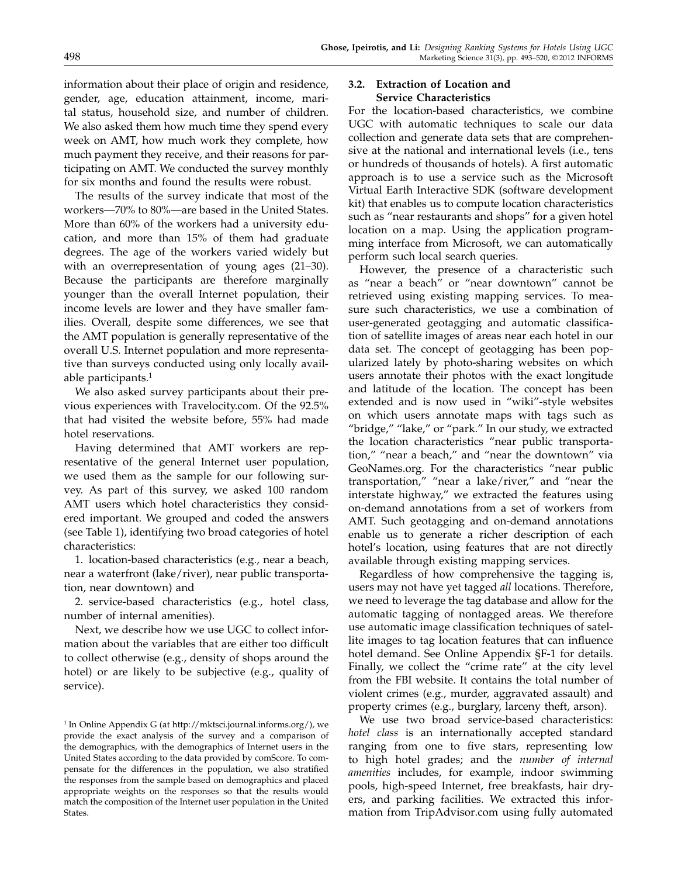information about their place of origin and residence, gender, age, education attainment, income, marital status, household size, and number of children. We also asked them how much time they spend every week on AMT, how much work they complete, how much payment they receive, and their reasons for participating on AMT. We conducted the survey monthly for six months and found the results were robust.

The results of the survey indicate that most of the workers—70% to 80%—are based in the United States. More than 60% of the workers had a university education, and more than 15% of them had graduate degrees. The age of the workers varied widely but with an overrepresentation of young ages (21–30). Because the participants are therefore marginally younger than the overall Internet population, their income levels are lower and they have smaller families. Overall, despite some differences, we see that the AMT population is generally representative of the overall U.S. Internet population and more representative than surveys conducted using only locally available participants.<sup>1</sup>

We also asked survey participants about their previous experiences with Travelocity.com. Of the 92.5% that had visited the website before, 55% had made hotel reservations.

Having determined that AMT workers are representative of the general Internet user population, we used them as the sample for our following survey. As part of this survey, we asked 100 random AMT users which hotel characteristics they considered important. We grouped and coded the answers (see Table 1), identifying two broad categories of hotel characteristics:

1. location-based characteristics (e.g., near a beach, near a waterfront (lake/river), near public transportation, near downtown) and

2. service-based characteristics (e.g., hotel class, number of internal amenities).

Next, we describe how we use UGC to collect information about the variables that are either too difficult to collect otherwise (e.g., density of shops around the hotel) or are likely to be subjective (e.g., quality of service).

## 3.2. Extraction of Location and Service Characteristics

For the location-based characteristics, we combine UGC with automatic techniques to scale our data collection and generate data sets that are comprehensive at the national and international levels (i.e., tens or hundreds of thousands of hotels). A first automatic approach is to use a service such as the Microsoft Virtual Earth Interactive SDK (software development kit) that enables us to compute location characteristics such as "near restaurants and shops" for a given hotel location on a map. Using the application programming interface from Microsoft, we can automatically perform such local search queries.

However, the presence of a characteristic such as "near a beach" or "near downtown" cannot be retrieved using existing mapping services. To measure such characteristics, we use a combination of user-generated geotagging and automatic classification of satellite images of areas near each hotel in our data set. The concept of geotagging has been popularized lately by photo-sharing websites on which users annotate their photos with the exact longitude and latitude of the location. The concept has been extended and is now used in "wiki"-style websites on which users annotate maps with tags such as "bridge," "lake," or "park." In our study, we extracted the location characteristics "near public transportation," "near a beach," and "near the downtown" via GeoNames.org. For the characteristics "near public transportation," "near a lake/river," and "near the interstate highway," we extracted the features using on-demand annotations from a set of workers from AMT. Such geotagging and on-demand annotations enable us to generate a richer description of each hotel's location, using features that are not directly available through existing mapping services.

Regardless of how comprehensive the tagging is, users may not have yet tagged all locations. Therefore, we need to leverage the tag database and allow for the automatic tagging of nontagged areas. We therefore use automatic image classification techniques of satellite images to tag location features that can influence hotel demand. See Online Appendix §F-1 for details. Finally, we collect the "crime rate" at the city level from the FBI website. It contains the total number of violent crimes (e.g., murder, aggravated assault) and property crimes (e.g., burglary, larceny theft, arson).

We use two broad service-based characteristics: hotel class is an internationally accepted standard ranging from one to five stars, representing low to high hotel grades; and the number of internal amenities includes, for example, indoor swimming pools, high-speed Internet, free breakfasts, hair dryers, and parking facilities. We extracted this information from TripAdvisor.com using fully automated

<sup>&</sup>lt;sup>1</sup> In Online Appendix G (at http://mktsci.journal.informs.org/), we provide the exact analysis of the survey and a comparison of the demographics, with the demographics of Internet users in the United States according to the data provided by comScore. To compensate for the differences in the population, we also stratified the responses from the sample based on demographics and placed appropriate weights on the responses so that the results would match the composition of the Internet user population in the United States.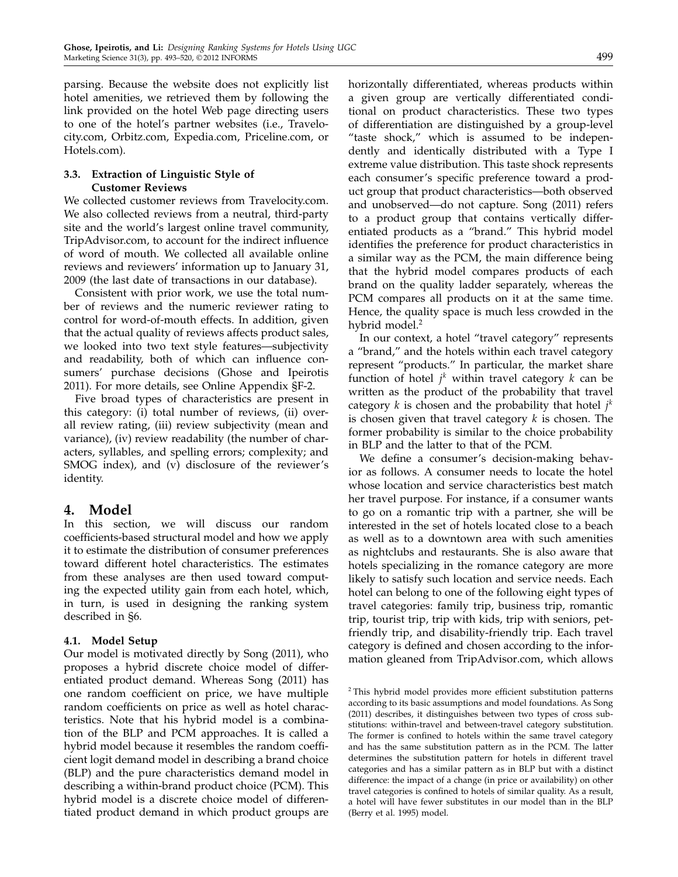parsing. Because the website does not explicitly list hotel amenities, we retrieved them by following the link provided on the hotel Web page directing users to one of the hotel's partner websites (i.e., Travelocity.com, Orbitz.com, Expedia.com, Priceline.com, or Hotels.com).

## 3.3. Extraction of Linguistic Style of Customer Reviews

We collected customer reviews from Travelocity.com. We also collected reviews from a neutral, third-party site and the world's largest online travel community, TripAdvisor.com, to account for the indirect influence of word of mouth. We collected all available online reviews and reviewers' information up to January 31, 2009 (the last date of transactions in our database).

Consistent with prior work, we use the total number of reviews and the numeric reviewer rating to control for word-of-mouth effects. In addition, given that the actual quality of reviews affects product sales, we looked into two text style features—subjectivity and readability, both of which can influence consumers' purchase decisions (Ghose and Ipeirotis 2011). For more details, see Online Appendix §F-2.

Five broad types of characteristics are present in this category: (i) total number of reviews, (ii) overall review rating, (iii) review subjectivity (mean and variance), (iv) review readability (the number of characters, syllables, and spelling errors; complexity; and SMOG index), and (v) disclosure of the reviewer's identity.

# 4. Model

In this section, we will discuss our random coefficients-based structural model and how we apply it to estimate the distribution of consumer preferences toward different hotel characteristics. The estimates from these analyses are then used toward computing the expected utility gain from each hotel, which, in turn, is used in designing the ranking system described in §6.

## 4.1. Model Setup

Our model is motivated directly by Song (2011), who proposes a hybrid discrete choice model of differentiated product demand. Whereas Song (2011) has one random coefficient on price, we have multiple random coefficients on price as well as hotel characteristics. Note that his hybrid model is a combination of the BLP and PCM approaches. It is called a hybrid model because it resembles the random coefficient logit demand model in describing a brand choice (BLP) and the pure characteristics demand model in describing a within-brand product choice (PCM). This hybrid model is a discrete choice model of differentiated product demand in which product groups are horizontally differentiated, whereas products within a given group are vertically differentiated conditional on product characteristics. These two types of differentiation are distinguished by a group-level "taste shock," which is assumed to be independently and identically distributed with a Type I extreme value distribution. This taste shock represents each consumer's specific preference toward a product group that product characteristics—both observed and unobserved—do not capture. Song (2011) refers to a product group that contains vertically differentiated products as a "brand." This hybrid model identifies the preference for product characteristics in a similar way as the PCM, the main difference being that the hybrid model compares products of each brand on the quality ladder separately, whereas the PCM compares all products on it at the same time. Hence, the quality space is much less crowded in the hybrid model.<sup>2</sup>

In our context, a hotel "travel category" represents a "brand," and the hotels within each travel category represent "products." In particular, the market share function of hotel  $j^k$  within travel category  $k$  can be written as the product of the probability that travel category k is chosen and the probability that hotel  $j^k$ is chosen given that travel category  $k$  is chosen. The former probability is similar to the choice probability in BLP and the latter to that of the PCM.

We define a consumer's decision-making behavior as follows. A consumer needs to locate the hotel whose location and service characteristics best match her travel purpose. For instance, if a consumer wants to go on a romantic trip with a partner, she will be interested in the set of hotels located close to a beach as well as to a downtown area with such amenities as nightclubs and restaurants. She is also aware that hotels specializing in the romance category are more likely to satisfy such location and service needs. Each hotel can belong to one of the following eight types of travel categories: family trip, business trip, romantic trip, tourist trip, trip with kids, trip with seniors, petfriendly trip, and disability-friendly trip. Each travel category is defined and chosen according to the information gleaned from TripAdvisor.com, which allows

<sup>2</sup> This hybrid model provides more efficient substitution patterns according to its basic assumptions and model foundations. As Song (2011) describes, it distinguishes between two types of cross substitutions: within-travel and between-travel category substitution. The former is confined to hotels within the same travel category and has the same substitution pattern as in the PCM. The latter determines the substitution pattern for hotels in different travel categories and has a similar pattern as in BLP but with a distinct difference: the impact of a change (in price or availability) on other travel categories is confined to hotels of similar quality. As a result, a hotel will have fewer substitutes in our model than in the BLP (Berry et al. 1995) model.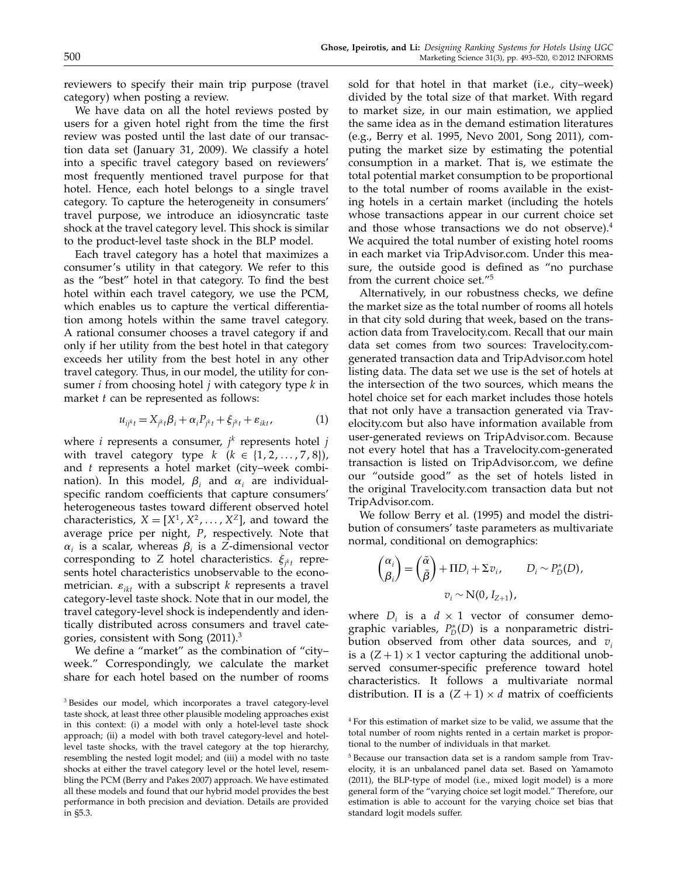reviewers to specify their main trip purpose (travel category) when posting a review.

We have data on all the hotel reviews posted by users for a given hotel right from the time the first review was posted until the last date of our transaction data set (January 31, 2009). We classify a hotel into a specific travel category based on reviewers' most frequently mentioned travel purpose for that hotel. Hence, each hotel belongs to a single travel category. To capture the heterogeneity in consumers' travel purpose, we introduce an idiosyncratic taste shock at the travel category level. This shock is similar to the product-level taste shock in the BLP model.

Each travel category has a hotel that maximizes a consumer's utility in that category. We refer to this as the "best" hotel in that category. To find the best hotel within each travel category, we use the PCM, which enables us to capture the vertical differentiation among hotels within the same travel category. A rational consumer chooses a travel category if and only if her utility from the best hotel in that category exceeds her utility from the best hotel in any other travel category. Thus, in our model, the utility for consumer *i* from choosing hotel *j* with category type  $k$  in market  $t$  can be represented as follows:

$$
u_{ijk} = X_{jk} \beta_i + \alpha_i P_{jk} + \xi_{jk} + \varepsilon_{ikt}, \qquad (1)
$$

where *i* represents a consumer,  $j^k$  represents hotel  $j$ with travel category type  $k$  ( $k \in \{1, 2, \ldots, 7, 8\}$ ), and t represents a hotel market (city–week combination). In this model,  $\beta_i$  and  $\alpha_i$  are individualspecific random coefficients that capture consumers' heterogeneous tastes toward different observed hotel characteristics,  $X = [X^1, X^2, \dots, X^Z]$ , and toward the average price per night, P, respectively. Note that  $\alpha_i$  is a scalar, whereas  $\beta_i$  is a Z-dimensional vector corresponding to Z hotel characteristics.  $\xi_{j^kt}$  represents hotel characteristics unobservable to the econometrician.  $\varepsilon_{ikt}$  with a subscript k represents a travel category-level taste shock. Note that in our model, the travel category-level shock is independently and identically distributed across consumers and travel categories, consistent with Song (2011).<sup>3</sup>

We define a "market" as the combination of "city– week." Correspondingly, we calculate the market share for each hotel based on the number of rooms sold for that hotel in that market (i.e., city–week) divided by the total size of that market. With regard to market size, in our main estimation, we applied the same idea as in the demand estimation literatures (e.g., Berry et al. 1995, Nevo 2001, Song 2011), computing the market size by estimating the potential consumption in a market. That is, we estimate the total potential market consumption to be proportional to the total number of rooms available in the existing hotels in a certain market (including the hotels whose transactions appear in our current choice set and those whose transactions we do not observe).<sup>4</sup> We acquired the total number of existing hotel rooms in each market via TripAdvisor.com. Under this measure, the outside good is defined as "no purchase from the current choice set."<sup>5</sup>

Alternatively, in our robustness checks, we define the market size as the total number of rooms all hotels in that city sold during that week, based on the transaction data from Travelocity.com. Recall that our main data set comes from two sources: Travelocity.comgenerated transaction data and TripAdvisor.com hotel listing data. The data set we use is the set of hotels at the intersection of the two sources, which means the hotel choice set for each market includes those hotels that not only have a transaction generated via Travelocity.com but also have information available from user-generated reviews on TripAdvisor.com. Because not every hotel that has a Travelocity.com-generated transaction is listed on TripAdvisor.com, we define our "outside good" as the set of hotels listed in the original Travelocity.com transaction data but not TripAdvisor.com.

We follow Berry et al. (1995) and model the distribution of consumers' taste parameters as multivariate normal, conditional on demographics:

$$
\begin{pmatrix} \alpha_i \\ \beta_i \end{pmatrix} = \begin{pmatrix} \bar{\alpha} \\ \bar{\beta} \end{pmatrix} + \Pi D_i + \Sigma v_i, \qquad D_i \sim P_D^*(D),
$$
  

$$
v_i \sim N(0, I_{Z+1}),
$$

where  $D_i$  is a  $d \times 1$  vector of consumer demographic variables,  $P_D^*(D)$  is a nonparametric distribution observed from other data sources, and  $v_i$ is a  $(Z + 1) \times 1$  vector capturing the additional unobserved consumer-specific preference toward hotel characteristics. It follows a multivariate normal distribution.  $\Pi$  is a  $(Z + 1) \times d$  matrix of coefficients

<sup>3</sup> Besides our model, which incorporates a travel category-level taste shock, at least three other plausible modeling approaches exist in this context: (i) a model with only a hotel-level taste shock approach; (ii) a model with both travel category-level and hotellevel taste shocks, with the travel category at the top hierarchy, resembling the nested logit model; and (iii) a model with no taste shocks at either the travel category level or the hotel level, resembling the PCM (Berry and Pakes 2007) approach. We have estimated all these models and found that our hybrid model provides the best performance in both precision and deviation. Details are provided in §5.3.

<sup>4</sup> For this estimation of market size to be valid, we assume that the total number of room nights rented in a certain market is proportional to the number of individuals in that market.

<sup>5</sup> Because our transaction data set is a random sample from Travelocity, it is an unbalanced panel data set. Based on Yamamoto (2011), the BLP-type of model (i.e., mixed logit model) is a more general form of the "varying choice set logit model." Therefore, our estimation is able to account for the varying choice set bias that standard logit models suffer.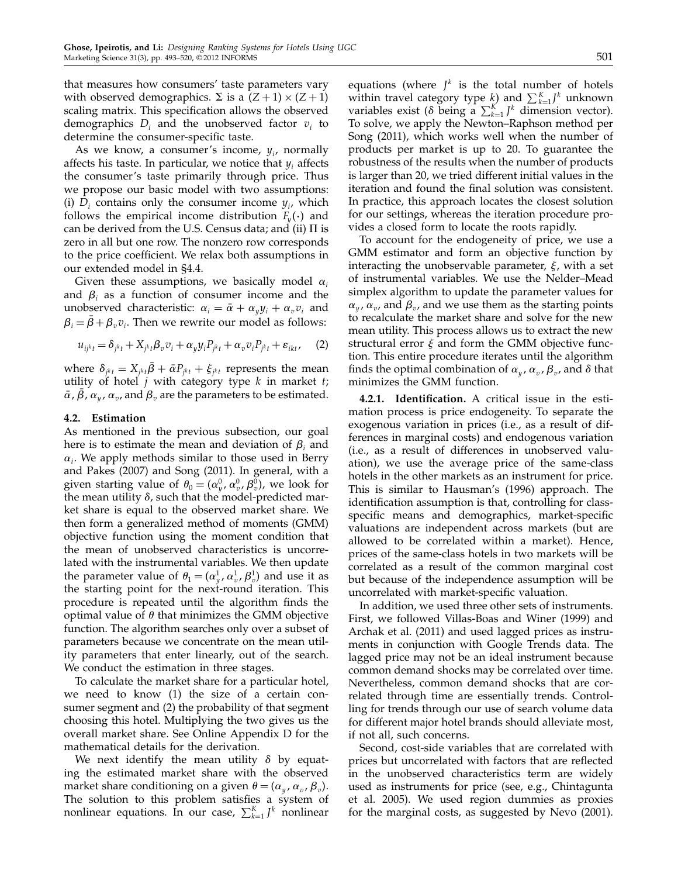that measures how consumers' taste parameters vary with observed demographics.  $\Sigma$  is a  $(Z + 1) \times (Z + 1)$ scaling matrix. This specification allows the observed demographics  $D_i$  and the unobserved factor  $v_i$  to determine the consumer-specific taste.

As we know, a consumer's income,  $y_i$ , normally affects his taste. In particular, we notice that  $y_i$  affects the consumer's taste primarily through price. Thus we propose our basic model with two assumptions: (i)  $D_i$  contains only the consumer income  $y_i$ , which follows the empirical income distribution  $F_y(\cdot)$  and can be derived from the U.S. Census data; and (ii)  $\Pi$  is zero in all but one row. The nonzero row corresponds to the price coefficient. We relax both assumptions in our extended model in §4.4.

Given these assumptions, we basically model  $\alpha_i$ and  $\beta_i$  as a function of consumer income and the unobserved characteristic:  $\alpha_i = \bar{\alpha} + \alpha_{\nu} y_i + \alpha_{\nu} v_i$  and  $\beta_i = \bar{\beta} + \beta_v v_i$ . Then we rewrite our model as follows:

$$
u_{ijk} = \delta_{jk} + X_{jk} \beta_v v_i + \alpha_y y_i P_{jk} + \alpha_v v_i P_{jk} + \varepsilon_{ikt}, \quad (2)
$$

where  $\delta_{j^kt} = X_{j^kt}\bar{\beta} + \bar{\alpha}P_{j^kt} + \xi_{j^kt}$  represents the mean utility of hotel  $j$  with category type  $k$  in market  $t$ ;  $\bar{\alpha}$ ,  $\bar{\beta}$ ,  $\alpha_y$ ,  $\alpha_v$ , and  $\beta_v$  are the parameters to be estimated.

#### 4.2. Estimation

As mentioned in the previous subsection, our goal here is to estimate the mean and deviation of  $\beta_i$  and  $\alpha_i$ . We apply methods similar to those used in Berry and Pakes (2007) and Song (2011). In general, with a given starting value of  $\theta_0 = (\alpha_y^0, \alpha_v^0, \beta_v^0)$ , we look for the mean utility  $\delta$ , such that the model-predicted market share is equal to the observed market share. We then form a generalized method of moments (GMM) objective function using the moment condition that the mean of unobserved characteristics is uncorrelated with the instrumental variables. We then update the parameter value of  $\theta_1 = (\alpha_y^1, \alpha_v^1, \beta_v^1)$  and use it as the starting point for the next-round iteration. This procedure is repeated until the algorithm finds the optimal value of  $\theta$  that minimizes the GMM objective function. The algorithm searches only over a subset of parameters because we concentrate on the mean utility parameters that enter linearly, out of the search. We conduct the estimation in three stages.

To calculate the market share for a particular hotel, we need to know (1) the size of a certain consumer segment and (2) the probability of that segment choosing this hotel. Multiplying the two gives us the overall market share. See Online Appendix D for the mathematical details for the derivation.

We next identify the mean utility  $\delta$  by equating the estimated market share with the observed market share conditioning on a given  $\theta = (\alpha_y, \alpha_v, \beta_v)$ . The solution to this problem satisfies a system of nonlinear equations. In our case,  $\sum_{k=1}^{K} J^k$  nonlinear

equations (where  $J^k$  is the total number of hotels within travel category type  $k$ ) and  $\sum_{k=1}^{K} J^k$  unknown variables exist ( $\delta$  being a  $\sum_{k=1}^{K} J^k$  dimension vector). To solve, we apply the Newton–Raphson method per Song (2011), which works well when the number of products per market is up to 20. To guarantee the robustness of the results when the number of products is larger than 20, we tried different initial values in the iteration and found the final solution was consistent. In practice, this approach locates the closest solution for our settings, whereas the iteration procedure provides a closed form to locate the roots rapidly.

To account for the endogeneity of price, we use a GMM estimator and form an objective function by interacting the unobservable parameter,  $\xi$ , with a set of instrumental variables. We use the Nelder–Mead simplex algorithm to update the parameter values for  $\alpha_{y}$ ,  $\alpha_{v}$ , and  $\beta_{v}$ , and we use them as the starting points to recalculate the market share and solve for the new mean utility. This process allows us to extract the new structural error  $\xi$  and form the GMM objective function. This entire procedure iterates until the algorithm finds the optimal combination of  $\alpha_{y}$ ,  $\alpha_{v}$ ,  $\beta_{v}$ , and  $\delta$  that minimizes the GMM function.

4.2.1. Identification. A critical issue in the estimation process is price endogeneity. To separate the exogenous variation in prices (i.e., as a result of differences in marginal costs) and endogenous variation (i.e., as a result of differences in unobserved valuation), we use the average price of the same-class hotels in the other markets as an instrument for price. This is similar to Hausman's (1996) approach. The identification assumption is that, controlling for classspecific means and demographics, market-specific valuations are independent across markets (but are allowed to be correlated within a market). Hence, prices of the same-class hotels in two markets will be correlated as a result of the common marginal cost but because of the independence assumption will be uncorrelated with market-specific valuation.

In addition, we used three other sets of instruments. First, we followed Villas-Boas and Winer (1999) and Archak et al. (2011) and used lagged prices as instruments in conjunction with Google Trends data. The lagged price may not be an ideal instrument because common demand shocks may be correlated over time. Nevertheless, common demand shocks that are correlated through time are essentially trends. Controlling for trends through our use of search volume data for different major hotel brands should alleviate most, if not all, such concerns.

Second, cost-side variables that are correlated with prices but uncorrelated with factors that are reflected in the unobserved characteristics term are widely used as instruments for price (see, e.g., Chintagunta et al. 2005). We used region dummies as proxies for the marginal costs, as suggested by Nevo (2001).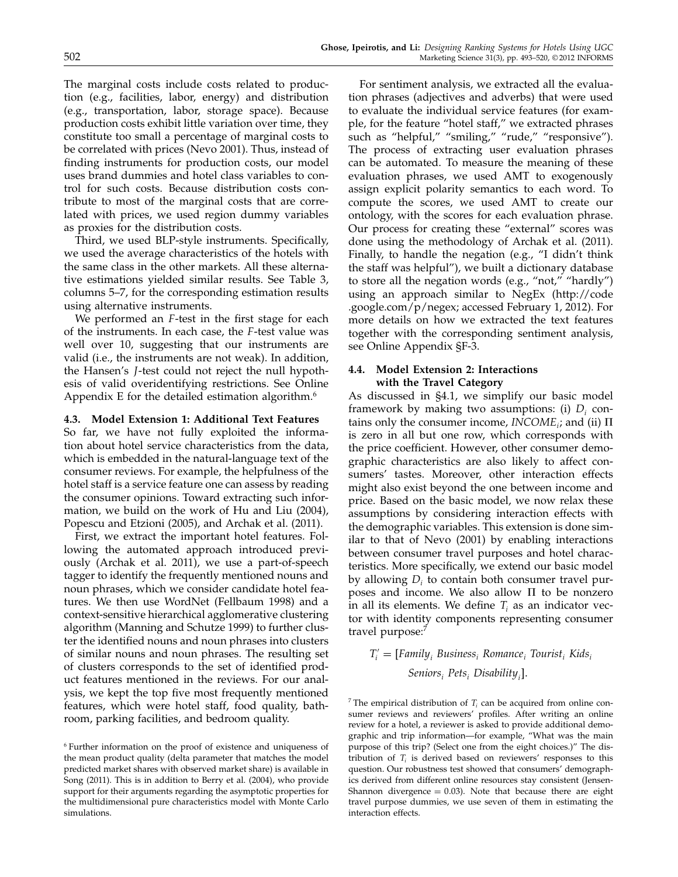The marginal costs include costs related to production (e.g., facilities, labor, energy) and distribution (e.g., transportation, labor, storage space). Because production costs exhibit little variation over time, they constitute too small a percentage of marginal costs to be correlated with prices (Nevo 2001). Thus, instead of finding instruments for production costs, our model uses brand dummies and hotel class variables to control for such costs. Because distribution costs contribute to most of the marginal costs that are correlated with prices, we used region dummy variables as proxies for the distribution costs.

Third, we used BLP-style instruments. Specifically, we used the average characteristics of the hotels with the same class in the other markets. All these alternative estimations yielded similar results. See Table 3, columns 5–7, for the corresponding estimation results using alternative instruments.

We performed an *F*-test in the first stage for each of the instruments. In each case, the F -test value was well over 10, suggesting that our instruments are valid (i.e., the instruments are not weak). In addition, the Hansen's J-test could not reject the null hypothesis of valid overidentifying restrictions. See Online Appendix E for the detailed estimation algorithm. $6\sigma$ 

#### 4.3. Model Extension 1: Additional Text Features

So far, we have not fully exploited the information about hotel service characteristics from the data, which is embedded in the natural-language text of the consumer reviews. For example, the helpfulness of the hotel staff is a service feature one can assess by reading the consumer opinions. Toward extracting such information, we build on the work of Hu and Liu (2004), Popescu and Etzioni (2005), and Archak et al. (2011).

First, we extract the important hotel features. Following the automated approach introduced previously (Archak et al. 2011), we use a part-of-speech tagger to identify the frequently mentioned nouns and noun phrases, which we consider candidate hotel features. We then use WordNet (Fellbaum 1998) and a context-sensitive hierarchical agglomerative clustering algorithm (Manning and Schutze 1999) to further cluster the identified nouns and noun phrases into clusters of similar nouns and noun phrases. The resulting set of clusters corresponds to the set of identified product features mentioned in the reviews. For our analysis, we kept the top five most frequently mentioned features, which were hotel staff, food quality, bathroom, parking facilities, and bedroom quality.

For sentiment analysis, we extracted all the evaluation phrases (adjectives and adverbs) that were used to evaluate the individual service features (for example, for the feature "hotel staff," we extracted phrases such as "helpful," "smiling," "rude," "responsive"). The process of extracting user evaluation phrases can be automated. To measure the meaning of these evaluation phrases, we used AMT to exogenously assign explicit polarity semantics to each word. To compute the scores, we used AMT to create our ontology, with the scores for each evaluation phrase. Our process for creating these "external" scores was done using the methodology of Archak et al. (2011). Finally, to handle the negation (e.g., "I didn't think the staff was helpful"), we built a dictionary database to store all the negation words (e.g., "not," "hardly") using an approach similar to NegEx (http://code .google.com/p/negex; accessed February 1, 2012). For more details on how we extracted the text features together with the corresponding sentiment analysis, see Online Appendix §F-3.

### 4.4. Model Extension 2: Interactions with the Travel Category

As discussed in §4.1, we simplify our basic model framework by making two assumptions: (i)  $D_i$  contains only the consumer income,  $INCOME_i$ ; and (ii)  $\Pi$ is zero in all but one row, which corresponds with the price coefficient. However, other consumer demographic characteristics are also likely to affect consumers' tastes. Moreover, other interaction effects might also exist beyond the one between income and price. Based on the basic model, we now relax these assumptions by considering interaction effects with the demographic variables. This extension is done similar to that of Nevo (2001) by enabling interactions between consumer travel purposes and hotel characteristics. More specifically, we extend our basic model by allowing  $D_i$  to contain both consumer travel purposes and income. We also allow  $\Pi$  to be nonzero in all its elements. We define  $T_i$  as an indicator vector with identity components representing consumer travel purpose:<sup>7</sup>

 $T'_{i} = [Family_{i} Business_{i} Romance_{i} Tourism% {i} ]$  Framily<sub>i</sub> Business<sub>i</sub> Romance<sub>i</sub> Tourist<sub>i</sub> Kids<sub>i</sub>  $\mathit{Seniors}_i$   $\mathit{Pets}_i$   $\mathit{Disability}_i$ ].

<sup>7</sup> The empirical distribution of  $T_i$  can be acquired from online consumer reviews and reviewers' profiles. After writing an online review for a hotel, a reviewer is asked to provide additional demographic and trip information—for example, "What was the main purpose of this trip? (Select one from the eight choices.)" The distribution of  $T_i$  is derived based on reviewers' responses to this question. Our robustness test showed that consumers' demographics derived from different online resources stay consistent (Jensen-Shannon divergence  $= 0.03$ ). Note that because there are eight travel purpose dummies, we use seven of them in estimating the interaction effects.

<sup>6</sup> Further information on the proof of existence and uniqueness of the mean product quality (delta parameter that matches the model predicted market shares with observed market share) is available in Song (2011). This is in addition to Berry et al. (2004), who provide support for their arguments regarding the asymptotic properties for the multidimensional pure characteristics model with Monte Carlo simulations.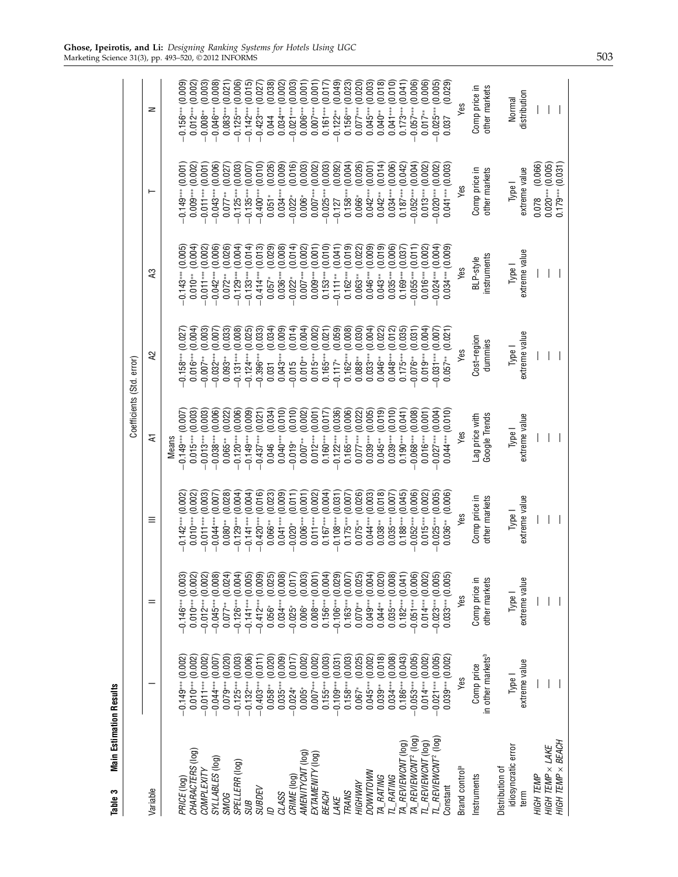| <b>Main Estimation Results</b><br>Table 3 |                                             |                                |                                |                                 |                           |                          |                                |                                |
|-------------------------------------------|---------------------------------------------|--------------------------------|--------------------------------|---------------------------------|---------------------------|--------------------------|--------------------------------|--------------------------------|
|                                           |                                             |                                |                                |                                 | Coefficients (Std. error) |                          |                                |                                |
| Variable                                  |                                             |                                | $\equiv$                       | Ξ                               | 55                        | £,                       | ⊢                              | z                              |
|                                           |                                             |                                |                                | <b>Means</b>                    |                           |                          |                                |                                |
| PRICE (log)                               | $0.149***$ (0.002)                          | $0.146***$ (0.003)             | (0.002)<br>$0.142***$          | (0.007)<br>$0.149***$           | $0.158***$ (0.027         | $0.143***$ (0.005)       | (0.001)<br>$0.149***$          | (0.009)<br>$0.156***$          |
| CHARACTERS (log)                          | $0.010***$ (0.002)                          | $0.010***(0.002)$              | (0.002)<br>$0.010***$          | (0.003)<br>$0.015***$           | (0.004)<br>$0.016***$     | (0.004)<br>$0.010**$     | (0.002)<br>$0.009***$          | (0.002)<br>$0.012***$          |
| COMPLEXITY                                | $-0.011***$ (0.002)                         | $-0.012***$ (0.002)            | (0.003)<br>$-0.011***$         | (0.003)<br>$0.013***$           | (0.003)<br>$0.007**$      | (0.002)<br>$-0.011**$    | (0.001)<br>$-0.011***$         | (0.003)<br>$-0.008**$          |
| SYLLABLES (log)                           | (0.007)<br>$-0.044***$                      | $-0.045***$ (0.008)            | (0.007)<br>$-0.044***$         | (0.006)<br>$0.038***$           | (0.007)<br>$-0.032***$    | (0.006)<br>$0.042***$    | (0.006)<br>$-0.043***$         | (0.008)<br>$-0.046***$         |
| <b>SMOG</b>                               | (0.020)<br>$0.079***$                       | (0.024)<br>$0.077***$          | (0.028)<br>$0.080**$           | (0.022)<br>$0.065***$           | (0.033)<br>$0.093**$      | (0.026)<br>$0.072***$    | (0.027)<br>$0.077**$           | (0.021)<br>$0.083***$          |
| SPELLERR (log)                            | (0.003)<br>$-0.125***$                      | (0.004)<br>$-0.126***$         | (0.004)<br>$0.129***$          | (0.006)<br>$0.120***$           | (0.008)<br>$-0.131***$    | (0.004)<br>$0.129***$    | (0.003)<br>$-0.125***$         | (0.006)<br>$-0.125***$         |
| <b>SUB</b>                                | (0.006)<br>$-0.132***$                      | (0.005)<br>$-0.141***$         | (0.004)<br>$-0.141***$         | (0.009)<br>$0.149***$           | (0.025)<br>$-0.124***$    | (0.014)<br>$0.133***$    | (0.007)<br>$-0.135***$         | (0.015)<br>$-0.142***$         |
| <b>SUBDEV</b>                             | (0.011)<br>$-0.403***$                      | (0.009)<br>$-0.412***$         | (0.016)<br>$-0.420***$         | (0.021)<br>$-0.437***$          | (0.033)<br>$-0.396***$    | (0.013)<br>$-0.414***$   | (0.010)<br>$-0.400***$         | (0.027)<br>$-0.423***$         |
| g                                         | (0.020)<br>$0.058***$                       | (0.025)<br>$0.056*$            | (0.023)<br>$0.066***$          | (0.034)<br>0.046                | (0.034)<br>0.031          | (0.029)<br>$0.057*$      | (0.026)<br>$0.051*$            | (0.038)<br>0.044               |
| CLASS                                     | (0.009)<br>$0.035***$                       | (0.008)<br>$0.034***$          | (0.009)<br>$0.041***$          | (0.010)<br>$0.040***$           | (0.009)<br>$0.043***$     | (0.008)<br>$0.036***$    | (0.009)<br>$0.034***$          | (0.002)<br>$0.034***$          |
| CRIME (log)                               | (0.017)<br>$-0.024*$                        | (0.017)<br>$0.025*$            | (0.011)<br>$-0.020*$           | (0.010)<br>$-0.019*$            | (0.014)<br>$-0.015$       | (0.014)<br>$0.022*$      | (0.016)<br>$-0.022*$           | (0.003)<br>$0.021***$          |
| AMENITYCNT (log)                          | (0.002)<br>$0.005*$                         | (0.003)<br>$0.006*$            | (0.001)<br>$0.006***$          | (0.002)<br>$0.007***$           | (0.004)<br>$0.010**$      | (0.002)<br>$0.007***$    | (0.003)<br>$0.006*$            | (0.001)<br>$0.006***$          |
| EXTAMENITY (log)                          | (0.002)<br>$0.007***$                       | (0.001)<br>$0.008***$          | (0.002)<br>$0.011***$          | (0.001)<br>$0.012***$           | (0.002)<br>$0.015***$     | (0.001)<br>$0.009***$    | (0.002)<br>$0.007***$          | (0.001)<br>$0.007***$          |
| <b>BEACH</b>                              | (0.003)<br>$0.155***$                       | (0.004)<br>$0.156***$          | (0.004)<br>$0.167***$          | (0.017)<br>$0.160***$           | (0.021)<br>$0.165***$     | (0.010)<br>$0.153***$    | (0.003)<br>$-0.025***$         | (0.017)<br>$0.161***$          |
| LAKE                                      | (0.031)<br>$-0.109***$                      | $0.106***$ (0.029)             | (0.031)<br>$-0.108***$         | (0.036)<br>$0.122***$           | (0.059)<br>$0.117*$       | (0.041)<br>$0.111**$     | (0.092)<br>$-0.127$            | (0.049)<br>$-0.122**$          |
| TRANS                                     | (0.003)<br>$0.158***$                       | $0.163***$ (0.007)             | (0.007)<br>$0.175***$          | (0.006)<br>$0.165***$           | (0.008)<br>$0.162***$     | (0.019)<br>$0.162***$    | (0.004)<br>$0.158***$          | (0.023)<br>$0.156***$          |
| HIGHWAY                                   | (0.025)<br>$0.067*$                         | (0.025)<br>$0.070**$           | (0.026)<br>$0.075***$          | (0.022)<br>$0.077***$           | (0.030)<br>$0.088**$      | (0.022)<br>$0.063**$     | (0.026)<br>$0.066*$            | (0.020)<br>$0.077***$          |
| DOWNTOWN                                  | (0.002)<br>$0.045***$                       | (0.004)<br>$0.049***$          | (0.003)<br>$0.044***$          | (0.005)<br>$0.039***$           | (0.004)<br>$0.033***$     | (0.009)<br>$0.046***$    | (0.001)<br>$0.042***$          | (0.003)<br>$0.045***$          |
| TA_RATING                                 | (0.018)<br>$0.039***$                       | (0.020)<br>$0.044**$           | (0.018)<br>$0.038**$           | (0.019)<br>$0.045**$            | (0.022)<br>$0.046**$      | (0.019)<br>$0.043**$     | (0.014)<br>$0.042**$           | (0.018)<br>$0.040**$           |
| TL_RATING                                 | (0.008)<br>$0.034***$                       | $0.035***$ (0.008)             | (0.007)<br>$0.035***$          | (0.010)<br>$0.039***$           | (0.012)<br>$0.048***$     | (0.006)<br>$0.035***$    | (0.006)<br>$0.034***$          | (0.010)<br>$0.041***$          |
| TA_REVIEWCNT (log                         | (0.043)<br>$0.186***$                       | $0.182***$ (0.041)             | (0.045)<br>$0.188***$          | (0.041)<br>$0.190***$           | (0.035)<br>$0.175***$     | (0.037)<br>$0.169***$    | (0.042)<br>$0.187***$          | (0.041)<br>$0.173***$          |
| TA_REVIEWCNT <sup>2</sup> (log)           | $0.053***$ (0.005)                          | $0.051***$ (0.006)             | (0.006)<br>$0.052***$          | (0.008)<br>$0.068***$           | (0.031)<br>$0.076**$      | (0.011)<br>$0.055***$    | (0.004)<br>$0.052***$          | (0.006)<br>$0.057***$          |
| TL_REVIEWCNT (log)                        | $0.014***$ (0.002)                          | $0.014***$ (0.002)             | (0.002)<br>$0.015***$          | (0.001)<br>$0.016***$           | (0.004)<br>$0.019***$     | $0.016***$ (0.002)       | (0.002)<br>$0.013***$          | (0.006)<br>$0.017**$           |
| $7L\_REVIEWCNT^2$ (log)                   | $0.021***$ (0.005)                          | $0.023***$ (0.005)             | (0.005)<br>$0.025***$          | (0.004)<br>$0.027***$           | $-0.031***$ (0.007        | $0.024***$ (0.004)       | $0.020***$ (0.002)             | (0.005)<br>$0.025***$          |
| Constant                                  | $0.039***$ (0.002)                          | $0.033***$ (0.005)             | (0.006)<br>$0.036***$          | $0.044***$ (0.010)              | (0.021)<br>$0.057***$     | $0.034***$ (0.009)       | $0.041***$ (0.003)             | (0.029)<br>0.037               |
| Brand control <sup>a</sup>                | Yes                                         | Yes                            | Yes                            | Yes                             | Yes                       | Yes                      | Yes                            | Yes                            |
| nstruments                                | in other markets <sup>b</sup><br>Comp price | Comp price in<br>other markets | Comp price in<br>other markets | Google Trends<br>Lag price with | Cost-region<br>dummies    | instruments<br>BLP-style | Comp price in<br>other markets | Comp price in<br>other markets |
| Distribution of                           |                                             |                                |                                |                                 |                           |                          |                                |                                |
| idiosyncratic error                       | Type I                                      | Type I                         | Type I                         | Type I                          | Type I                    | Type I                   | Type I                         | Normal                         |
| term                                      | extreme value                               | extreme value                  | extreme value                  | extreme value                   | extreme value             | extreme value            | extreme value                  | distribution                   |
| HIGH TEMP                                 |                                             |                                |                                |                                 |                           |                          | (0.066)<br>0.078               |                                |
| HIGH TEMP × LAKE                          |                                             |                                |                                |                                 |                           |                          | (0.005)<br>$0.020***$          |                                |
| HIGH TEMP $\times$ BEACH                  |                                             |                                |                                |                                 |                           |                          | $0.179***$ (0.031)             |                                |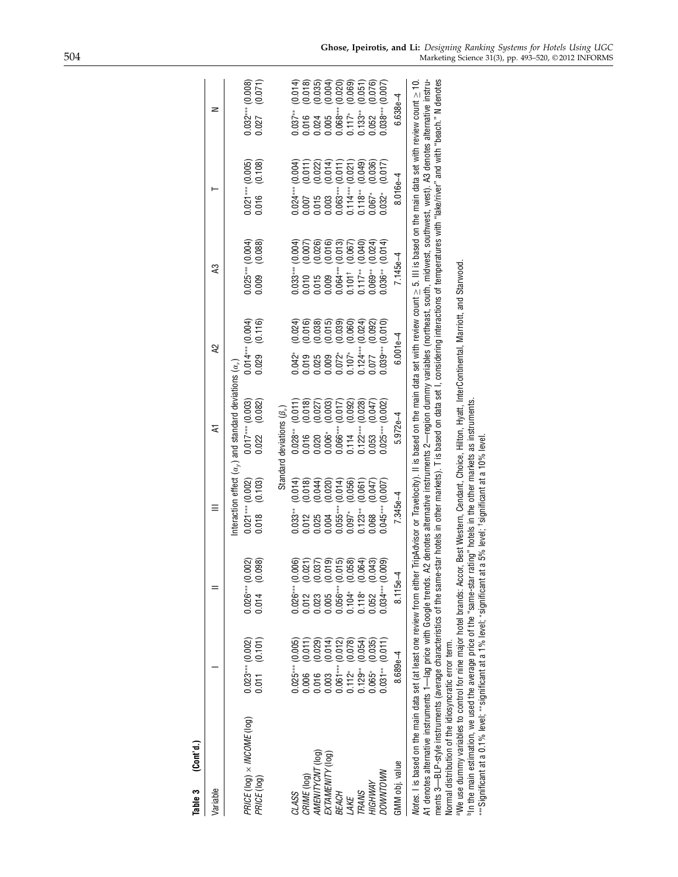| Table 3 (Cont'd.)                                                                                                                                                                                                                                                                                                                                                                                                                                                                                                                                                                                                                                                                                                                                                                                                                                                                                                                                     |                                        |                                                                                                                                                                                                                                                                            |                                                                                                                                                                                                 |                                                                                                                       |                                        |                                       |                                                               |                                                                           |
|-------------------------------------------------------------------------------------------------------------------------------------------------------------------------------------------------------------------------------------------------------------------------------------------------------------------------------------------------------------------------------------------------------------------------------------------------------------------------------------------------------------------------------------------------------------------------------------------------------------------------------------------------------------------------------------------------------------------------------------------------------------------------------------------------------------------------------------------------------------------------------------------------------------------------------------------------------|----------------------------------------|----------------------------------------------------------------------------------------------------------------------------------------------------------------------------------------------------------------------------------------------------------------------------|-------------------------------------------------------------------------------------------------------------------------------------------------------------------------------------------------|-----------------------------------------------------------------------------------------------------------------------|----------------------------------------|---------------------------------------|---------------------------------------------------------------|---------------------------------------------------------------------------|
| Variable                                                                                                                                                                                                                                                                                                                                                                                                                                                                                                                                                                                                                                                                                                                                                                                                                                                                                                                                              |                                        |                                                                                                                                                                                                                                                                            |                                                                                                                                                                                                 | হ                                                                                                                     | Q)                                     | 43                                    |                                                               | z                                                                         |
| PRICE (log) × INCOME (log)<br>PRICE (log)                                                                                                                                                                                                                                                                                                                                                                                                                                                                                                                                                                                                                                                                                                                                                                                                                                                                                                             | (0.101)<br>$0.023***$ (0.002)<br>0.011 | (0.098)<br>$0.026***$ (0.002)<br>0.014                                                                                                                                                                                                                                     | (0.103)<br>$0.021***$ (0.002)<br>0.018                                                                                                                                                          | nteraction effect $(\alpha_{\nu})$ and standard deviations $(\alpha_{\nu})$<br>(0.082)<br>$0.017***$ (0.003)<br>0.022 | $0.014***$ (0.004)<br>(0.116)<br>0.029 | (0.088)<br>$0.025***(0.004)$<br>0.009 | $0.021***(0.005)$<br>(0.108)<br>0.016                         | (0.071)<br>$0.032***$ (0.008)<br>0.027                                    |
|                                                                                                                                                                                                                                                                                                                                                                                                                                                                                                                                                                                                                                                                                                                                                                                                                                                                                                                                                       |                                        |                                                                                                                                                                                                                                                                            |                                                                                                                                                                                                 | Standard deviations $(\beta_n)$                                                                                       |                                        |                                       |                                                               |                                                                           |
| CLASS                                                                                                                                                                                                                                                                                                                                                                                                                                                                                                                                                                                                                                                                                                                                                                                                                                                                                                                                                 | $0.025***00.005$                       | $0.026***$ (0.006)                                                                                                                                                                                                                                                         | (0.014)<br>0.033**                                                                                                                                                                              | $0.028**$ (0.011)                                                                                                     | (0.024)<br>$0.042*$                    | $0.033***$ (0.004)                    | $0.024***$ (0.004)                                            | $0.037***$ (0.014)                                                        |
| CRIME (log)                                                                                                                                                                                                                                                                                                                                                                                                                                                                                                                                                                                                                                                                                                                                                                                                                                                                                                                                           | (0.011)<br>0.006                       |                                                                                                                                                                                                                                                                            | (0.018)<br>0.012                                                                                                                                                                                | (0.018)<br>0.016                                                                                                      | (0.016)<br>0.019                       | (0.007)<br>0.010                      | (0.011)<br>0.007                                              | (0.018)<br>0.016                                                          |
| AMENITYCNT (log)                                                                                                                                                                                                                                                                                                                                                                                                                                                                                                                                                                                                                                                                                                                                                                                                                                                                                                                                      | (0.029)<br>0.016                       |                                                                                                                                                                                                                                                                            | (0.044)<br>0.025                                                                                                                                                                                | (0.027)<br>0.020                                                                                                      | (0.038)<br>0.025                       | (0.026)<br>0.015                      | $\begin{array}{c} 0.015 \\ 0.003 \\ 0.063^{***~f}\end{array}$ | (0.035)<br>0.024                                                          |
| EXTAMENITY (log)                                                                                                                                                                                                                                                                                                                                                                                                                                                                                                                                                                                                                                                                                                                                                                                                                                                                                                                                      | (0.014)<br>1.003                       |                                                                                                                                                                                                                                                                            | (0.020)<br>0.004                                                                                                                                                                                | (0.003)<br>$0.006*$                                                                                                   | $(0.015)$<br>$(0.039)$<br>0.009        | $(0.016)$<br>$(0.013)$<br>0.009       | $(0.022)$<br>$(0.014)$                                        | $(0.004)$<br>$(0.020)$<br>$\begin{array}{c} 0.005 \ 0.068*** \end{array}$ |
| <b>BEACH</b>                                                                                                                                                                                                                                                                                                                                                                                                                                                                                                                                                                                                                                                                                                                                                                                                                                                                                                                                          | (0.012)<br>$0.061***$                  |                                                                                                                                                                                                                                                                            | (0.014)<br>$0.055***$                                                                                                                                                                           | (0.017)<br>$0.066***$                                                                                                 | $0.072*$                               | $0.064***$                            | (0.011)                                                       |                                                                           |
| LAKE                                                                                                                                                                                                                                                                                                                                                                                                                                                                                                                                                                                                                                                                                                                                                                                                                                                                                                                                                  | (0.078)<br>$0.112*$                    |                                                                                                                                                                                                                                                                            | (0.056)<br>$0.097*$                                                                                                                                                                             | (0.092)<br>0.114                                                                                                      | (0.060)<br>$0.107*$                    | (0.067)<br>$0.101^{\dagger}$          | $0.114***$ (0.021                                             | (0.069)<br>$0.117*$                                                       |
| <b>TRANS</b>                                                                                                                                                                                                                                                                                                                                                                                                                                                                                                                                                                                                                                                                                                                                                                                                                                                                                                                                          | (0.054)<br>$0.129**$                   |                                                                                                                                                                                                                                                                            | (0.061)<br>$0.123**$                                                                                                                                                                            | (0.028)<br>$0.122***$                                                                                                 | (0.024)<br>$0.124***$                  | (0.040)<br>$0.117***$                 | (0.049)<br>$0.118***$                                         | (0.051)<br>$0.133**$                                                      |
| HIGHWAY                                                                                                                                                                                                                                                                                                                                                                                                                                                                                                                                                                                                                                                                                                                                                                                                                                                                                                                                               | (0.035)<br>$0.065*$                    |                                                                                                                                                                                                                                                                            | (0.047)<br>0.068                                                                                                                                                                                | (0.047)<br>0.53                                                                                                       | (0.092)<br>0.077                       | (0.024)<br>$0.069***$                 | (0.036)<br>$0.067*$                                           | (0.076)<br>0.052                                                          |
| DOWNTOWN                                                                                                                                                                                                                                                                                                                                                                                                                                                                                                                                                                                                                                                                                                                                                                                                                                                                                                                                              | $0.031**$ (0.011)                      | $\begin{array}{ll} 0.012 & (0.021) \\ 0.023 & (0.037) \\ 0.025 & (0.019) \\ 0.005 & (0.019) \\ 0.056^{***} & (0.015) \\ 0.104^{*} & (0.058) \\ 0.118^{*} & (0.064) \\ 0.062 & (0.043) \\ 0.052 & (0.043) \\ 0.034^{***} & (0.043) \\ 0.034^{***} & (0.049) \\ \end{array}$ | $0.045***$ (0.007)                                                                                                                                                                              | $0.025***$ (0.002)                                                                                                    | $0.039***$ (0.010)                     | $0.036**$ $(0.014)$                   | (0.017)<br>$0.032*$                                           | $0.038***$ (0.007)                                                        |
| GMM obj. value                                                                                                                                                                                                                                                                                                                                                                                                                                                                                                                                                                                                                                                                                                                                                                                                                                                                                                                                        | 8.689e-4                               | $8.115e-4$                                                                                                                                                                                                                                                                 | $7.345e-4$                                                                                                                                                                                      | $5.972e-4$                                                                                                            | $6.001e-4$                             | $7.145e-4$                            | $8.016e-4$                                                    | $6.638e - 4$                                                              |
| ments 3—BLP-style instruments (average characteristics of the same-star hotels in other markets). T is based on data set I, considering interactions of temperatures with "lake/river" and with "beach." N denotes<br>Modes. I is based on the main data set (at least one review from either TripAdvisor or Travelocity). II is based on the main data set with review count $\geq$ 5. III is based on the main data set with review count $\geq$ 10<br>"We use dummy variables to control for nine major hotel brands: Accor, Best Western, Cendant, Choice, Hilton, Hyatt, InterContinental, Marriott, and Starwood<br>****Significant at a 0.1% level; **significant at a 1% level; *significant at a 5% level; †significant at a 10% level.<br>In the main estimation, we used the average price of the "same-star<br>A1 denotes alternative instruments 1—lag price with Google trends.<br>Normal distribution of the idiosyncratic error term. |                                        |                                                                                                                                                                                                                                                                            | A2 denotes alternative instruments 2—region dummy variables (northeast, south, midwest, southwest, west). A3 denotes alternative instru-<br>rating" hotels in the other markets as instruments. |                                                                                                                       |                                        |                                       |                                                               |                                                                           |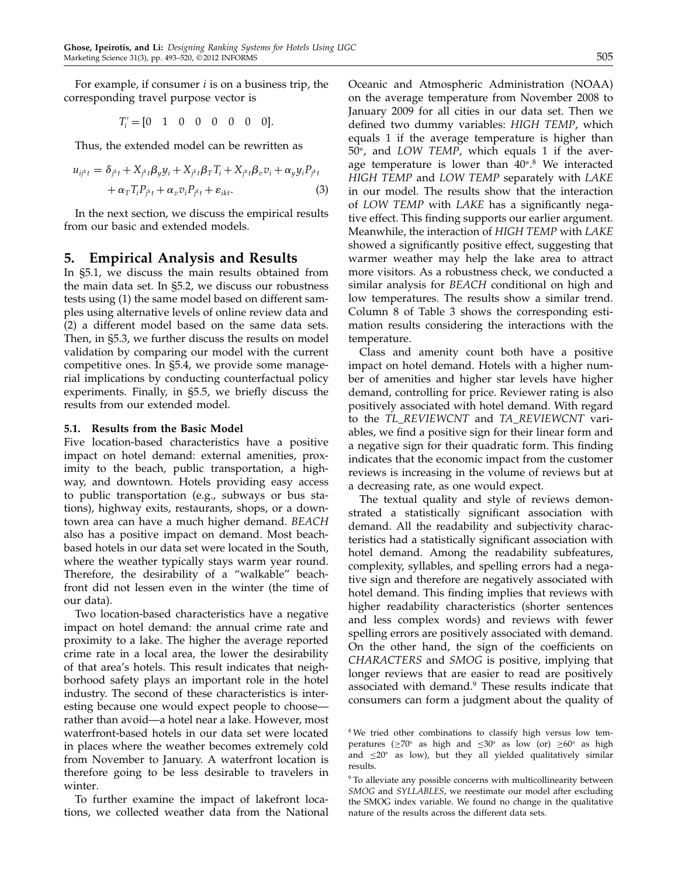For example, if consumer  $i$  is on a business trip, the corresponding travel purpose vector is

 $T'_i = [0 \ 1 \ 0 \ 0 \ 0 \ 0 \ 0 \ 0]$ .

Thus, the extended model can be rewritten as

$$
u_{ijk} = \delta_{jk} + X_{jk} \beta_y y_i + X_{jk} \beta_T T_i + X_{jk} \beta_v v_i + \alpha_y y_i P_{jk} + \alpha_T T_i P_{jk} + \alpha_v v_i P_{jk} + \epsilon_{ikl}.
$$
 (3)

In the next section, we discuss the empirical results from our basic and extended models.

## 5. Empirical Analysis and Results

In §5.1, we discuss the main results obtained from the main data set. In §5.2, we discuss our robustness tests using (1) the same model based on different samples using alternative levels of online review data and (2) a different model based on the same data sets. Then, in §5.3, we further discuss the results on model validation by comparing our model with the current competitive ones. In §5.4, we provide some managerial implications by conducting counterfactual policy experiments. Finally, in §5.5, we briefly discuss the results from our extended model.

## 5.1. Results from the Basic Model

Five location-based characteristics have a positive impact on hotel demand: external amenities, proximity to the beach, public transportation, a highway, and downtown. Hotels providing easy access to public transportation (e.g., subways or bus stations), highway exits, restaurants, shops, or a downtown area can have a much higher demand. BEACH also has a positive impact on demand. Most beachbased hotels in our data set were located in the South, where the weather typically stays warm year round. Therefore, the desirability of a "walkable" beachfront did not lessen even in the winter (the time of our data).

Two location-based characteristics have a negative impact on hotel demand: the annual crime rate and proximity to a lake. The higher the average reported crime rate in a local area, the lower the desirability of that area's hotels. This result indicates that neighborhood safety plays an important role in the hotel industry. The second of these characteristics is interesting because one would expect people to choose rather than avoid—a hotel near a lake. However, most waterfront-based hotels in our data set were located in places where the weather becomes extremely cold from November to January. A waterfront location is therefore going to be less desirable to travelers in winter.

To further examine the impact of lakefront locations, we collected weather data from the National Oceanic and Atmospheric Administration (NOAA) on the average temperature from November 2008 to January 2009 for all cities in our data set. Then we defined two dummy variables: HIGH TEMP, which equals 1 if the average temperature is higher than 50 , and LOW TEMP, which equals 1 if the average temperature is lower than 40°.<sup>8</sup> We interacted HIGH TEMP and LOW TEMP separately with LAKE in our model. The results show that the interaction of LOW TEMP with LAKE has a significantly negative effect. This finding supports our earlier argument. Meanwhile, the interaction of HIGH TEMP with LAKE showed a significantly positive effect, suggesting that warmer weather may help the lake area to attract more visitors. As a robustness check, we conducted a similar analysis for BEACH conditional on high and low temperatures. The results show a similar trend. Column 8 of Table 3 shows the corresponding estimation results considering the interactions with the temperature.

Class and amenity count both have a positive impact on hotel demand. Hotels with a higher number of amenities and higher star levels have higher demand, controlling for price. Reviewer rating is also positively associated with hotel demand. With regard to the TL\_REVIEWCNT and TA\_REVIEWCNT variables, we find a positive sign for their linear form and a negative sign for their quadratic form. This finding indicates that the economic impact from the customer reviews is increasing in the volume of reviews but at a decreasing rate, as one would expect.

The textual quality and style of reviews demonstrated a statistically significant association with demand. All the readability and subjectivity characteristics had a statistically significant association with hotel demand. Among the readability subfeatures, complexity, syllables, and spelling errors had a negative sign and therefore are negatively associated with hotel demand. This finding implies that reviews with higher readability characteristics (shorter sentences and less complex words) and reviews with fewer spelling errors are positively associated with demand. On the other hand, the sign of the coefficients on CHARACTERS and SMOG is positive, implying that longer reviews that are easier to read are positively associated with demand.<sup>9</sup> These results indicate that consumers can form a judgment about the quality of

<sup>&</sup>lt;sup>8</sup> We tried other combinations to classify high versus low temperatures ( $\geq 70^\circ$  as high and  $\leq 30^\circ$  as low (or)  $\geq 60^\circ$  as high and  $\leq$ 20° as low), but they all yielded qualitatively similar results.

<sup>&</sup>lt;sup>9</sup> To alleviate any possible concerns with multicollinearity between SMOG and SYLLABLES, we reestimate our model after excluding the SMOG index variable. We found no change in the qualitative nature of the results across the different data sets.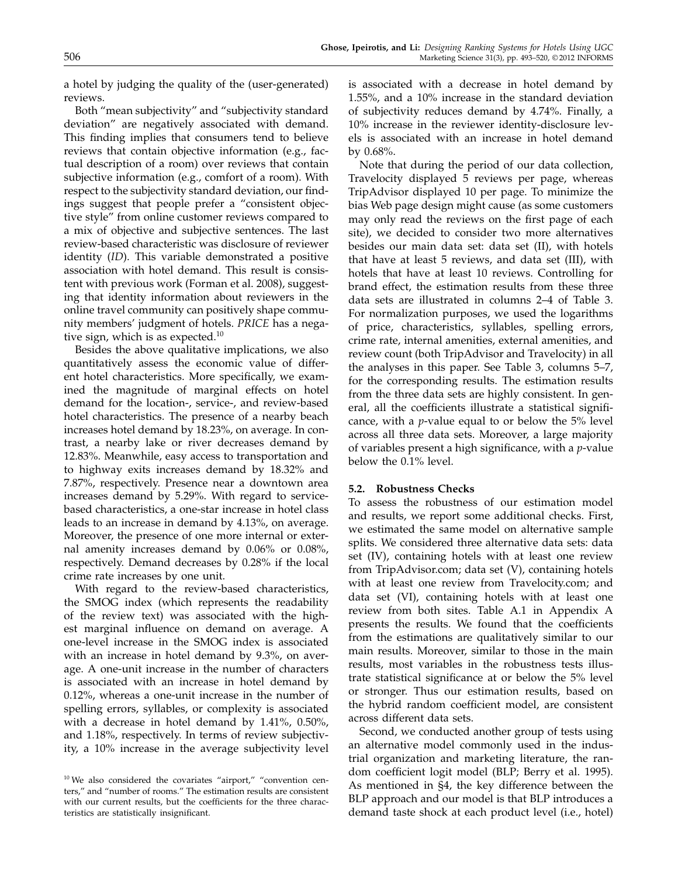a hotel by judging the quality of the (user-generated) reviews.

Both "mean subjectivity" and "subjectivity standard deviation" are negatively associated with demand. This finding implies that consumers tend to believe reviews that contain objective information (e.g., factual description of a room) over reviews that contain subjective information (e.g., comfort of a room). With respect to the subjectivity standard deviation, our findings suggest that people prefer a "consistent objective style" from online customer reviews compared to a mix of objective and subjective sentences. The last review-based characteristic was disclosure of reviewer identity (ID). This variable demonstrated a positive association with hotel demand. This result is consistent with previous work (Forman et al. 2008), suggesting that identity information about reviewers in the online travel community can positively shape community members' judgment of hotels. PRICE has a negative sign, which is as expected. $10$ 

Besides the above qualitative implications, we also quantitatively assess the economic value of different hotel characteristics. More specifically, we examined the magnitude of marginal effects on hotel demand for the location-, service-, and review-based hotel characteristics. The presence of a nearby beach increases hotel demand by 18.23%, on average. In contrast, a nearby lake or river decreases demand by 12.83%. Meanwhile, easy access to transportation and to highway exits increases demand by 18.32% and 7.87%, respectively. Presence near a downtown area increases demand by 5.29%. With regard to servicebased characteristics, a one-star increase in hotel class leads to an increase in demand by 4.13%, on average. Moreover, the presence of one more internal or external amenity increases demand by 0.06% or 0.08%, respectively. Demand decreases by 0.28% if the local crime rate increases by one unit.

With regard to the review-based characteristics, the SMOG index (which represents the readability of the review text) was associated with the highest marginal influence on demand on average. A one-level increase in the SMOG index is associated with an increase in hotel demand by 9.3%, on average. A one-unit increase in the number of characters is associated with an increase in hotel demand by 0.12%, whereas a one-unit increase in the number of spelling errors, syllables, or complexity is associated with a decrease in hotel demand by 1.41%, 0.50%, and 1.18%, respectively. In terms of review subjectivity, a 10% increase in the average subjectivity level

is associated with a decrease in hotel demand by 1.55%, and a 10% increase in the standard deviation of subjectivity reduces demand by 4.74%. Finally, a 10% increase in the reviewer identity-disclosure levels is associated with an increase in hotel demand by 0.68%.

Note that during the period of our data collection, Travelocity displayed 5 reviews per page, whereas TripAdvisor displayed 10 per page. To minimize the bias Web page design might cause (as some customers may only read the reviews on the first page of each site), we decided to consider two more alternatives besides our main data set: data set (II), with hotels that have at least 5 reviews, and data set (III), with hotels that have at least 10 reviews. Controlling for brand effect, the estimation results from these three data sets are illustrated in columns 2–4 of Table 3. For normalization purposes, we used the logarithms of price, characteristics, syllables, spelling errors, crime rate, internal amenities, external amenities, and review count (both TripAdvisor and Travelocity) in all the analyses in this paper. See Table 3, columns 5–7, for the corresponding results. The estimation results from the three data sets are highly consistent. In general, all the coefficients illustrate a statistical significance, with a  $p$ -value equal to or below the 5% level across all three data sets. Moreover, a large majority of variables present a high significance, with a p-value below the 0.1% level.

### 5.2. Robustness Checks

To assess the robustness of our estimation model and results, we report some additional checks. First, we estimated the same model on alternative sample splits. We considered three alternative data sets: data set (IV), containing hotels with at least one review from TripAdvisor.com; data set (V), containing hotels with at least one review from Travelocity.com; and data set (VI), containing hotels with at least one review from both sites. Table A.1 in Appendix A presents the results. We found that the coefficients from the estimations are qualitatively similar to our main results. Moreover, similar to those in the main results, most variables in the robustness tests illustrate statistical significance at or below the 5% level or stronger. Thus our estimation results, based on the hybrid random coefficient model, are consistent across different data sets.

Second, we conducted another group of tests using an alternative model commonly used in the industrial organization and marketing literature, the random coefficient logit model (BLP; Berry et al. 1995). As mentioned in §4, the key difference between the BLP approach and our model is that BLP introduces a demand taste shock at each product level (i.e., hotel)

<sup>&</sup>lt;sup>10</sup> We also considered the covariates "airport," "convention centers," and "number of rooms." The estimation results are consistent with our current results, but the coefficients for the three characteristics are statistically insignificant.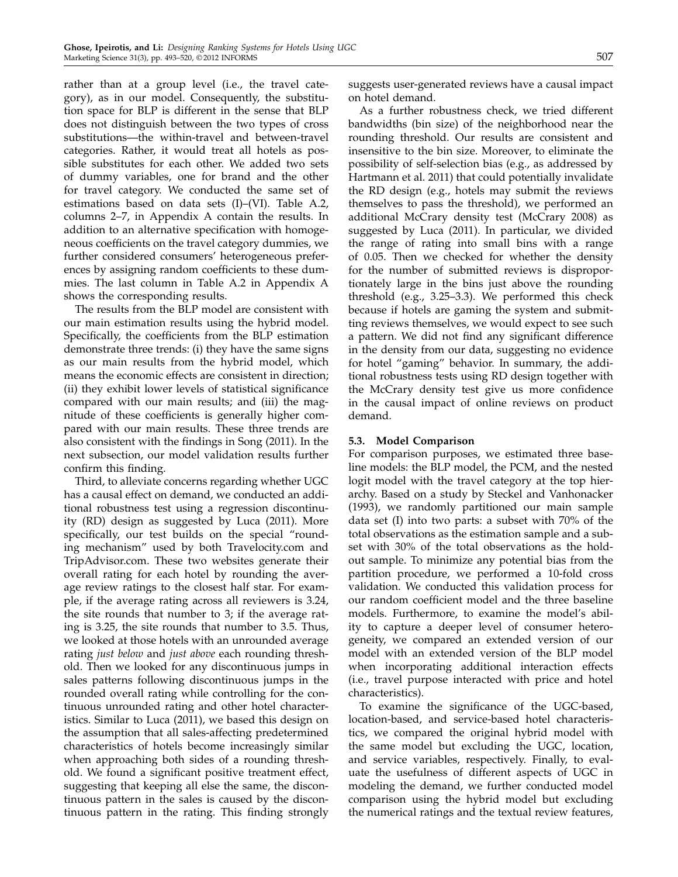rather than at a group level (i.e., the travel category), as in our model. Consequently, the substitution space for BLP is different in the sense that BLP does not distinguish between the two types of cross substitutions—the within-travel and between-travel categories. Rather, it would treat all hotels as possible substitutes for each other. We added two sets of dummy variables, one for brand and the other for travel category. We conducted the same set of estimations based on data sets (I)–(VI). Table A.2, columns 2–7, in Appendix A contain the results. In addition to an alternative specification with homogeneous coefficients on the travel category dummies, we further considered consumers' heterogeneous preferences by assigning random coefficients to these dummies. The last column in Table A.2 in Appendix A shows the corresponding results.

The results from the BLP model are consistent with our main estimation results using the hybrid model. Specifically, the coefficients from the BLP estimation demonstrate three trends: (i) they have the same signs as our main results from the hybrid model, which means the economic effects are consistent in direction; (ii) they exhibit lower levels of statistical significance compared with our main results; and (iii) the magnitude of these coefficients is generally higher compared with our main results. These three trends are also consistent with the findings in Song (2011). In the next subsection, our model validation results further confirm this finding.

Third, to alleviate concerns regarding whether UGC has a causal effect on demand, we conducted an additional robustness test using a regression discontinuity (RD) design as suggested by Luca (2011). More specifically, our test builds on the special "rounding mechanism" used by both Travelocity.com and TripAdvisor.com. These two websites generate their overall rating for each hotel by rounding the average review ratings to the closest half star. For example, if the average rating across all reviewers is 3.24, the site rounds that number to 3; if the average rating is 3.25, the site rounds that number to 3.5. Thus, we looked at those hotels with an unrounded average rating *just below* and *just above* each rounding threshold. Then we looked for any discontinuous jumps in sales patterns following discontinuous jumps in the rounded overall rating while controlling for the continuous unrounded rating and other hotel characteristics. Similar to Luca (2011), we based this design on the assumption that all sales-affecting predetermined characteristics of hotels become increasingly similar when approaching both sides of a rounding threshold. We found a significant positive treatment effect, suggesting that keeping all else the same, the discontinuous pattern in the sales is caused by the discontinuous pattern in the rating. This finding strongly suggests user-generated reviews have a causal impact on hotel demand.

As a further robustness check, we tried different bandwidths (bin size) of the neighborhood near the rounding threshold. Our results are consistent and insensitive to the bin size. Moreover, to eliminate the possibility of self-selection bias (e.g., as addressed by Hartmann et al. 2011) that could potentially invalidate the RD design (e.g., hotels may submit the reviews themselves to pass the threshold), we performed an additional McCrary density test (McCrary 2008) as suggested by Luca (2011). In particular, we divided the range of rating into small bins with a range of 0.05. Then we checked for whether the density for the number of submitted reviews is disproportionately large in the bins just above the rounding threshold (e.g., 3.25–3.3). We performed this check because if hotels are gaming the system and submitting reviews themselves, we would expect to see such a pattern. We did not find any significant difference in the density from our data, suggesting no evidence for hotel "gaming" behavior. In summary, the additional robustness tests using RD design together with the McCrary density test give us more confidence in the causal impact of online reviews on product demand.

## 5.3. Model Comparison

For comparison purposes, we estimated three baseline models: the BLP model, the PCM, and the nested logit model with the travel category at the top hierarchy. Based on a study by Steckel and Vanhonacker (1993), we randomly partitioned our main sample data set (I) into two parts: a subset with 70% of the total observations as the estimation sample and a subset with 30% of the total observations as the holdout sample. To minimize any potential bias from the partition procedure, we performed a 10-fold cross validation. We conducted this validation process for our random coefficient model and the three baseline models. Furthermore, to examine the model's ability to capture a deeper level of consumer heterogeneity, we compared an extended version of our model with an extended version of the BLP model when incorporating additional interaction effects (i.e., travel purpose interacted with price and hotel characteristics).

To examine the significance of the UGC-based, location-based, and service-based hotel characteristics, we compared the original hybrid model with the same model but excluding the UGC, location, and service variables, respectively. Finally, to evaluate the usefulness of different aspects of UGC in modeling the demand, we further conducted model comparison using the hybrid model but excluding the numerical ratings and the textual review features,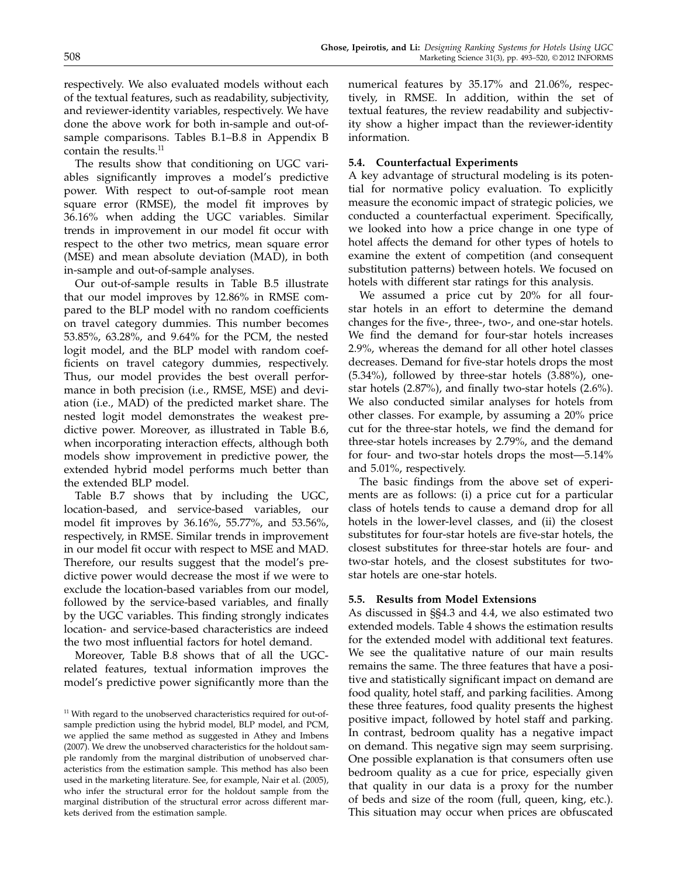respectively. We also evaluated models without each of the textual features, such as readability, subjectivity, and reviewer-identity variables, respectively. We have done the above work for both in-sample and out-ofsample comparisons. Tables B.1–B.8 in Appendix B contain the results.<sup>11</sup>

The results show that conditioning on UGC variables significantly improves a model's predictive power. With respect to out-of-sample root mean square error (RMSE), the model fit improves by 36.16% when adding the UGC variables. Similar trends in improvement in our model fit occur with respect to the other two metrics, mean square error (MSE) and mean absolute deviation (MAD), in both in-sample and out-of-sample analyses.

Our out-of-sample results in Table B.5 illustrate that our model improves by 12.86% in RMSE compared to the BLP model with no random coefficients on travel category dummies. This number becomes 53.85%, 63.28%, and 9.64% for the PCM, the nested logit model, and the BLP model with random coefficients on travel category dummies, respectively. Thus, our model provides the best overall performance in both precision (i.e., RMSE, MSE) and deviation (i.e., MAD) of the predicted market share. The nested logit model demonstrates the weakest predictive power. Moreover, as illustrated in Table B.6, when incorporating interaction effects, although both models show improvement in predictive power, the extended hybrid model performs much better than the extended BLP model.

Table B.7 shows that by including the UGC, location-based, and service-based variables, our model fit improves by 36.16%, 55.77%, and 53.56%, respectively, in RMSE. Similar trends in improvement in our model fit occur with respect to MSE and MAD. Therefore, our results suggest that the model's predictive power would decrease the most if we were to exclude the location-based variables from our model, followed by the service-based variables, and finally by the UGC variables. This finding strongly indicates location- and service-based characteristics are indeed the two most influential factors for hotel demand.

Moreover, Table B.8 shows that of all the UGCrelated features, textual information improves the model's predictive power significantly more than the numerical features by 35.17% and 21.06%, respectively, in RMSE. In addition, within the set of textual features, the review readability and subjectivity show a higher impact than the reviewer-identity information.

#### 5.4. Counterfactual Experiments

A key advantage of structural modeling is its potential for normative policy evaluation. To explicitly measure the economic impact of strategic policies, we conducted a counterfactual experiment. Specifically, we looked into how a price change in one type of hotel affects the demand for other types of hotels to examine the extent of competition (and consequent substitution patterns) between hotels. We focused on hotels with different star ratings for this analysis.

We assumed a price cut by 20% for all fourstar hotels in an effort to determine the demand changes for the five-, three-, two-, and one-star hotels. We find the demand for four-star hotels increases 2.9%, whereas the demand for all other hotel classes decreases. Demand for five-star hotels drops the most (5.34%), followed by three-star hotels (3.88%), onestar hotels (2.87%), and finally two-star hotels (2.6%). We also conducted similar analyses for hotels from other classes. For example, by assuming a 20% price cut for the three-star hotels, we find the demand for three-star hotels increases by 2.79%, and the demand for four- and two-star hotels drops the most—5.14% and 5.01%, respectively.

The basic findings from the above set of experiments are as follows: (i) a price cut for a particular class of hotels tends to cause a demand drop for all hotels in the lower-level classes, and (ii) the closest substitutes for four-star hotels are five-star hotels, the closest substitutes for three-star hotels are four- and two-star hotels, and the closest substitutes for twostar hotels are one-star hotels.

#### 5.5. Results from Model Extensions

As discussed in §§4.3 and 4.4, we also estimated two extended models. Table 4 shows the estimation results for the extended model with additional text features. We see the qualitative nature of our main results remains the same. The three features that have a positive and statistically significant impact on demand are food quality, hotel staff, and parking facilities. Among these three features, food quality presents the highest positive impact, followed by hotel staff and parking. In contrast, bedroom quality has a negative impact on demand. This negative sign may seem surprising. One possible explanation is that consumers often use bedroom quality as a cue for price, especially given that quality in our data is a proxy for the number of beds and size of the room (full, queen, king, etc.). This situation may occur when prices are obfuscated

<sup>&</sup>lt;sup>11</sup> With regard to the unobserved characteristics required for out-ofsample prediction using the hybrid model, BLP model, and PCM, we applied the same method as suggested in Athey and Imbens (2007). We drew the unobserved characteristics for the holdout sample randomly from the marginal distribution of unobserved characteristics from the estimation sample. This method has also been used in the marketing literature. See, for example, Nair et al. (2005), who infer the structural error for the holdout sample from the marginal distribution of the structural error across different markets derived from the estimation sample.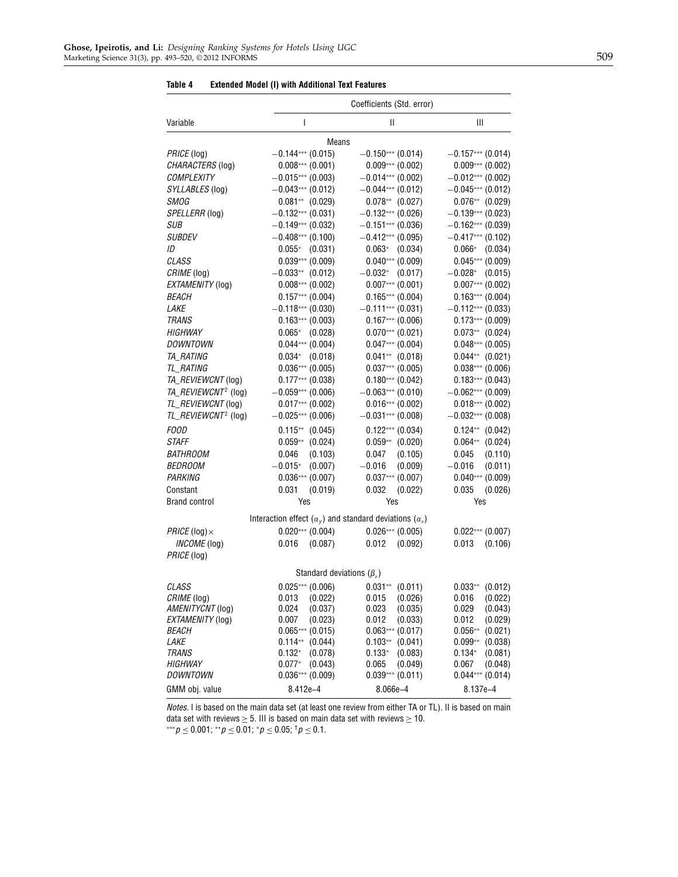|                                 |                                                                                  | Coefficients (Std. error)            |                                      |
|---------------------------------|----------------------------------------------------------------------------------|--------------------------------------|--------------------------------------|
| Variable                        | I                                                                                | Ш                                    | Ш                                    |
|                                 | Means                                                                            |                                      |                                      |
| PRICE (log)                     | $-0.144***$ (0.015)                                                              | $-0.150***$ (0.014)                  | $-0.157***$ (0.014)                  |
| CHARACTERS (log)                | $0.008***$ (0.001)                                                               | $0.009***$ (0.002)                   | $0.009***$ (0.002)                   |
| <b>COMPLEXITY</b>               | $-0.015***$ (0.003)                                                              | $-0.014***$ (0.002)                  | $-0.012***$ (0.002)                  |
| SYLLABLES (log)                 | $-0.043***$ (0.012)                                                              | $-0.044***$ (0.012)                  | $-0.045***$ (0.012)                  |
| <b>SMOG</b>                     | $0.081**$ (0.029)                                                                | $0.078**$ (0.027)                    | $0.076**$ (0.029)                    |
| SPELLERR (log)                  | $-0.132***$ (0.031)                                                              | $-0.132***$ (0.026)                  | $-0.139***$ (0.023)                  |
| SUB                             | $-0.149***$ (0.032)                                                              | $-0.151***$ (0.036)                  | $-0.162***$ (0.039)                  |
| <i>SUBDEV</i>                   | $-0.408***$ (0.100)                                                              | $-0.412***$ (0.095)                  | $-0.417***$ (0.102)                  |
| ID                              | $0.055*$ (0.031)                                                                 | $0.063*$ (0.034)                     | $0.066^*$<br>(0.034)                 |
| <b>CLASS</b>                    | $0.039***$ (0.009)                                                               | $0.040***$ (0.009)                   | $0.045***$ (0.009)                   |
| CRIME (log)                     | $-0.033**$ (0.012)                                                               | $-0.032*$ (0.017)                    | (0.015)<br>$-0.028^*$                |
| EXTAMENITY (log)                | $0.008***$ (0.002)                                                               | $0.007***$ (0.001)                   | $0.007***$ (0.002)                   |
| <i>BEACH</i>                    | $0.157***$ (0.004)                                                               | $0.165***(0.004)$                    | $0.163***$ (0.004)                   |
| <i>LAKE</i>                     | $-0.118***$ (0.030)                                                              | $-0.111***$ (0.031)                  | $-0.112***$ (0.033)                  |
| <b>TRANS</b>                    | $0.163***$ (0.003)                                                               | $0.167***$ (0.006)                   | $0.173***$ (0.009)                   |
| <b>HIGHWAY</b>                  | $0.065*$ (0.028)                                                                 | $0.070***$ (0.021)                   | $0.073**$ (0.024)                    |
| <i>DOWNTOWN</i>                 | $0.044***$ (0.004)                                                               | $0.047***$ (0.004)                   | $0.048***$ (0.005)                   |
| <b>TA_RATING</b>                | $0.034*$ (0.018)                                                                 | $0.041**$ (0.018)                    | $0.044**$ (0.021)                    |
| TL_RATING                       | $0.036***(0.005)$                                                                | $0.037***$ (0.005)                   | $0.038***$ (0.006)                   |
| TA_REVIEWCNT (log)              | $0.177***$ (0.038)                                                               | $0.180***$ (0.042)                   | $0.183***$ (0.043)                   |
| TA_REVIEWCNT <sup>2</sup> (log) | $-0.059***$ (0.006)                                                              | $-0.063***$ (0.010)                  | $-0.062***$ (0.009)                  |
| TL_REVIEWCNT (log)              | $0.017***$ (0.002)                                                               | $0.016***$ (0.002)                   | $0.018***$ (0.002)                   |
| TL_REVIEWCNT <sup>2</sup> (log) | $-0.025***$ (0.006)                                                              | $-0.031***$ (0.008)                  | $-0.032***$ (0.008)                  |
| <b>FOOD</b>                     | $0.115**$ (0.045)                                                                | $0.122***$ (0.034)                   | $0.124**$ (0.042)                    |
| <b>STAFF</b>                    | $0.059**$ (0.024)                                                                | $0.059**$ (0.020)                    | $0.064**$ (0.024)                    |
| <i>BATHROOM</i>                 | 0.046<br>(0.103)                                                                 | 0.047<br>(0.105)                     | 0.045<br>(0.110)                     |
| <i>BEDROOM</i>                  | (0.007)<br>$-0.015*$                                                             | $-0.016$<br>(0.009)                  | $-0.016$<br>(0.011)                  |
| <i>PARKING</i>                  | $0.036***(0.007)$                                                                | $0.037***$ (0.007)                   | $0.040***$ (0.009)                   |
| Constant                        | 0.031<br>(0.019)                                                                 | 0.032<br>(0.022)                     | 0.035<br>(0.026)                     |
| <b>Brand control</b>            | Yes                                                                              | Yes                                  | Yes                                  |
|                                 | Interaction effect ( $\alpha_{\nu}$ ) and standard deviations ( $\alpha_{\nu}$ ) |                                      |                                      |
| PRICE (log) $\times$            | $0.020***$ (0.004)                                                               | $0.026***(0.005)$                    | $0.022***$ (0.007)                   |
| INCOME (log)                    | 0.016<br>(0.087)                                                                 | $0.012$ $(0.092)$                    | 0.013<br>(0.106)                     |
| PRICE (log)                     |                                                                                  |                                      |                                      |
|                                 | Standard deviations $(\beta_v)$                                                  |                                      |                                      |
|                                 |                                                                                  |                                      |                                      |
| <i>CLASS</i>                    | $0.025***$ (0.006)                                                               | $0.031**$ (0.011)                    | $0.033**$ (0.012)                    |
| CRIME (log)<br>AMENITYCNT (log) | 0.013<br>(0.022)<br>0.024<br>(0.037)                                             | 0.015<br>(0.026)<br>0.023<br>(0.035) | 0.016<br>(0.022)<br>0.029<br>(0.043) |
| EXTAMENITY (log)                | 0.007<br>(0.023)                                                                 | 0.012<br>(0.033)                     | 0.012<br>(0.029)                     |
| <i>BEACH</i>                    | $0.065***(0.015)$                                                                | $0.063***$ (0.017)                   | $0.056**$<br>(0.021)                 |
| LAKE                            | $0.114**$<br>(0.044)                                                             | $0.103**$<br>(0.041)                 | $0.099**$<br>(0.038)                 |
| <b>TRANS</b>                    | $0.132*$<br>(0.078)                                                              | $0.133*$<br>(0.083)                  | $0.134*$<br>(0.081)                  |
| <b>HIGHWAY</b>                  | $0.077*$<br>(0.043)                                                              | 0.065<br>(0.049)                     | 0.067<br>(0.048)                     |
| DOWNTOWN                        | $0.036***(0.009)$                                                                | $0.039***$ (0.011)                   | $0.044***$ (0.014)                   |
| GMM obj. value                  | 8.412e-4                                                                         | 8.066e-4                             | 8.137e-4                             |

Table 4 Extended Model (I) with Additional Text Features

Notes. I is based on the main data set (at least one review from either TA or TL). II is based on main data set with reviews  $\geq$  5. III is based on main data set with reviews  $\geq$  10.

 $***p \le 0.001; **p \le 0.01; *p \le 0.05; †p \le 0.1.$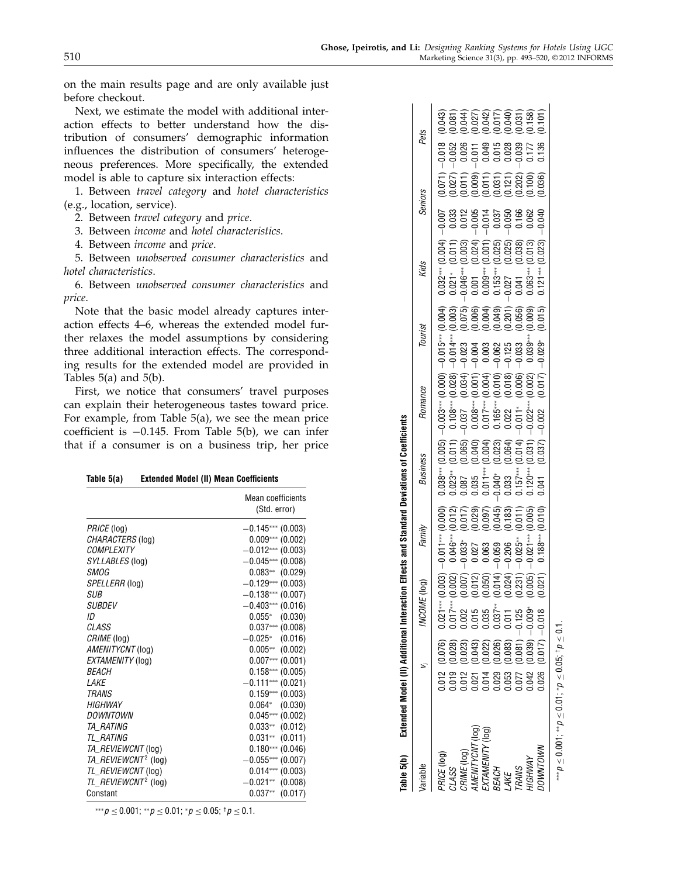on the main results page and are only available just before checkout.

Next, we estimate the model with additional interaction effects to better understand how the distribution of consumers' demographic information influences the distribution of consumers' heterogeneous preferences. More specifically, the extended model is able to capture six interaction effects:

1. Between travel category and hotel characteristics (e.g., location, service).

2. Between travel category and price.

3. Between income and hotel characteristics.

4. Between income and price.

5. Between unobserved consumer characteristics and hotel characteristics.

6. Between unobserved consumer characteristics and price.

Note that the basic model already captures interaction effects 4–6, whereas the extended model further relaxes the model assumptions by considering three additional interaction effects. The corresponding results for the extended model are provided in Tables  $5(a)$  and  $5(b)$ .

First, we notice that consumers' travel purposes can explain their heterogeneous tastes toward price. For example, from Table 5(a), we see the mean price coefficient is  $-0.145$ . From Table 5(b), we can infer that if a consumer is on a business trip, her price

| Table $5(a)$ |  |  |  | <b>Extended Model (II) Mean Coefficients</b> |
|--------------|--|--|--|----------------------------------------------|
|--------------|--|--|--|----------------------------------------------|

| Table $5(a)$                    | <b>Extended Model (II) Mean Coefficients</b> |  |
|---------------------------------|----------------------------------------------|--|
|                                 | <b>Mean coefficients</b><br>(Std. error)     |  |
| PRICE (log)                     | $-0.145***$ (0.003)                          |  |
| CHARACTERS (log)                | $0.009***$ (0.002)                           |  |
| <b>COMPLEXITY</b>               | $-0.012***$ (0.003)                          |  |
| SYLLABLES (log)                 | $-0.045***$ (0.008)                          |  |
| <b>SMOG</b>                     | $0.083**$ (0.029)                            |  |
| SPELLERR (log)                  | $-0.129***$ (0.003)                          |  |
| <b>SUB</b>                      | $-0.138***$ (0.007)                          |  |
| <b>SUBDEV</b>                   | $-0.403***$ (0.016)                          |  |
| ID                              | $0.055*$ (0.030)                             |  |
| CLASS                           | $0.037***$ (0.008)                           |  |
| CRIME (log)                     | $-0.025$ * (0.016)                           |  |
| AMENITYCNT (log)                | $0.005**$ (0.002)                            |  |
| EXTAMENITY (log)                | $0.007***$ (0.001)                           |  |
| <b>BEACH</b>                    | $0.158***(0.005)$                            |  |
| LAKE                            | $-0.111***$ (0.021)                          |  |
| <b>TRANS</b>                    | $0.159***$ (0.003)                           |  |
| <b>HIGHWAY</b>                  | $0.064*$ (0.030)                             |  |
| DOWNTOWN                        | $0.045***$ (0.002)                           |  |
| <i>TA RATING</i>                | $0.033**$ (0.012)                            |  |
| TL RATING                       | $0.031**$ (0.011)                            |  |
| TA_REVIEWCNT (log)              | $0.180***$ (0.046)                           |  |
| TA_REVIEWCNT <sup>2</sup> (log) | $-0.055***$ (0.007)                          |  |
| TL_REVIEWCNT (log)              | $0.014***$ (0.003)                           |  |
| TL_REVIEWCNT <sup>2</sup> (log) | $-0.021**$ (0.008)                           |  |
| Constant                        | $0.037**$ (0.017)                            |  |

| lane olup                                                                                                                 | continuous de la constitution de la constitution de la constitution de la constitution de la constitution de la constitution de la constitution de la constitution de la constitution de la constitution de la constitution de |                     |       |        |                 |                                                                                                                                                                           |                                                                                |         |      |                                                                                                                         |                                                                                                        |                                                                                                                                                                                                                                                                                                                                   |                                                                              |
|---------------------------------------------------------------------------------------------------------------------------|--------------------------------------------------------------------------------------------------------------------------------------------------------------------------------------------------------------------------------|---------------------|-------|--------|-----------------|---------------------------------------------------------------------------------------------------------------------------------------------------------------------------|--------------------------------------------------------------------------------|---------|------|-------------------------------------------------------------------------------------------------------------------------|--------------------------------------------------------------------------------------------------------|-----------------------------------------------------------------------------------------------------------------------------------------------------------------------------------------------------------------------------------------------------------------------------------------------------------------------------------|------------------------------------------------------------------------------|
| Variable                                                                                                                  |                                                                                                                                                                                                                                | INCOME <sub>1</sub> | (log) | Family | <b>Business</b> |                                                                                                                                                                           | Romance                                                                        | Tourist | Kids |                                                                                                                         | <b>Seniors</b>                                                                                         | Pets                                                                                                                                                                                                                                                                                                                              |                                                                              |
| CLASS<br>CRIME (log)<br>AMENITYCNT (log)<br>EXTAMENITY (log)<br>BEACH<br>LAKE<br>LAKE<br>OWNTOWN<br>PRICE (log)<br>VGHWAY | 0<br>008333888505<br>0083888505<br>0098888505                                                                                                                                                                                  |                     |       |        |                 | $\begin{smallmatrix} (0.005) \ (0.011) \ (0.011) \ (0.065) \ (0.040) \ (0.004) \ (0.004) \ (0.014) \ (0.011) \ (0.011) \ (0.011) \ (0.011) \ (0.037) \ \end{smallmatrix}$ | កកុកកុកកុកកុក<br>ខ្មែរ ខេត្តកុកកុក<br>ខ្មែរ មិន មិន មិន មិន មិន<br>បានប្រកប្អូ |         |      | $(0.004) \ (0.011) \ (0.003) \ (0.024) \ (0.025) \ (0.026) \ (0.025) \ (0.013) \ (0.013) \ (0.013) \ (0.023) \ (0.023)$ | $(0.07)$<br>$(0.001)$<br>$(0.0001)$<br>$(0.001)$<br>$(0.001)$<br>$(0.001)$<br>$(0.0000)$<br>$(0.0000)$ | $\begin{array}{l} 0.018 \\ -0.050 \\ -0.010 \\ -0.010 \\ -0.010 \\ -0.010 \\ -0.010 \\ -0.010 \\ -0.010 \\ -0.010 \\ -0.010 \\ -0.010 \\ -0.010 \\ -0.010 \\ -0.010 \\ -0.010 \\ -0.010 \\ -0.010 \\ -0.010 \\ -0.010 \\ -0.010 \\ -0.010 \\ -0.010 \\ -0.010 \\ -0.010 \\ -0.010 \\ -0.010 \\ -0.010 \\ -0.010 \\ -0.010 \\ -0.$ | 0.043<br>0.0442222070703<br>0.0.04222207070707070<br>0.0.0.0.0.0.0.0.0.0.0.0 |
|                                                                                                                           |                                                                                                                                                                                                                                |                     |       |        |                 |                                                                                                                                                                           |                                                                                |         |      |                                                                                                                         |                                                                                                        |                                                                                                                                                                                                                                                                                                                                   |                                                                              |

∗∗∗p ≤ 00001; ∗∗p ≤ 0001;  $\nu \rho \leq 0.05;$  $\nu \leq 0.1$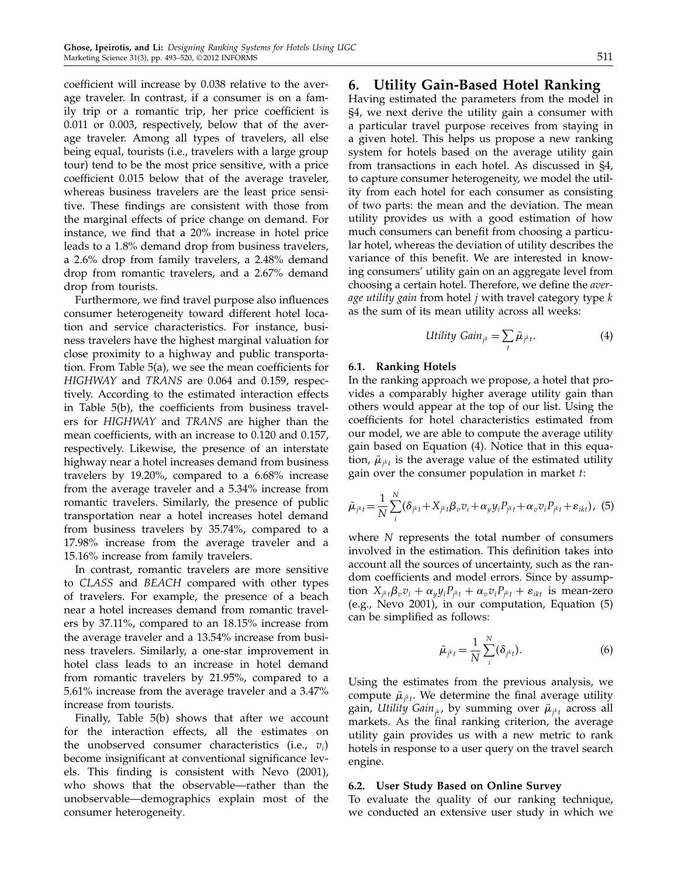coefficient will increase by 0.038 relative to the average traveler. In contrast, if a consumer is on a family trip or a romantic trip, her price coefficient is 0.011 or 0.003, respectively, below that of the average traveler. Among all types of travelers, all else being equal, tourists (i.e., travelers with a large group tour) tend to be the most price sensitive, with a price coefficient 0.015 below that of the average traveler, whereas business travelers are the least price sensitive. These findings are consistent with those from the marginal effects of price change on demand. For instance, we find that a 20% increase in hotel price leads to a 1.8% demand drop from business travelers, a 2.6% drop from family travelers, a 2.48% demand drop from romantic travelers, and a 2.67% demand drop from tourists.

Furthermore, we find travel purpose also influences consumer heterogeneity toward different hotel location and service characteristics. For instance, business travelers have the highest marginal valuation for close proximity to a highway and public transportation. From Table 5(a), we see the mean coefficients for HIGHWAY and TRANS are 0.064 and 0.159, respectively. According to the estimated interaction effects in Table 5(b), the coefficients from business travelers for HIGHWAY and TRANS are higher than the mean coefficients, with an increase to 0.120 and 0.157, respectively. Likewise, the presence of an interstate highway near a hotel increases demand from business travelers by 19.20%, compared to a 6.68% increase from the average traveler and a 5.34% increase from romantic travelers. Similarly, the presence of public transportation near a hotel increases hotel demand from business travelers by 35.74%, compared to a 17.98% increase from the average traveler and a 15.16% increase from family travelers.

In contrast, romantic travelers are more sensitive to CLASS and BEACH compared with other types of travelers. For example, the presence of a beach near a hotel increases demand from romantic travelers by 37.11%, compared to an 18.15% increase from the average traveler and a 13.54% increase from business travelers. Similarly, a one-star improvement in hotel class leads to an increase in hotel demand from romantic travelers by 21.95%, compared to a 5.61% increase from the average traveler and a 3.47% increase from tourists.

Finally, Table 5(b) shows that after we account for the interaction effects, all the estimates on the unobserved consumer characteristics (i.e.,  $v_i$ ) become insignificant at conventional significance levels. This finding is consistent with Nevo (2001), who shows that the observable—rather than the unobservable—demographics explain most of the consumer heterogeneity.

## 6. Utility Gain-Based Hotel Ranking

Having estimated the parameters from the model in §4, we next derive the utility gain a consumer with a particular travel purpose receives from staying in a given hotel. This helps us propose a new ranking system for hotels based on the average utility gain from transactions in each hotel. As discussed in §4, to capture consumer heterogeneity, we model the utility from each hotel for each consumer as consisting of two parts: the mean and the deviation. The mean utility provides us with a good estimation of how much consumers can benefit from choosing a particular hotel, whereas the deviation of utility describes the variance of this benefit. We are interested in knowing consumers' utility gain on an aggregate level from choosing a certain hotel. Therefore, we define the average utility gain from hotel  $j$  with travel category type  $k$ as the sum of its mean utility across all weeks:

$$
Utility\;Gain_{jk} = \sum_{t} \bar{\mu}_{jkt}.
$$
\n(4)

#### 6.1. Ranking Hotels

In the ranking approach we propose, a hotel that provides a comparably higher average utility gain than others would appear at the top of our list. Using the coefficients for hotel characteristics estimated from our model, we are able to compute the average utility gain based on Equation (4). Notice that in this equation,  $\bar{\mu}_{j^kt}$  is the average value of the estimated utility gain over the consumer population in market t:

$$
\bar{\mu}_{j^kt} = \frac{1}{N} \sum_{i}^{N} (\delta_{j^kt} + X_{j^kt} \beta_v v_i + \alpha_y y_i P_{j^kt} + \alpha_v v_i P_{j^kt} + \varepsilon_{ikt}), \tag{5}
$$

where N represents the total number of consumers involved in the estimation. This definition takes into account all the sources of uncertainty, such as the random coefficients and model errors. Since by assumption  $X_{j^kt}\beta_v v_i + \alpha_y y_i P_{j^kt} + \alpha_v v_i P_{j^kt} + \varepsilon_{ikt}$  is mean-zero (e.g., Nevo 2001), in our computation, Equation (5) can be simplified as follows:

$$
\bar{\mu}_{j^kt} = \frac{1}{N} \sum_{i}^{N} (\delta_{j^kt}).
$$
\n(6)

Using the estimates from the previous analysis, we compute  $\bar{\mu}_{j^k t}$ . We determine the final average utility gain*, Utility Gain<sub>jk</sub>,* by summing over  $\bar{\mu}_{j^k t}$  across all markets. As the final ranking criterion, the average utility gain provides us with a new metric to rank hotels in response to a user query on the travel search engine.

#### 6.2. User Study Based on Online Survey

To evaluate the quality of our ranking technique, we conducted an extensive user study in which we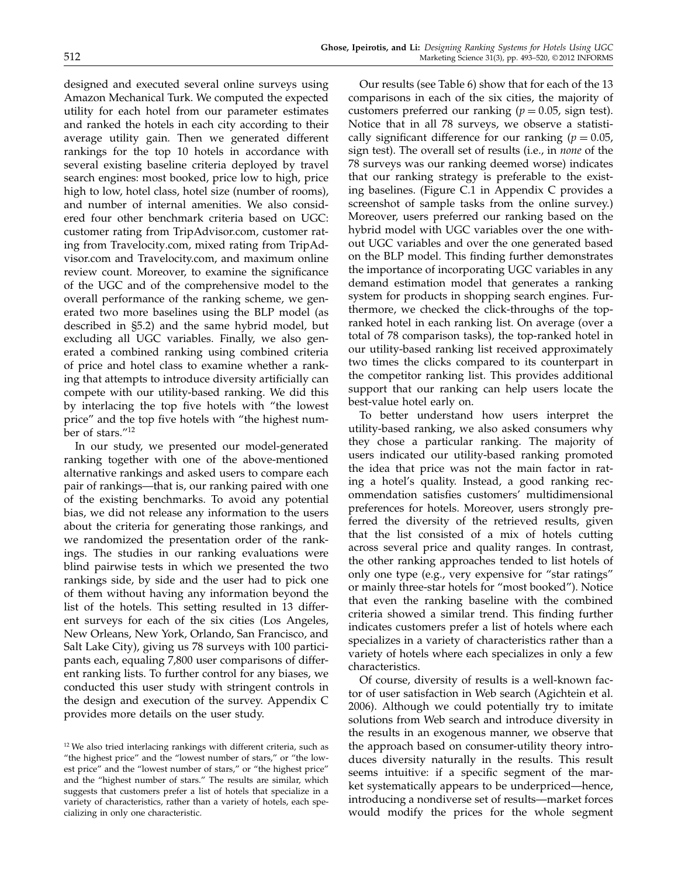designed and executed several online surveys using Amazon Mechanical Turk. We computed the expected utility for each hotel from our parameter estimates and ranked the hotels in each city according to their average utility gain. Then we generated different rankings for the top 10 hotels in accordance with several existing baseline criteria deployed by travel search engines: most booked, price low to high, price high to low, hotel class, hotel size (number of rooms), and number of internal amenities. We also considered four other benchmark criteria based on UGC: customer rating from TripAdvisor.com, customer rating from Travelocity.com, mixed rating from TripAdvisor.com and Travelocity.com, and maximum online review count. Moreover, to examine the significance of the UGC and of the comprehensive model to the overall performance of the ranking scheme, we generated two more baselines using the BLP model (as described in §5.2) and the same hybrid model, but excluding all UGC variables. Finally, we also generated a combined ranking using combined criteria of price and hotel class to examine whether a ranking that attempts to introduce diversity artificially can compete with our utility-based ranking. We did this by interlacing the top five hotels with "the lowest price" and the top five hotels with "the highest number of stars."<sup>12</sup>

In our study, we presented our model-generated ranking together with one of the above-mentioned alternative rankings and asked users to compare each pair of rankings—that is, our ranking paired with one of the existing benchmarks. To avoid any potential bias, we did not release any information to the users about the criteria for generating those rankings, and we randomized the presentation order of the rankings. The studies in our ranking evaluations were blind pairwise tests in which we presented the two rankings side, by side and the user had to pick one of them without having any information beyond the list of the hotels. This setting resulted in 13 different surveys for each of the six cities (Los Angeles, New Orleans, New York, Orlando, San Francisco, and Salt Lake City), giving us 78 surveys with 100 participants each, equaling 7,800 user comparisons of different ranking lists. To further control for any biases, we conducted this user study with stringent controls in the design and execution of the survey. Appendix C provides more details on the user study.

Our results (see Table 6) show that for each of the 13 comparisons in each of the six cities, the majority of customers preferred our ranking ( $p = 0.05$ , sign test). Notice that in all 78 surveys, we observe a statistically significant difference for our ranking ( $p = 0.05$ , sign test). The overall set of results (i.e., in none of the 78 surveys was our ranking deemed worse) indicates that our ranking strategy is preferable to the existing baselines. (Figure C.1 in Appendix C provides a screenshot of sample tasks from the online survey.) Moreover, users preferred our ranking based on the hybrid model with UGC variables over the one without UGC variables and over the one generated based on the BLP model. This finding further demonstrates the importance of incorporating UGC variables in any demand estimation model that generates a ranking system for products in shopping search engines. Furthermore, we checked the click-throughs of the topranked hotel in each ranking list. On average (over a total of 78 comparison tasks), the top-ranked hotel in our utility-based ranking list received approximately two times the clicks compared to its counterpart in the competitor ranking list. This provides additional support that our ranking can help users locate the best-value hotel early on.

To better understand how users interpret the utility-based ranking, we also asked consumers why they chose a particular ranking. The majority of users indicated our utility-based ranking promoted the idea that price was not the main factor in rating a hotel's quality. Instead, a good ranking recommendation satisfies customers' multidimensional preferences for hotels. Moreover, users strongly preferred the diversity of the retrieved results, given that the list consisted of a mix of hotels cutting across several price and quality ranges. In contrast, the other ranking approaches tended to list hotels of only one type (e.g., very expensive for "star ratings" or mainly three-star hotels for "most booked"). Notice that even the ranking baseline with the combined criteria showed a similar trend. This finding further indicates customers prefer a list of hotels where each specializes in a variety of characteristics rather than a variety of hotels where each specializes in only a few characteristics.

Of course, diversity of results is a well-known factor of user satisfaction in Web search (Agichtein et al. 2006). Although we could potentially try to imitate solutions from Web search and introduce diversity in the results in an exogenous manner, we observe that the approach based on consumer-utility theory introduces diversity naturally in the results. This result seems intuitive: if a specific segment of the market systematically appears to be underpriced—hence, introducing a nondiverse set of results—market forces would modify the prices for the whole segment

<sup>&</sup>lt;sup>12</sup> We also tried interlacing rankings with different criteria, such as "the highest price" and the "lowest number of stars," or "the lowest price" and the "lowest number of stars," or "the highest price" and the "highest number of stars." The results are similar, which suggests that customers prefer a list of hotels that specialize in a variety of characteristics, rather than a variety of hotels, each specializing in only one characteristic.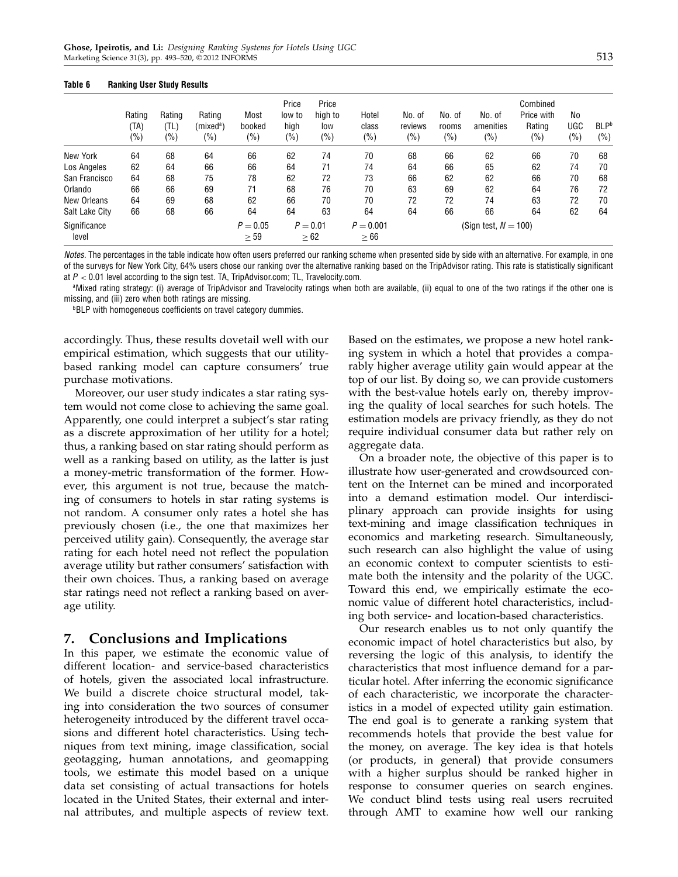|                       | Rating<br>(TA)<br>(%) | Rating<br>(TL)<br>(%) | Rating<br>(mixed <sup>a</sup> )<br>(9/0) | Most<br>booked<br>$(\% )$ | Price<br>low to<br>high<br>$(\% )$ | Price<br>high to<br>low<br>(%) | Hotel<br>class<br>$(\%)$ | No. of<br>reviews<br>$(\% )$ | No. of<br>rooms<br>(%) | No. of<br>amenities<br>(%) | Combined<br>Price with<br>Rating<br>$(\% )$ | No<br>UGC<br>(%) | <b>BLP</b> b<br>$(\% )$ |
|-----------------------|-----------------------|-----------------------|------------------------------------------|---------------------------|------------------------------------|--------------------------------|--------------------------|------------------------------|------------------------|----------------------------|---------------------------------------------|------------------|-------------------------|
| New York              | 64                    | 68                    | 64                                       | 66                        | 62                                 | 74                             | 70                       | 68                           | 66                     | 62                         | 66                                          | 70               | 68                      |
| Los Angeles           | 62                    | 64                    | 66                                       | 66                        | 64                                 | 71                             | 74                       | 64                           | 66                     | 65                         | 62                                          | 74               | 70                      |
| San Francisco         | 64                    | 68                    | 75                                       | 78                        | 62                                 | 72                             | 73                       | 66                           | 62                     | 62                         | 66                                          | 70               | 68                      |
| Orlando               | 66                    | 66                    | 69                                       | 71                        | 68                                 | 76                             | 70                       | 63                           | 69                     | 62                         | 64                                          | 76               | 72                      |
| New Orleans           | 64                    | 69                    | 68                                       | 62                        | 66                                 | 70                             | 70                       | 72                           | 72                     | 74                         | 63                                          | 72               | 70                      |
| Salt Lake City        | 66                    | 68                    | 66                                       | 64                        | 64                                 | 63                             | 64                       | 64                           | 66                     | 66                         | 64                                          | 62               | 64                      |
| Significance<br>level |                       |                       |                                          | $P = 0.05$<br>$\geq 59$   |                                    | $P = 0.01$<br>$\geq 62$        | $P = 0.001$<br>$\geq 66$ |                              |                        | (Sign test, $N = 100$ )    |                                             |                  |                         |

#### Table 6 Ranking User Study Results

Notes. The percentages in the table indicate how often users preferred our ranking scheme when presented side by side with an alternative. For example, in one of the surveys for New York City, 64% users chose our ranking over the alternative ranking based on the TripAdvisor rating. This rate is statistically significant at  $P < 0.01$  level according to the sign test. TA, TripAdvisor.com; TL, Travelocity.com.

<sup>a</sup>Mixed rating strategy: (i) average of TripAdvisor and Travelocity ratings when both are available, (ii) equal to one of the two ratings if the other one is missing, and (iii) zero when both ratings are missing.

**bBLP** with homogeneous coefficients on travel category dummies.

accordingly. Thus, these results dovetail well with our empirical estimation, which suggests that our utilitybased ranking model can capture consumers' true purchase motivations.

Moreover, our user study indicates a star rating system would not come close to achieving the same goal. Apparently, one could interpret a subject's star rating as a discrete approximation of her utility for a hotel; thus, a ranking based on star rating should perform as well as a ranking based on utility, as the latter is just a money-metric transformation of the former. However, this argument is not true, because the matching of consumers to hotels in star rating systems is not random. A consumer only rates a hotel she has previously chosen (i.e., the one that maximizes her perceived utility gain). Consequently, the average star rating for each hotel need not reflect the population average utility but rather consumers' satisfaction with their own choices. Thus, a ranking based on average star ratings need not reflect a ranking based on average utility.

## 7. Conclusions and Implications

In this paper, we estimate the economic value of different location- and service-based characteristics of hotels, given the associated local infrastructure. We build a discrete choice structural model, taking into consideration the two sources of consumer heterogeneity introduced by the different travel occasions and different hotel characteristics. Using techniques from text mining, image classification, social geotagging, human annotations, and geomapping tools, we estimate this model based on a unique data set consisting of actual transactions for hotels located in the United States, their external and internal attributes, and multiple aspects of review text. Based on the estimates, we propose a new hotel ranking system in which a hotel that provides a comparably higher average utility gain would appear at the top of our list. By doing so, we can provide customers with the best-value hotels early on, thereby improving the quality of local searches for such hotels. The estimation models are privacy friendly, as they do not require individual consumer data but rather rely on aggregate data.

On a broader note, the objective of this paper is to illustrate how user-generated and crowdsourced content on the Internet can be mined and incorporated into a demand estimation model. Our interdisciplinary approach can provide insights for using text-mining and image classification techniques in economics and marketing research. Simultaneously, such research can also highlight the value of using an economic context to computer scientists to estimate both the intensity and the polarity of the UGC. Toward this end, we empirically estimate the economic value of different hotel characteristics, including both service- and location-based characteristics.

Our research enables us to not only quantify the economic impact of hotel characteristics but also, by reversing the logic of this analysis, to identify the characteristics that most influence demand for a particular hotel. After inferring the economic significance of each characteristic, we incorporate the characteristics in a model of expected utility gain estimation. The end goal is to generate a ranking system that recommends hotels that provide the best value for the money, on average. The key idea is that hotels (or products, in general) that provide consumers with a higher surplus should be ranked higher in response to consumer queries on search engines. We conduct blind tests using real users recruited through AMT to examine how well our ranking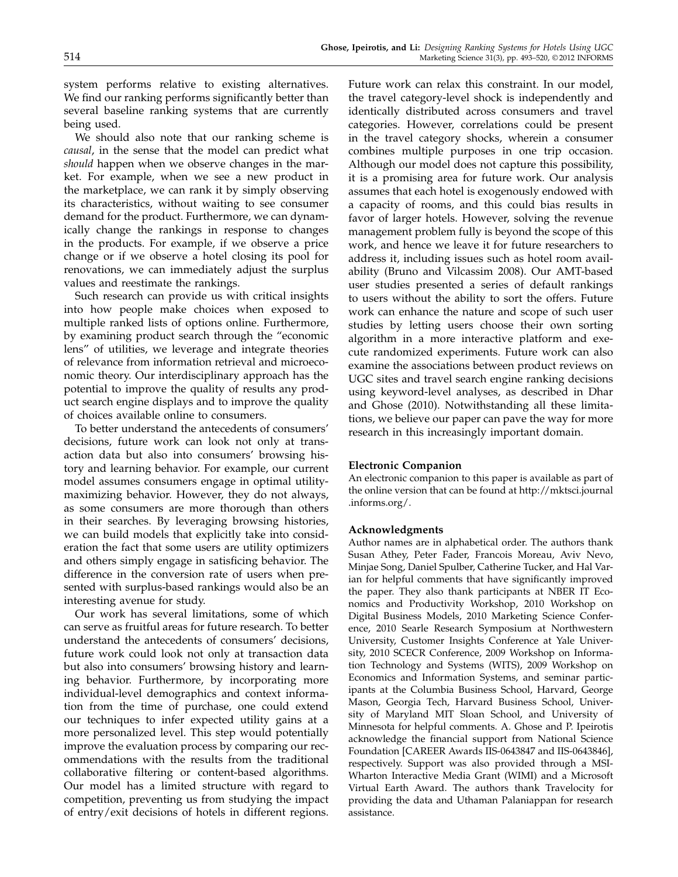system performs relative to existing alternatives. We find our ranking performs significantly better than several baseline ranking systems that are currently being used.

We should also note that our ranking scheme is causal, in the sense that the model can predict what should happen when we observe changes in the market. For example, when we see a new product in the marketplace, we can rank it by simply observing its characteristics, without waiting to see consumer demand for the product. Furthermore, we can dynamically change the rankings in response to changes in the products. For example, if we observe a price change or if we observe a hotel closing its pool for renovations, we can immediately adjust the surplus values and reestimate the rankings.

Such research can provide us with critical insights into how people make choices when exposed to multiple ranked lists of options online. Furthermore, by examining product search through the "economic lens" of utilities, we leverage and integrate theories of relevance from information retrieval and microeconomic theory. Our interdisciplinary approach has the potential to improve the quality of results any product search engine displays and to improve the quality of choices available online to consumers.

To better understand the antecedents of consumers' decisions, future work can look not only at transaction data but also into consumers' browsing history and learning behavior. For example, our current model assumes consumers engage in optimal utilitymaximizing behavior. However, they do not always, as some consumers are more thorough than others in their searches. By leveraging browsing histories, we can build models that explicitly take into consideration the fact that some users are utility optimizers and others simply engage in satisficing behavior. The difference in the conversion rate of users when presented with surplus-based rankings would also be an interesting avenue for study.

Our work has several limitations, some of which can serve as fruitful areas for future research. To better understand the antecedents of consumers' decisions, future work could look not only at transaction data but also into consumers' browsing history and learning behavior. Furthermore, by incorporating more individual-level demographics and context information from the time of purchase, one could extend our techniques to infer expected utility gains at a more personalized level. This step would potentially improve the evaluation process by comparing our recommendations with the results from the traditional collaborative filtering or content-based algorithms. Our model has a limited structure with regard to competition, preventing us from studying the impact of entry/exit decisions of hotels in different regions.

Future work can relax this constraint. In our model, the travel category-level shock is independently and identically distributed across consumers and travel categories. However, correlations could be present in the travel category shocks, wherein a consumer combines multiple purposes in one trip occasion. Although our model does not capture this possibility, it is a promising area for future work. Our analysis assumes that each hotel is exogenously endowed with a capacity of rooms, and this could bias results in favor of larger hotels. However, solving the revenue management problem fully is beyond the scope of this work, and hence we leave it for future researchers to address it, including issues such as hotel room availability (Bruno and Vilcassim 2008). Our AMT-based user studies presented a series of default rankings to users without the ability to sort the offers. Future work can enhance the nature and scope of such user studies by letting users choose their own sorting algorithm in a more interactive platform and execute randomized experiments. Future work can also examine the associations between product reviews on UGC sites and travel search engine ranking decisions using keyword-level analyses, as described in Dhar and Ghose (2010). Notwithstanding all these limitations, we believe our paper can pave the way for more research in this increasingly important domain.

### Electronic Companion

An electronic companion to this paper is available as part of the online version that can be found at http://mktsci.journal .informs.org/.

#### Acknowledgments

Author names are in alphabetical order. The authors thank Susan Athey, Peter Fader, Francois Moreau, Aviv Nevo, Minjae Song, Daniel Spulber, Catherine Tucker, and Hal Varian for helpful comments that have significantly improved the paper. They also thank participants at NBER IT Economics and Productivity Workshop, 2010 Workshop on Digital Business Models, 2010 Marketing Science Conference, 2010 Searle Research Symposium at Northwestern University, Customer Insights Conference at Yale University, 2010 SCECR Conference, 2009 Workshop on Information Technology and Systems (WITS), 2009 Workshop on Economics and Information Systems, and seminar participants at the Columbia Business School, Harvard, George Mason, Georgia Tech, Harvard Business School, University of Maryland MIT Sloan School, and University of Minnesota for helpful comments. A. Ghose and P. Ipeirotis acknowledge the financial support from National Science Foundation [CAREER Awards IIS-0643847 and IIS-0643846], respectively. Support was also provided through a MSI-Wharton Interactive Media Grant (WIMI) and a Microsoft Virtual Earth Award. The authors thank Travelocity for providing the data and Uthaman Palaniappan for research assistance.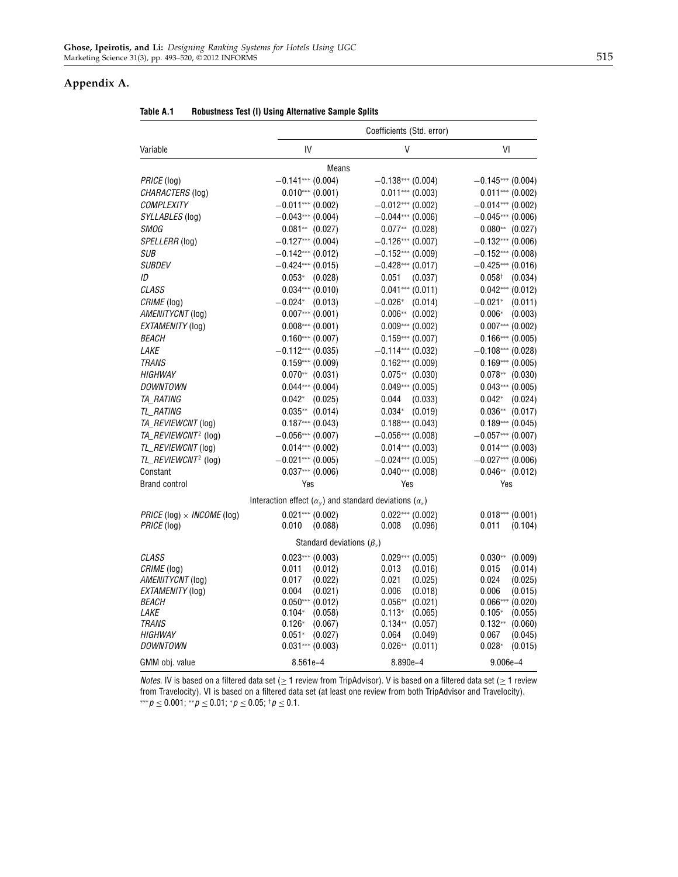## Appendix A.

|                                   |                                                                                  | Coefficients (Std. error)                |                                          |
|-----------------------------------|----------------------------------------------------------------------------------|------------------------------------------|------------------------------------------|
| Variable                          | IV                                                                               | V                                        | VI                                       |
|                                   | Means                                                                            |                                          |                                          |
| <i>PRICE</i> (log)                | $-0.141***$ (0.004)                                                              | $-0.138***$ (0.004)                      | $-0.145***$ (0.004)                      |
| CHARACTERS (log)                  | $0.010***$ (0.001)                                                               | $0.011***$ (0.003)                       | $0.011***$ (0.002)                       |
| <b>COMPLEXITY</b>                 | $-0.011***$ (0.002)                                                              | $-0.012***$ (0.002)                      | $-0.014***$ (0.002)                      |
| SYLLABLES (log)                   | $-0.043***$ (0.004)                                                              | $-0.044***$ (0.006)                      | $-0.045***$ (0.006)                      |
| <b>SMOG</b>                       | $0.081**$ (0.027)                                                                | $0.077**$ (0.028)                        | $0.080**$ (0.027)                        |
| SPELLERR (log)                    | $-0.127***$ (0.004)                                                              | $-0.126***$ (0.007)                      | $-0.132***$ (0.006)                      |
| SUB                               | $-0.142***$ (0.012)                                                              | $-0.152***$ (0.009)                      | $-0.152***$ (0.008)                      |
| <b>SUBDEV</b>                     | $-0.424***$ (0.015)                                                              | $-0.428***$ (0.017)                      | $-0.425***$ (0.016)                      |
| ID                                | $0.053*$ (0.028)                                                                 | 0.051<br>(0.037)                         | $0.058^{\dagger}$ (0.034)                |
| CLASS                             | $0.034***$ (0.010)                                                               | $0.041***$ (0.011)                       | $0.042***$ (0.012)                       |
| CRIME (log)                       | $-0.024*$ (0.013)                                                                | $-0.026*$ (0.014)                        | $-0.021*$<br>(0.011)                     |
| AMENITYCNT (log)                  | $0.007***(0.001)$                                                                | $0.006**$ (0.002)                        | $0.006*$<br>(0.003)                      |
| EXTAMENITY (log)                  | $0.008***(0.001)$                                                                | $0.009***$ (0.002)                       | $0.007***$ (0.002)                       |
| <i>BEACH</i>                      | $0.160***$ (0.007)                                                               | $0.159***$ (0.007)                       | $0.166***(0.005)$                        |
| <i>LAKE</i>                       | $-0.112***$ (0.035)                                                              | $-0.114***$ (0.032)                      | $-0.108***$ (0.028)                      |
| <b>TRANS</b>                      | $0.159***$ (0.009)                                                               | $0.162***(0.009)$                        | $0.169***$ (0.005)                       |
| <b>HIGHWAY</b>                    | $0.070**$ (0.031)                                                                | $0.075**$ (0.030)                        | $0.078**$ (0.030)                        |
| <i>DOWNTOWN</i>                   | $0.044***$ (0.004)                                                               | $0.049***$ (0.005)                       | $0.043***$ (0.005)                       |
| <i>TA RATING</i>                  | $0.042*$ (0.025)                                                                 | 0.044<br>(0.033)                         | $0.042*$ (0.024)                         |
| TL_RATING                         | $0.035**$ (0.014)                                                                | $0.034*$ (0.019)                         | $0.036**$ (0.017)                        |
| TA_REVIEWCNT (log)                | $0.187***$ (0.043)                                                               | $0.188***$ (0.043)                       | $0.189***$ (0.045)                       |
| TA_REVIEWCNT <sup>2</sup> (log)   | $-0.056***$ (0.007)                                                              | $-0.056***$ (0.008)                      | $-0.057***$ (0.007)                      |
| TL_REVIEWCNT (log)                | $0.014***$ (0.002)                                                               | $0.014***$ (0.003)                       | $0.014***$ (0.003)                       |
| TL_REVIEWCNT <sup>2</sup> (log)   | $-0.021***$ (0.005)                                                              | $-0.024***$ (0.005)                      | $-0.027***$ (0.006)                      |
| Constant                          | $0.037***$ (0.006)                                                               | $0.040***$ (0.008)                       | $0.046**$ (0.012)                        |
| <b>Brand control</b>              | Yes                                                                              | Yes                                      | Yes                                      |
|                                   | Interaction effect ( $\alpha_{\nu}$ ) and standard deviations ( $\alpha_{\nu}$ ) |                                          |                                          |
| $PRICE (log) \times INCOME (log)$ | $0.021***$ (0.002)                                                               | $0.022***(0.002)$                        | $0.018***(0.001)$                        |
| PRICE (log)                       | 0.010<br>(0.088)                                                                 | 0.008<br>(0.096)                         | 0.011<br>(0.104)                         |
|                                   | Standard deviations $(\beta_n)$                                                  |                                          |                                          |
| CLASS                             | $0.023***$ (0.003)                                                               | $0.029***$ (0.005)                       | $0.030**$<br>(0.009)                     |
| CRIME (log)                       | 0.011<br>(0.012)                                                                 | 0.013<br>(0.016)                         | 0.015<br>(0.014)                         |
| AMENITYCNT (log)                  | 0.017<br>(0.022)                                                                 | 0.021<br>(0.025)                         | 0.024<br>(0.025)                         |
| EXTAMENITY (log)                  | 0.004<br>(0.021)                                                                 | 0.006<br>(0.018)                         | 0.006<br>(0.015)                         |
| <i>BEACH</i>                      | $0.050***$ (0.012)                                                               | $0.056**$<br>(0.021)                     | $0.066***(0.020)$                        |
| <i>LAKE</i><br><b>TRANS</b>       | $0.104*$<br>(0.058)<br>$0.126*$                                                  | $0.113*$<br>(0.065)                      | $0.105*$<br>(0.055)                      |
| <b>HIGHWAY</b>                    | (0.067)<br>$0.051*$<br>(0.027)                                                   | $0.134**$<br>(0.057)<br>0.064<br>(0.049) | $0.132**$<br>(0.060)<br>0.067<br>(0.045) |
| <i>DOWNTOWN</i>                   | $0.031***$ (0.003)                                                               | $0.026**$<br>(0.011)                     | $0.028*$<br>(0.015)                      |
| GMM obj. value                    | 8.561e-4                                                                         | 8.890e-4                                 | $9.006e - 4$                             |

Table A.1 Robustness Test (I) Using Alternative Sample Splits

Notes. IV is based on a filtered data set ( $\geq$  1 review from TripAdvisor). V is based on a filtered data set ( $\geq$  1 review from Travelocity). VI is based on a filtered data set (at least one review from both TripAdvisor and Travelocity).  $***p \le 0.001$ ;  $**p \le 0.01$ ;  $*p \le 0.05$ ;  $\dagger p \le 0.1$ .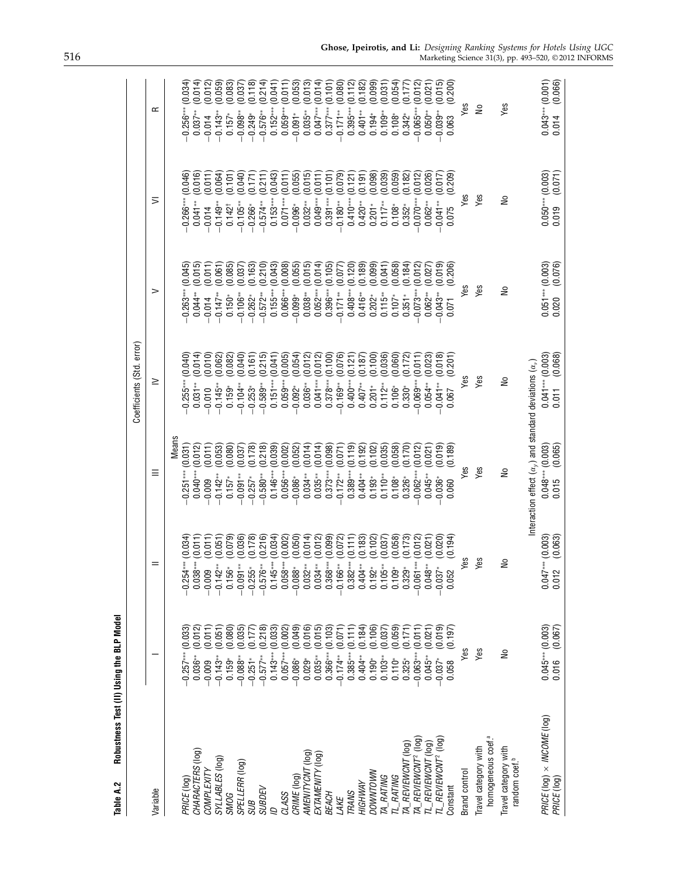| Table A.2                                              | Robustness Test (II) Using the BLP Model |                                             |                                                                    |                                        |                                        |                                           |                                        |
|--------------------------------------------------------|------------------------------------------|---------------------------------------------|--------------------------------------------------------------------|----------------------------------------|----------------------------------------|-------------------------------------------|----------------------------------------|
|                                                        |                                          |                                             |                                                                    | Coefficients (Std. error)              |                                        |                                           |                                        |
| Variable                                               |                                          | Ξ                                           | ≣                                                                  | ≥                                      | >                                      | ⋝                                         | $\propto$                              |
|                                                        |                                          |                                             | <b>Means</b>                                                       |                                        |                                        |                                           |                                        |
| PRICE (log)                                            | (0.033)                                  | (0.034)                                     | (0.031)                                                            | (0.040)                                | (0.045)                                | (0.046)                                   | (0.034)                                |
|                                                        | $0.257***$                               | $-0.254***$                                 | $0.251***$                                                         | $0.255***$                             | $0.263***$                             | $0.266***$                                | $0.256***$                             |
| CHARACTERS (log)                                       | (0.012)                                  | (0.011)                                     | (0.012)                                                            | (0.014)                                | (0.015)                                | (0.016)                                   | (0.014)                                |
|                                                        | $0.036***$                               | $0.038***$                                  | $0.040***$                                                         | $0.031**$                              | $0.044**$                              | $0.041**$                                 | $0.037***$                             |
| COMPLEXITY                                             | (0.011)                                  | (0.011)                                     | (0.011)                                                            | (0.010)                                | (0.011)                                | (0.011)                                   | (0.012)                                |
|                                                        | $-0.009$                                 | $-0.009$                                    | 0.009                                                              | $-0.010$                               | 0.014                                  | $-0.014$                                  | $-0.014$                               |
| SYLLABLES (log)                                        | (0.051)                                  | (0.051)                                     | (0.053)                                                            | (0.062)                                | (0.061)                                | (0.064)                                   | (0.059)                                |
|                                                        | $-0.143**$                               | $-0.142**$                                  | $-0.142**$                                                         | $-0.145***$                            | $-0.147**$                             | $-0.149**$                                | $-0.143**$                             |
| <b>SMOG</b>                                            | (0.080)                                  | (0.079)                                     | (0.080)                                                            | (0.082)                                | (0.085)                                | (0.101)                                   | (0.083)                                |
|                                                        | $0.159*$                                 | 0.156*                                      | $0.157*$                                                           | $0.159*$                               | $0.150*$                               | $0.142^{\dagger}$                         | $0.157*$                               |
| SPELLERR (log)                                         | (0.035)                                  | (0.036)                                     | (0.037)                                                            | (0.040)                                | (0.037)                                | (0.040)                                   | (0.037)                                |
|                                                        | $-0.088***$                              | $-0.091**$                                  | $-0.091**$                                                         | $-0.104**$                             | $-0.106**$                             | $-0.105**$                                | $-0.098***$                            |
| <b>SUB</b>                                             | (0.177)                                  | (0.178)                                     | (0.178)                                                            | (0.161)                                | (0.163)                                | (0.171)                                   | (0.118)                                |
|                                                        | $-0.251*$                                | $-0.255*$                                   | $-0.257*$                                                          | $-0.253*$                              | $-0.262*$                              | $-0.266*$                                 | $-0.249*$                              |
| <b>SUBDEV</b>                                          | (0.218)<br>$-0.577***$                   | (0.216)<br>ڞٞ<br>$-0.576$                   | (0.218)<br>$-0.580**$                                              | (0.215)<br>$-0.589**$                  | (0.210)<br>$-0.572**$                  | (0.211)<br>$-0.574**$                     | (0.214)<br>$-0.576**$                  |
| g                                                      | (0.033)                                  | (0.034)                                     | (0.039)                                                            | (0.041)                                | (0.043)                                | (0.043)                                   | (0.041)                                |
|                                                        | $0.143***$                               | $0.145***$                                  | $0.146***$                                                         | $0.151***$                             | $0.155***$                             | $0.153***$                                | $0.152***$                             |
| CLASS                                                  | (0.002)                                  | (0.002)                                     | (0.002)                                                            | (0.005)                                | (0.008)                                | (0.011)                                   | (0.011)                                |
|                                                        | $0.057***$                               | $0.058***$                                  | $0.056***$                                                         | $0.059***$                             | $0.066***$                             | $0.071***$                                | $0.059***$                             |
| CRIME (log)                                            | (0.049)                                  | (0.050)                                     | (0.052)                                                            | (0.054)                                | (0.055)                                | (0.055)                                   | (0.053)                                |
|                                                        | $-0.086*$                                | $-0.088$                                    | $0.086*$                                                           | $-0.092*$                              | $0.099*$                               | $0.096*$                                  | $-0.091$ *                             |
| AMENITYCNT (log)                                       | (0.016)                                  | (0.014)                                     | (0.014)                                                            | (0.012)                                | (0.015)                                | (0.015)                                   | (0.013)                                |
|                                                        | $0.029*$                                 | $0.032**$                                   | $0.034***$                                                         | $0.036**$                              | $0.038***$                             | $0.032***$                                | $0.035***$                             |
| EXTAMENITY (log`                                       | (0.015)                                  | (0.012)                                     | (0.014)                                                            | (0.012)                                | (0.014)                                | (0.011)                                   | (0.014)                                |
|                                                        | $0.035***$                               | $0.034**$                                   | $0.035**$                                                          | $0.041***$                             | $0.052***$                             | $0.049***$                                | $0.047***$                             |
| <b>BEACH</b>                                           | $0.366***$ (0.103)                       | (0.099)<br>$0.368***$                       | (0.098)<br>$0.373***$                                              | (0.100)<br>$0.378***$                  | (0.105)<br>$0.396***$                  | (0.101)<br>$0.391***$                     | (0.101)<br>$0.377***$                  |
| LAKE                                                   | (0.071)                                  | (0.072)                                     | (0.071)                                                            | (0.076)                                | (0.077)                                | (0.079)                                   | (0.080)                                |
|                                                        | $0.174**$                                | $-0.166***$                                 | $0.172**$                                                          | $0.169**$                              | $0.171**$                              | $0.180**$                                 | $-0.171**$                             |
| <b>TRANS</b>                                           | (0.111)                                  | (0.111)                                     | (0.119)                                                            | (0.121)                                | (0.120)                                | (0.121)                                   | (0.112)                                |
|                                                        | $0.385***$                               | $0.382***$                                  | $0.389***$                                                         | $0.400***$                             | $0.408***$                             | $0.410***$                                | $0.395***$                             |
| HIGHWAY                                                | (0.184)                                  | (0.183)                                     | (0.192)                                                            | (0.187)                                | (0.189)                                | (0.191)                                   | (0.182)                                |
|                                                        | $0.404**$                                | $0.404**$                                   | $0.404**$                                                          | $0.407**$                              | $0.416**$                              | $0.420**$                                 | $0.401**$                              |
| DOWNTOWN                                               | (0.106)                                  | (0.102)                                     | (0.102)                                                            | (0.100)                                | (0.099)                                | (0.098)                                   | (0.099)                                |
|                                                        | $0.190*$                                 | $0.192*$                                    | $0.193*$                                                           | $0.201*$                               | $0.202*$                               | $0.201*$                                  | $0.194*$                               |
| TA_RATING                                              | (0.037)                                  | (0.037)                                     | (0.035)                                                            | (0.036)                                | (0.041)                                | (0.039)                                   | (0.031)                                |
|                                                        | $0.103**$                                | $0.105***$                                  | $0.110**$                                                          | $0.112**$                              | $0.115**$                              | $0.117**$                                 | $0.109**$                              |
| TL_RATING                                              | (0.059)                                  | (0.058)                                     | (0.058)                                                            | (0.060)                                | (0.058)                                | (0.059)                                   | (0.054)                                |
|                                                        | $0.110*$                                 | $0.109*$                                    | $0.108*$                                                           | $0.106*$                               | $0.107*$                               | $0.108*$                                  | $0.108*$                               |
| TA_REVIEWCNT(log)                                      | (0.171)                                  | (0.173)                                     | (0.170)                                                            | (0.172)                                | (0.184)                                | (0.182)                                   | (0.177)                                |
|                                                        | $0.325*$                                 | $0.329*$                                    | 0.326*                                                             | $0.330*$                               | $0.351*$                               | $0.352*$                                  | $0.342*$                               |
| TA_REVIEWCNT <sup>2</sup> (log)                        | (0.011)                                  | (0.012)                                     | (0.012)                                                            | (0.011)                                | (0.012)                                | (0.012)                                   | (0.012)                                |
|                                                        | $0.063***$                               | $-0.061***$                                 | $0.062***$                                                         | $0.069***$                             | $0.073***$                             | $-0.070***$                               | $0.065***$                             |
| TL_REVIEWCNT (log)                                     | (0.021)                                  | (0.021)                                     | (0.021)                                                            | (0.023)                                | (0.027)                                | (0.026)                                   | (0.021)                                |
|                                                        | $0.045**$                                | $0.048**$                                   | $0.045***$                                                         | $0.054***$                             | $0.062**$                              | $0.062***$                                | $0.050**$                              |
| TL_REVIEWCNT <sup>2</sup> (log)                        | (0.019)                                  | (0.020)                                     | (0.019)                                                            | (0.018)                                | (0.019)                                | (0.017)                                   | (0.015)                                |
|                                                        | $-0.037*$                                | $-0.037*$                                   | $0.036*$                                                           | $0.041**$                              | $0.043**$                              | $0.041**$                                 | $0.039***$                             |
| Constant                                               | (0.197)<br>0.058                         | (0.194)<br>0.052                            | (0.189)<br>060                                                     | (0.201)<br>0.067                       | (0.206)<br>57<br>ö                     | (602)<br>S<br>075                         | (0.200)<br>0.063                       |
| Brand control                                          | Yes                                      | Yes                                         | Yes                                                                | Yes                                    | Yes                                    | Yes                                       | Yes                                    |
| homogeneous coef. <sup>a</sup><br>Travel category with | Yes                                      | Yes                                         | yes                                                                | Yes                                    | yes                                    | Yes                                       | å                                      |
| Travel category with<br>random coef. <sup>b</sup>      | å                                        | å                                           | å                                                                  | å                                      | å                                      | S                                         | Yes                                    |
|                                                        |                                          |                                             | Interaction effect $(a_{\nu})$ and standard deviations $(a_{\nu})$ |                                        |                                        |                                           |                                        |
| PRICE (log) × INCOME (log)<br>PRICE (log)              | $0.045***$ (0.003)<br>(0.067)<br>0.016   | (0.003)<br>(0.063)<br>7***<br>0.012<br>0.04 | $0.048***$ (0.003)<br>(0.065)<br>0.015                             | $0.041***$ (0.003)<br>(0.068)<br>0.011 | $0.051***$ (0.003)<br>(0.076)<br>0.020 | (0.003)<br>(0.071)<br>$0.050***$<br>0.019 | $0.043***$ (0.001)<br>(0.066)<br>0.014 |
|                                                        |                                          |                                             |                                                                    |                                        |                                        |                                           |                                        |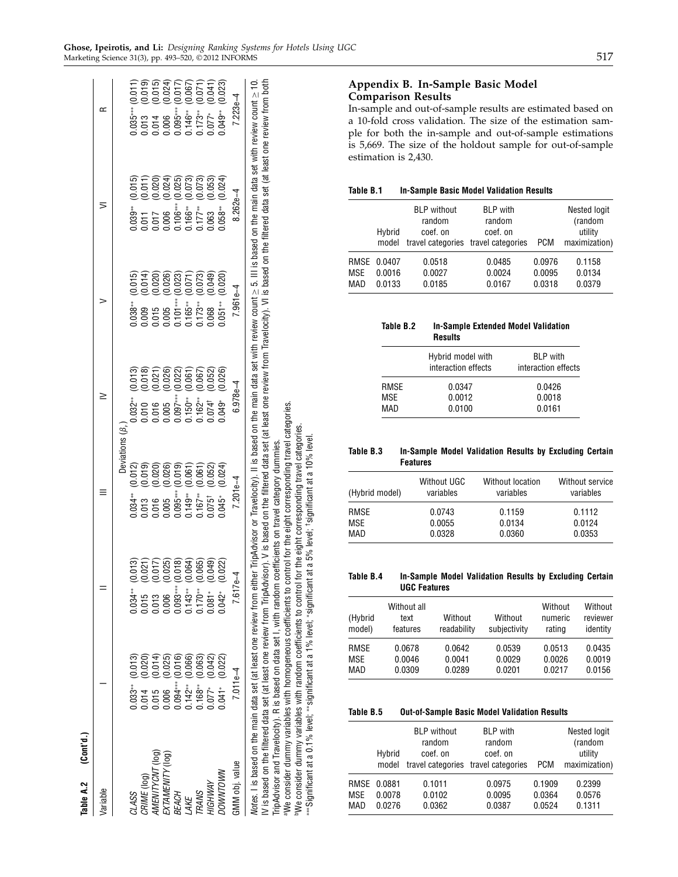| Table A.2 (Cont'd.)                        |                                                                                                                                                                    |                                                                                                                                                                                                                                                                                                                                           |                                                                                         |                                                                                                                                                                                                                                                                                                              |            |                                                                                                                                                                                                                                  |                                                                                                                                                                                 |
|--------------------------------------------|--------------------------------------------------------------------------------------------------------------------------------------------------------------------|-------------------------------------------------------------------------------------------------------------------------------------------------------------------------------------------------------------------------------------------------------------------------------------------------------------------------------------------|-----------------------------------------------------------------------------------------|--------------------------------------------------------------------------------------------------------------------------------------------------------------------------------------------------------------------------------------------------------------------------------------------------------------|------------|----------------------------------------------------------------------------------------------------------------------------------------------------------------------------------------------------------------------------------|---------------------------------------------------------------------------------------------------------------------------------------------------------------------------------|
| Variable                                   |                                                                                                                                                                    |                                                                                                                                                                                                                                                                                                                                           |                                                                                         |                                                                                                                                                                                                                                                                                                              |            |                                                                                                                                                                                                                                  |                                                                                                                                                                                 |
|                                            |                                                                                                                                                                    |                                                                                                                                                                                                                                                                                                                                           | Deviations $(\beta_n)$                                                                  |                                                                                                                                                                                                                                                                                                              |            |                                                                                                                                                                                                                                  |                                                                                                                                                                                 |
| CLASS                                      |                                                                                                                                                                    |                                                                                                                                                                                                                                                                                                                                           |                                                                                         |                                                                                                                                                                                                                                                                                                              |            |                                                                                                                                                                                                                                  |                                                                                                                                                                                 |
| CRIME (log)<br>AMENITYCNT (log)            | $\begin{array}{c} 0.033**\\ 0.014\\ 0.015\\ 0.006\\ 0.006\\ 0.142**\\ 0.163**\\ 0.007**\\ 0.007**\\ 0.007**\\ 0.007**\\ 0.007**\\ 0.007**\\ 0.007**\\ \end{array}$ | $(6.013)$<br>$(0.021)$<br>$(0.017)$<br>$(0.025)$<br>$(0.017)$<br>$(0.006)$<br>$(0.006)$<br>$(0.006)$                                                                                                                                                                                                                                      | $0.034**$ (0.034**)<br>0.013 (0.015 )<br>0.016 (0.005 )<br>0.035*** (0.075 )<br>0.075 ) |                                                                                                                                                                                                                                                                                                              |            | $\begin{array}{ll} 0.039^{**} & (0.015) \\ 0.011 & (0.011) \\ 0.017 & (0.020) \\ 0.006 & (0.024) \\ 0.106^{**} & (0.025) \\ 0.116^{**} & (0.073) \\ 0.116^{**} & (0.073) \\ 0.177^{**} & (0.073) \\ 0.063 & (0.053) \end{array}$ |                                                                                                                                                                                 |
|                                            |                                                                                                                                                                    |                                                                                                                                                                                                                                                                                                                                           |                                                                                         |                                                                                                                                                                                                                                                                                                              |            |                                                                                                                                                                                                                                  |                                                                                                                                                                                 |
|                                            |                                                                                                                                                                    |                                                                                                                                                                                                                                                                                                                                           |                                                                                         |                                                                                                                                                                                                                                                                                                              |            |                                                                                                                                                                                                                                  |                                                                                                                                                                                 |
| EXTAMENITY (log)<br>BEACH<br>LAKE<br>TRANS |                                                                                                                                                                    |                                                                                                                                                                                                                                                                                                                                           |                                                                                         |                                                                                                                                                                                                                                                                                                              |            |                                                                                                                                                                                                                                  |                                                                                                                                                                                 |
|                                            |                                                                                                                                                                    |                                                                                                                                                                                                                                                                                                                                           |                                                                                         |                                                                                                                                                                                                                                                                                                              |            |                                                                                                                                                                                                                                  |                                                                                                                                                                                 |
|                                            |                                                                                                                                                                    |                                                                                                                                                                                                                                                                                                                                           |                                                                                         |                                                                                                                                                                                                                                                                                                              |            |                                                                                                                                                                                                                                  |                                                                                                                                                                                 |
| HIGHWAY                                    |                                                                                                                                                                    |                                                                                                                                                                                                                                                                                                                                           |                                                                                         |                                                                                                                                                                                                                                                                                                              |            |                                                                                                                                                                                                                                  |                                                                                                                                                                                 |
| WNDLWNDC                                   | ត្តូត្តូត្តូតូតូតូតូតូ<br>ខេត្ត ខេត្តទីកូតូ<br>ប្រកប្ដាច់ចិត្ត្តូមូរី                                                                                              | (0.022)<br>$[0.34**$<br>$[0.5]$<br>$[0.5]$<br>$[0.5]$<br>$[0.5]$<br>$[0.5]$<br>$[0.5]$<br>$[0.5]$<br>$[0.5]$<br>$[0.5]$<br>$[0.5]$<br>$[0.5]$<br>$[0.5]$<br>$[0.5]$<br>$[0.5]$<br>$[0.5]$<br>$[0.5]$                                                                                                                                      |                                                                                         | $\begin{array}{ll} 0.032^{**} & (0.013) \\ 0.010 & (0.018) \\ 0.016 & (0.027) \\ 0.005 & (0.026) \\ 0.097^{**} & (0.022) \\ 0.150^{**} & (0.067) \\ 0.162^{**} & (0.067) \\ 0.162^{**} & (0.062) \\ 0.074^{+} & (0.052) \\ 0.074^{+} & (0.052) \\ 0.074^{+} & (0.052) \\ 0.074^{+} & (0.052) \\ \end{array}$ | (0.020)    | (0.024)<br>$0.058***$                                                                                                                                                                                                            | $0.035***$ $(0.011)$<br>$0.013$ $(0.013)$<br>$0.014$ $(0.016)$<br>$0.006$ $(0.024)$<br>$0.036***$ $(0.067)$<br>$0.173***$ $(0.071)$<br>$0.077*$ $(0.041)$<br>$0.077*$ $(0.041)$ |
| GMM obj. value                             | $7.011e-4$                                                                                                                                                         | $7.617e-$                                                                                                                                                                                                                                                                                                                                 | $7.201e-4$                                                                              | $6.978e-4$                                                                                                                                                                                                                                                                                                   | $7.961e-4$ | $8.262e-4$                                                                                                                                                                                                                       | $7.223e-4$                                                                                                                                                                      |
|                                            |                                                                                                                                                                    | Notes. I is based on the main data set (at least one review from either TripAdvisor or Travelocity). II is based on the main data set with review count $\geq$ 5. III is based on the main data set with review count $\geq$ 10<br>1977年12月12日,1978年12月12日,1979年12月12日,1979年12月12日,1979年12月12日,1979年12月12日,1979年12月12日,1979年12月12日,1979 年 |                                                                                         |                                                                                                                                                                                                                                                                                                              |            |                                                                                                                                                                                                                                  |                                                                                                                                                                                 |

IV is based on the filtered data set (at least one review from TripAdvisor). V is based on the filtered data set (at least one review from Travelocity). VI is based on the filtered data set (at least one review from both

TripAdvisor and Travelocity). R is based on data set I, with random coefficients on travel category dummies.

TripAdvisor and Travelocity). R is based on data set I, with random coefficients on travel category dummies.

aWe consider dummy variables with homogeneous coefficients to control for the eight corresponding travel categories. bWe consider dummy variables with random coefficients to control for the eight corresponding travel categories.

aWe consider dummy variables with homogeneous coefficients to control for the eight corresponding travel categories.<br><sup>b</sup>We consider dummy variables with random coefficients to control for the eight corresponding travel cat

∗∗∗Significant at a 0.1% level; ∗∗significant at a 1% level;

∗significant at a 5% level;

†significant at a 10% level.

Appendix B. In-Sample Basic Model Comparison Results

In-sample and out-of-sample results are estimated based on a 10-fold cross validation. The size of the estimation sample for both the in-sample and out-of-sample estimations is 5,669. The size of the holdout sample for out-of-sample estimation is 2,430.

#### Table B.1 In-Sample Basic Model Validation Results

|                          | Hybrid<br>model                 | <b>BLP</b> without<br>random<br>coef. on | <b>BLP</b> with<br>random<br>coef. on<br>travel categories travel categories | <b>PCM</b>                 | Nested logit<br>(random<br>utility<br>maximization) |
|--------------------------|---------------------------------|------------------------------------------|------------------------------------------------------------------------------|----------------------------|-----------------------------------------------------|
| <b>MSE</b><br><b>MAD</b> | RMSE 0.0407<br>0.0016<br>0.0133 | 0.0518<br>0.0027<br>0.0185               | 0.0485<br>0.0024<br>0.0167                                                   | 0.0976<br>0.0095<br>0.0318 | 0.1158<br>0.0134<br>0.0379                          |

| Table B.2 | <b>In-Sample Extended Model Validation</b><br><b>Results</b> |                                        |
|-----------|--------------------------------------------------------------|----------------------------------------|
|           | Hybrid model with<br>interaction effects                     | <b>BLP</b> with<br>interaction effects |
| RMSE      | 0.0347                                                       | 0.0426                                 |
| MSE       | 0.0012                                                       | 0.0018                                 |
| MAD       | 0.0100                                                       | 0.0161                                 |

Table B.3 In-Sample Model Validation Results by Excluding Certain Features

| (Hybrid model) | Without UGC<br>variables | Without location<br>variables | <b>Without service</b><br>variables |
|----------------|--------------------------|-------------------------------|-------------------------------------|
| RMSE           | 0.0743                   | 0.1159                        | 0.1112                              |
| MSE            | 0.0055                   | 0.0134                        | 0.0124                              |
| MAD            | 0.0328                   | 0.0360                        | 0.0353                              |

Table B.4 In-Sample Model Validation Results by Excluding Certain UGC Features

| (Hybrid<br>model) | Without all<br>text<br>features | Without<br>readability | Without<br>subjectivity | Without<br>numeric<br>rating | Without<br>reviewer<br>identity |
|-------------------|---------------------------------|------------------------|-------------------------|------------------------------|---------------------------------|
| <b>RMSE</b>       | 0.0678                          | 0.0642                 | 0.0539                  | 0.0513                       | 0.0435                          |
| <b>MSE</b>        | 0.0046                          | 0.0041                 | 0.0029                  | 0.0026                       | 0.0019                          |
| MAD               | 0.0309                          | 0.0289                 | 0.0201                  | 0.0217                       | 0.0156                          |

#### Table B.5 Out-of-Sample Basic Model Validation Results

|            | Hybrid<br>model                 | <b>BLP</b> without<br>random<br>coef. on | <b>BLP</b> with<br>random<br>coef. on<br>travel categories travel categories | <b>PCM</b>                 | Nested logit<br>(random<br>utility<br>maximization) |
|------------|---------------------------------|------------------------------------------|------------------------------------------------------------------------------|----------------------------|-----------------------------------------------------|
| MSE<br>MAD | RMSE 0.0881<br>0.0078<br>0.0276 | 0.1011<br>0.0102<br>0.0362               | 0.0975<br>0.0095<br>0.0387                                                   | 0.1909<br>0.0364<br>0.0524 | 0.2399<br>0.0576<br>0.1311                          |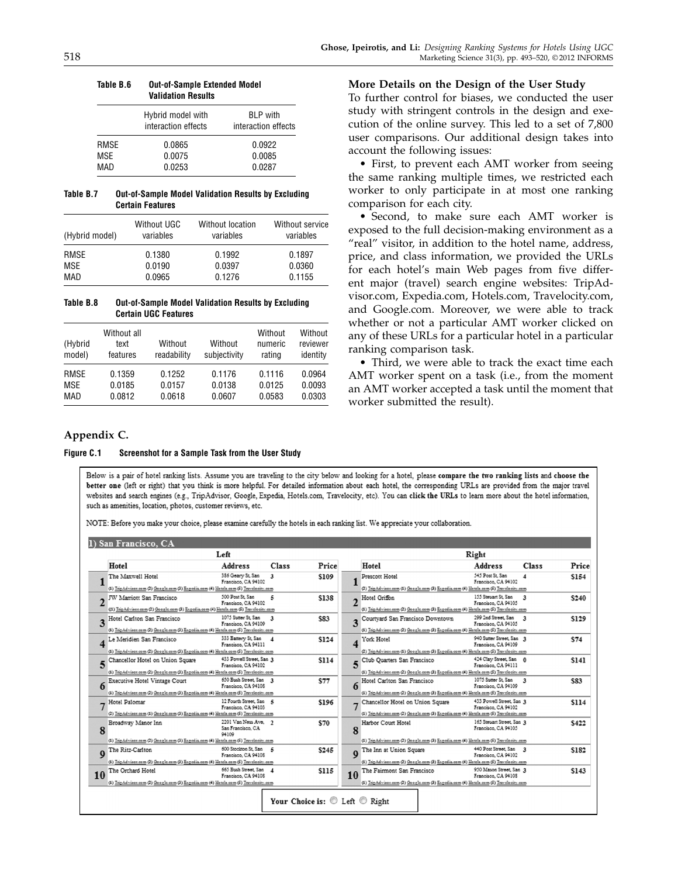|      | Hybrid model with<br>interaction effects | <b>BLP</b> with<br>interaction effects |
|------|------------------------------------------|----------------------------------------|
| RMSE | 0.0865                                   | 0.0922                                 |
| MSE  | 0.0075                                   | 0.0085                                 |
| MAD  | 0.0253                                   | 0.0287                                 |

Table B.6 Out-of-Sample Extended Model Validation Results

#### Table B.7 Out-of-Sample Model Validation Results by Excluding Certain Features

| (Hybrid model) | <b>Without UGC</b><br>variables | Without location<br>variables | Without service<br>variables |
|----------------|---------------------------------|-------------------------------|------------------------------|
| RMSE           | 0.1380                          | 0.1992                        | 0.1897                       |
| <b>MSE</b>     | 0.0190                          | 0.0397                        | 0.0360                       |
| MAD            | 0.0965                          | 0.1276                        | 0.1155                       |

Table B.8 Out-of-Sample Model Validation Results by Excluding Certain UGC Features

| (Hybrid<br>model) | Without all<br>text<br>features | Without<br>readability | Without<br>subjectivity | Without<br>numeric<br>rating | Without<br>reviewer<br>identity |
|-------------------|---------------------------------|------------------------|-------------------------|------------------------------|---------------------------------|
| RMSE              | 0.1359                          | 0.1252                 | 0.1176                  | 0.1116                       | 0.0964                          |
| MSE               | 0.0185                          | 0.0157                 | 0.0138                  | 0.0125                       | 0.0093                          |
| MAD               | 0.0812                          | 0.0618                 | 0.0607                  | 0.0583                       | 0.0303                          |

#### More Details on the Design of the User Study

To further control for biases, we conducted the user study with stringent controls in the design and execution of the online survey. This led to a set of 7,800 user comparisons. Our additional design takes into account the following issues:

• First, to prevent each AMT worker from seeing the same ranking multiple times, we restricted each worker to only participate in at most one ranking comparison for each city.

• Second, to make sure each AMT worker is exposed to the full decision-making environment as a "real" visitor, in addition to the hotel name, address, price, and class information, we provided the URLs for each hotel's main Web pages from five different major (travel) search engine websites: TripAdvisor.com, Expedia.com, Hotels.com, Travelocity.com, and Google.com. Moreover, we were able to track whether or not a particular AMT worker clicked on any of these URLs for a particular hotel in a particular ranking comparison task.

• Third, we were able to track the exact time each AMT worker spent on a task (i.e., from the moment an AMT worker accepted a task until the moment that worker submitted the result).

## Appendix C.

#### Figure C.1 Screenshot for a Sample Task from the User Study

Below is a pair of hotel ranking lists. Assume you are traveling to the city below and looking for a hotel, please compare the two ranking lists and choose the better one (left or right) that you think is more helpful. For detailed information about each hotel, the corresponding URLs are provided from the major travel websites and search engines (e.g., TripAdvisor, Google, Expedia, Hotels.com, Travelocity, etc). You can click the URLs to learn more about the hotel information, such as amenities, location, photos, customer reviews, etc.

NOTE: Before you make your choice, please examine carefully the hotels in each ranking list. We appreciate your collaboration.

|               |                                                                                                                            | Left                                               |                  |                   |                                                                                                                           | Right                                            |              |       |
|---------------|----------------------------------------------------------------------------------------------------------------------------|----------------------------------------------------|------------------|-------------------|---------------------------------------------------------------------------------------------------------------------------|--------------------------------------------------|--------------|-------|
| Hotel         |                                                                                                                            | <b>Address</b>                                     | Class            | Price             | Hotel                                                                                                                     | <b>Address</b>                                   | Class        | Price |
|               | The Maxwell Hotel<br>(1) TripAdvisor.com (2) Google.com (3) Expedia.com (4) Hotels.com (5) Travelocity.com                 | 386 Geary St, San<br>Francisco, CA 94102           | 3                | \$109             | Prescott Hotel<br>(2) InpAdvisor.com (1) Google.com (3) Expedia.com (4) Hotels.com (5) Invelocity.com                     | 545 Post St. San<br>Francisco, CA 94102          | 4            | \$154 |
|               | JW Marriott San Francisco<br>((1) TripAdvisor.com (2) Google.com (3) Expedia.com (4) Hotels.com (5) Travelocity.com        | 500 Post St. San<br>Francisco, CA 94102            | 5                | \$138             | Hotel Griffon<br>(1) InpAdvisor.com (2) Google.com (3) Expedia.com (4) Hotels.com (5) Invelocity.com                      | 155 Stewart St. San<br>Francisco, CA 94105       | 3            | \$240 |
| 3             | Hotel Carlton San Francisco<br>(1) TripAdvisor.com (2) Google.com (3) Expedia.com (4) Hotels.com (5) Travelocity.com       | 1075 Sutter St. San<br>Francisco, CA 94109         | $\mathbf{a}$     | \$83              | Courtyard San Francisco Downtown<br>(1) TripAdvisor.com (2) Google.com (3) Expedia.com (4) Hotels.com (5) Travelocity.com | 299 2nd Street, San<br>Francisco, CA 94105       | $\mathbf{a}$ | \$129 |
|               | Le Meridien San Francisco<br>(1) TripAdvisor.com (2) Google.com (3) Expedia.com (4) Hotels.com (5) Travelocity.com         | 333 Battery St, San<br>Francisco, CA 94111         | $\boldsymbol{4}$ | \$124             | York Hotel<br>(2) TripAdvisor.com (1) Google.com (3) Expedia.com (4) Hotch.com (5) Travelocity.com                        | 940 Sutter Street, San 3<br>Francisco, CA 94109  |              | \$74  |
|               | S Chancellor Hotel on Union Square<br>(1) TripAdvises.com (2) Geogle.com (3) Expedia.com (4) Hetch.com (5) Travelecity.com | 433 Powell Street, San 2<br>Francisco, CA 94102    |                  | \$114             | Club Quarters San Francisco<br>(1) TripAdvisor.com (2) Google.com (3) Expedia.com (4) Hotels.com (5) Travelocity.com      | 424 Clay Street, San<br>Francisco, CA 94111      |              | \$141 |
| 6             | Executive Hotel Vintage Court<br>(1) TripAdvises.com (2) Geogle.com (3) Expedia.com (4) Hetch.com (5) Travelecity.com      | 650 Bush Street, San<br>Francisco, CA 94108        | $\mathbf{3}$     | \$77<br>6         | Hotel Carlton San Francisco<br>(1) TripAdvison.com (2) Google.com (3) Expedia.com (4) Hotels.com (5) Travelocity.com      | 1075 Suttor St. San<br>Francisco, CA 94109       | $\mathbf{3}$ | \$83  |
| Hotel Palomar | (2) TripAdvises.com (1) Geogle.com (3) Expedia.com (4) Hetch.com (5) Travelecity.com                                       | 12 Fourth Street, San 5<br>Francisco, CA 94103     |                  | \$196             | Chancellor Hotel on Union Square<br>(1) TripAdvisor.com (2) Google.com (3) Expedia.com (4) Hotels.com (5) Travelocity.com | 433 Powell Street, San 3<br>Francisco, CA 94102  |              | \$114 |
| 8             | Broadway Manor Inn<br>(1) TripAdvisor.com (2) Google.com (3) Expedia.com (4) Hotels.com (5) Travelocity.com                | 2201 Van Ness Ave. 2<br>San Francisco, CA<br>94109 |                  | \$70<br>8         | Harbor Court Hotel<br>(1) InpAdvisor.com (2) Google.com (3) Expedia.com (4) Hotch.com (5) Invelocity.com                  | 165 Steuart Street, San 3<br>Francisco, CA 94105 |              | \$422 |
| $\bf{o}$      | The Ritz-Carlton<br>(1) TripAdvisor.com (2) Google.com (3) Expedia.com (4) Hotels.com (5) Travelocity.com                  | 600 Stockton St. San<br>Francisco, CA 94108        | 5                | \$245<br>$\bf{0}$ | The Inn at Union Square<br>(1) IngAdvises.com (2) Google.com (3) Expedia.com (4) Hotch.com (5) Invelocity.com             | 440 Post Street, San<br>Francisco, CA 94102      | 3            | \$182 |
| 10            | The Orchard Hotel<br>(1) TripAdvisor.com (2) Google.com (3) Expedia.com (4) Hotels.com (5) Travelocity.com                 | 665 Bush Street, San<br>Francisco, CA 94108        | $\boldsymbol{A}$ | \$115<br>10       | The Fairmont San Francisco<br>(1) TripAdvisor.com (2) Google.com (3) Expedia.com (4) Hotels.com (5) Travelocity.com       | 950 Mason Street, San 3<br>Francisco, CA 94103   |              | \$143 |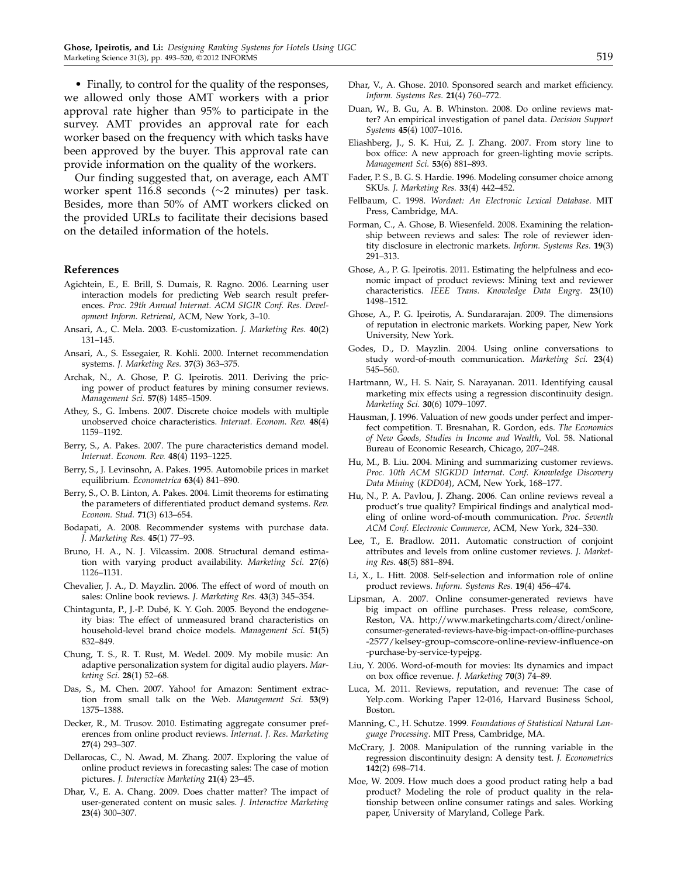• Finally, to control for the quality of the responses, we allowed only those AMT workers with a prior approval rate higher than 95% to participate in the survey. AMT provides an approval rate for each worker based on the frequency with which tasks have been approved by the buyer. This approval rate can provide information on the quality of the workers.

Our finding suggested that, on average, each AMT worker spent 116.8 seconds (∼2 minutes) per task. Besides, more than 50% of AMT workers clicked on the provided URLs to facilitate their decisions based on the detailed information of the hotels.

#### References

- Agichtein, E., E. Brill, S. Dumais, R. Ragno. 2006. Learning user interaction models for predicting Web search result preferences. Proc. 29th Annual Internat. ACM SIGIR Conf. Res. Development Inform. Retrieval, ACM, New York, 3–10.
- Ansari, A., C. Mela. 2003. E-customization. J. Marketing Res. 40(2) 131–145.
- Ansari, A., S. Essegaier, R. Kohli. 2000. Internet recommendation systems. J. Marketing Res. 37(3) 363–375.
- Archak, N., A. Ghose, P. G. Ipeirotis. 2011. Deriving the pricing power of product features by mining consumer reviews. Management Sci. 57(8) 1485–1509.
- Athey, S., G. Imbens. 2007. Discrete choice models with multiple unobserved choice characteristics. Internat. Econom. Rev. 48(4) 1159–1192.
- Berry, S., A. Pakes. 2007. The pure characteristics demand model. Internat. Econom. Rev. 48(4) 1193–1225.
- Berry, S., J. Levinsohn, A. Pakes. 1995. Automobile prices in market equilibrium. Econometrica 63(4) 841–890.
- Berry, S., O. B. Linton, A. Pakes. 2004. Limit theorems for estimating the parameters of differentiated product demand systems. Rev. Econom. Stud. 71(3) 613–654.
- Bodapati, A. 2008. Recommender systems with purchase data. J. Marketing Res. 45(1) 77–93.
- Bruno, H. A., N. J. Vilcassim. 2008. Structural demand estimation with varying product availability. Marketing Sci. 27(6) 1126–1131.
- Chevalier, J. A., D. Mayzlin. 2006. The effect of word of mouth on sales: Online book reviews. J. Marketing Res. 43(3) 345–354.
- Chintagunta, P., J.-P. Dubé, K. Y. Goh. 2005. Beyond the endogeneity bias: The effect of unmeasured brand characteristics on household-level brand choice models. Management Sci. 51(5) 832–849.
- Chung, T. S., R. T. Rust, M. Wedel. 2009. My mobile music: An adaptive personalization system for digital audio players. Marketing Sci. 28(1) 52–68.
- Das, S., M. Chen. 2007. Yahoo! for Amazon: Sentiment extraction from small talk on the Web. Management Sci. 53(9) 1375–1388.
- Decker, R., M. Trusov. 2010. Estimating aggregate consumer preferences from online product reviews. Internat. J. Res. Marketing 27(4) 293–307.
- Dellarocas, C., N. Awad, M. Zhang. 2007. Exploring the value of online product reviews in forecasting sales: The case of motion pictures. J. Interactive Marketing 21(4) 23–45.
- Dhar, V., E. A. Chang. 2009. Does chatter matter? The impact of user-generated content on music sales. J. Interactive Marketing 23(4) 300–307.
- Dhar, V., A. Ghose. 2010. Sponsored search and market efficiency. Inform. Systems Res. 21(4) 760–772.
- Duan, W., B. Gu, A. B. Whinston. 2008. Do online reviews matter? An empirical investigation of panel data. Decision Support Systems 45(4) 1007–1016.
- Eliashberg, J., S. K. Hui, Z. J. Zhang. 2007. From story line to box office: A new approach for green-lighting movie scripts. Management Sci. 53(6) 881–893.
- Fader, P. S., B. G. S. Hardie. 1996. Modeling consumer choice among SKUs. J. Marketing Res. 33(4) 442–452.
- Fellbaum, C. 1998. Wordnet: An Electronic Lexical Database. MIT Press, Cambridge, MA.
- Forman, C., A. Ghose, B. Wiesenfeld. 2008. Examining the relationship between reviews and sales: The role of reviewer identity disclosure in electronic markets. Inform. Systems Res. 19(3) 291–313.
- Ghose, A., P. G. Ipeirotis. 2011. Estimating the helpfulness and economic impact of product reviews: Mining text and reviewer characteristics. IEEE Trans. Knowledge Data Engrg. 23(10) 1498–1512.
- Ghose, A., P. G. Ipeirotis, A. Sundararajan. 2009. The dimensions of reputation in electronic markets. Working paper, New York University, New York.
- Godes, D., D. Mayzlin. 2004. Using online conversations to study word-of-mouth communication. Marketing Sci. 23(4) 545–560.
- Hartmann, W., H. S. Nair, S. Narayanan. 2011. Identifying causal marketing mix effects using a regression discontinuity design. Marketing Sci. 30(6) 1079–1097.
- Hausman, J. 1996. Valuation of new goods under perfect and imperfect competition. T. Bresnahan, R. Gordon, eds. The Economics of New Goods, Studies in Income and Wealth, Vol. 58. National Bureau of Economic Research, Chicago, 207–248.
- Hu, M., B. Liu. 2004. Mining and summarizing customer reviews. Proc. 10th ACM SIGKDD Internat. Conf. Knowledge Discovery Data Mining (KDD04), ACM, New York, 168-177.
- Hu, N., P. A. Pavlou, J. Zhang. 2006. Can online reviews reveal a product's true quality? Empirical findings and analytical modeling of online word-of-mouth communication. Proc. Seventh ACM Conf. Electronic Commerce, ACM, New York, 324–330.
- Lee, T., E. Bradlow. 2011. Automatic construction of conjoint attributes and levels from online customer reviews. J. Marketing Res. 48(5) 881–894.
- Li, X., L. Hitt. 2008. Self-selection and information role of online product reviews. Inform. Systems Res. 19(4) 456–474.
- Lipsman, A. 2007. Online consumer-generated reviews have big impact on offline purchases. Press release, comScore, Reston, VA. http://www.marketingcharts.com/direct/onlineconsumer-generated-reviews-have-big-impact-on-offline-purchases -2577/kelsey-group-comscore-online-review-influence-on -purchase-by-service-typejpg.
- Liu, Y. 2006. Word-of-mouth for movies: Its dynamics and impact on box office revenue. J. Marketing 70(3) 74–89.
- Luca, M. 2011. Reviews, reputation, and revenue: The case of Yelp.com. Working Paper 12-016, Harvard Business School, Boston.
- Manning, C., H. Schutze. 1999. Foundations of Statistical Natural Language Processing. MIT Press, Cambridge, MA.
- McCrary, J. 2008. Manipulation of the running variable in the regression discontinuity design: A density test. J. Econometrics 142(2) 698–714.
- Moe, W. 2009. How much does a good product rating help a bad product? Modeling the role of product quality in the relationship between online consumer ratings and sales. Working paper, University of Maryland, College Park.